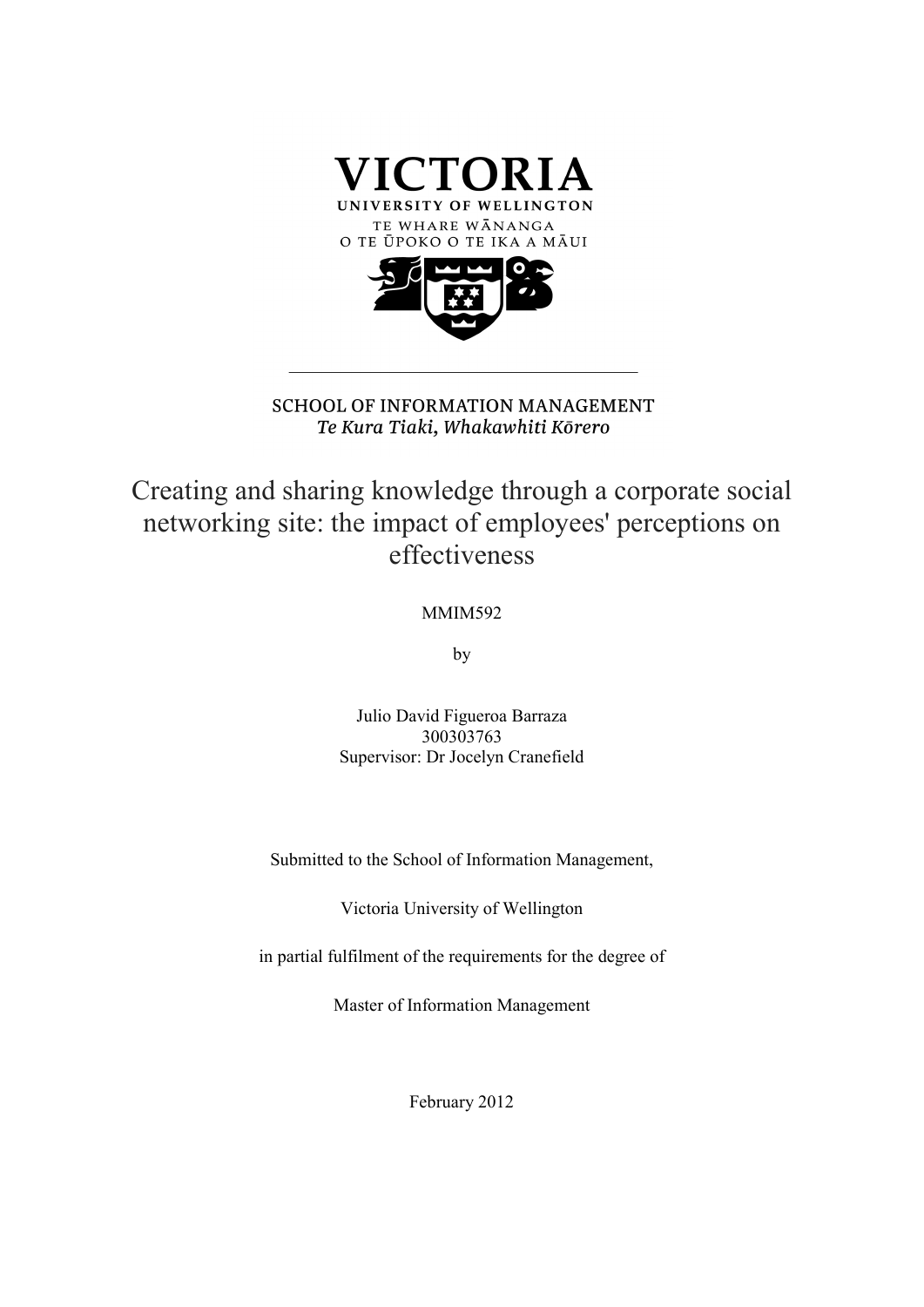

**SCHOOL OF INFORMATION MANAGEMENT** Te Kura Tiaki, Whakawhiti Kōrero

Creating and sharing knowledge through a corporate social networking site: the impact of employees' perceptions on effectiveness

### MMIM592

by

Julio David Figueroa Barraza 300303763 Supervisor: Dr Jocelyn Cranefield

Submitted to the School of Information Management,

Victoria University of Wellington

in partial fulfilment of the requirements for the degree of

Master of Information Management

February 2012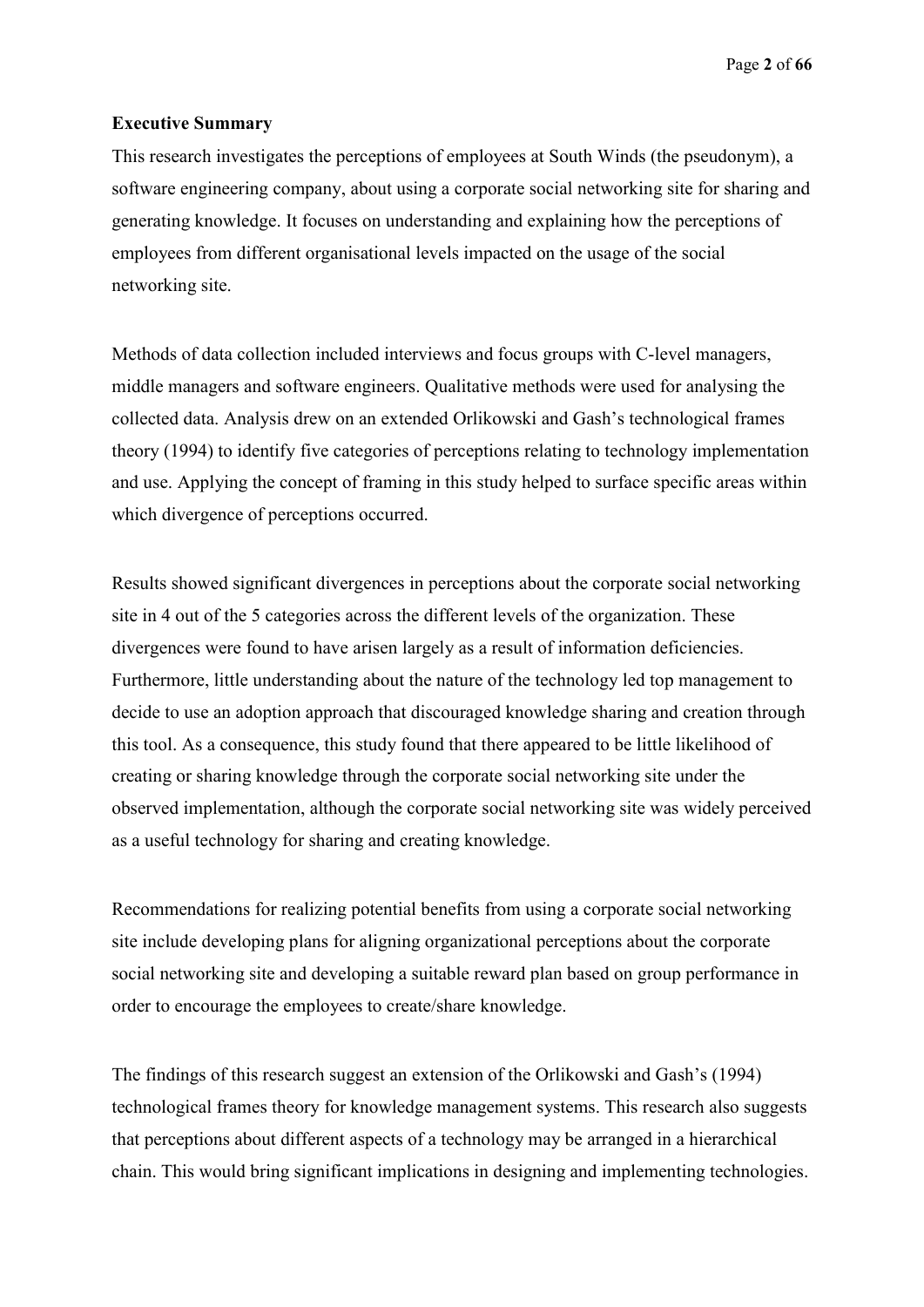Page **2** of **66**

### **Executive Summary**

This research investigates the perceptions of employees at South Winds (the pseudonym), a software engineering company, about using a corporate social networking site for sharing and generating knowledge. It focuses on understanding and explaining how the perceptions of employees from different organisational levels impacted on the usage of the social networking site.

Methods of data collection included interviews and focus groups with C-level managers, middle managers and software engineers. Qualitative methods were used for analysing the collected data. Analysis drew on an extended Orlikowski and Gash's technological frames theory (1994) to identify five categories of perceptions relating to technology implementation and use. Applying the concept of framing in this study helped to surface specific areas within which divergence of perceptions occurred.

Results showed significant divergences in perceptions about the corporate social networking site in 4 out of the 5 categories across the different levels of the organization. These divergences were found to have arisen largely as a result of information deficiencies. Furthermore, little understanding about the nature of the technology led top management to decide to use an adoption approach that discouraged knowledge sharing and creation through this tool. As a consequence, this study found that there appeared to be little likelihood of creating or sharing knowledge through the corporate social networking site under the observed implementation, although the corporate social networking site was widely perceived as a useful technology for sharing and creating knowledge.

Recommendations for realizing potential benefits from using a corporate social networking site include developing plans for aligning organizational perceptions about the corporate social networking site and developing a suitable reward plan based on group performance in order to encourage the employees to create/share knowledge.

The findings of this research suggest an extension of the Orlikowski and Gash's (1994) technological frames theory for knowledge management systems. This research also suggests that perceptions about different aspects of a technology may be arranged in a hierarchical chain. This would bring significant implications in designing and implementing technologies.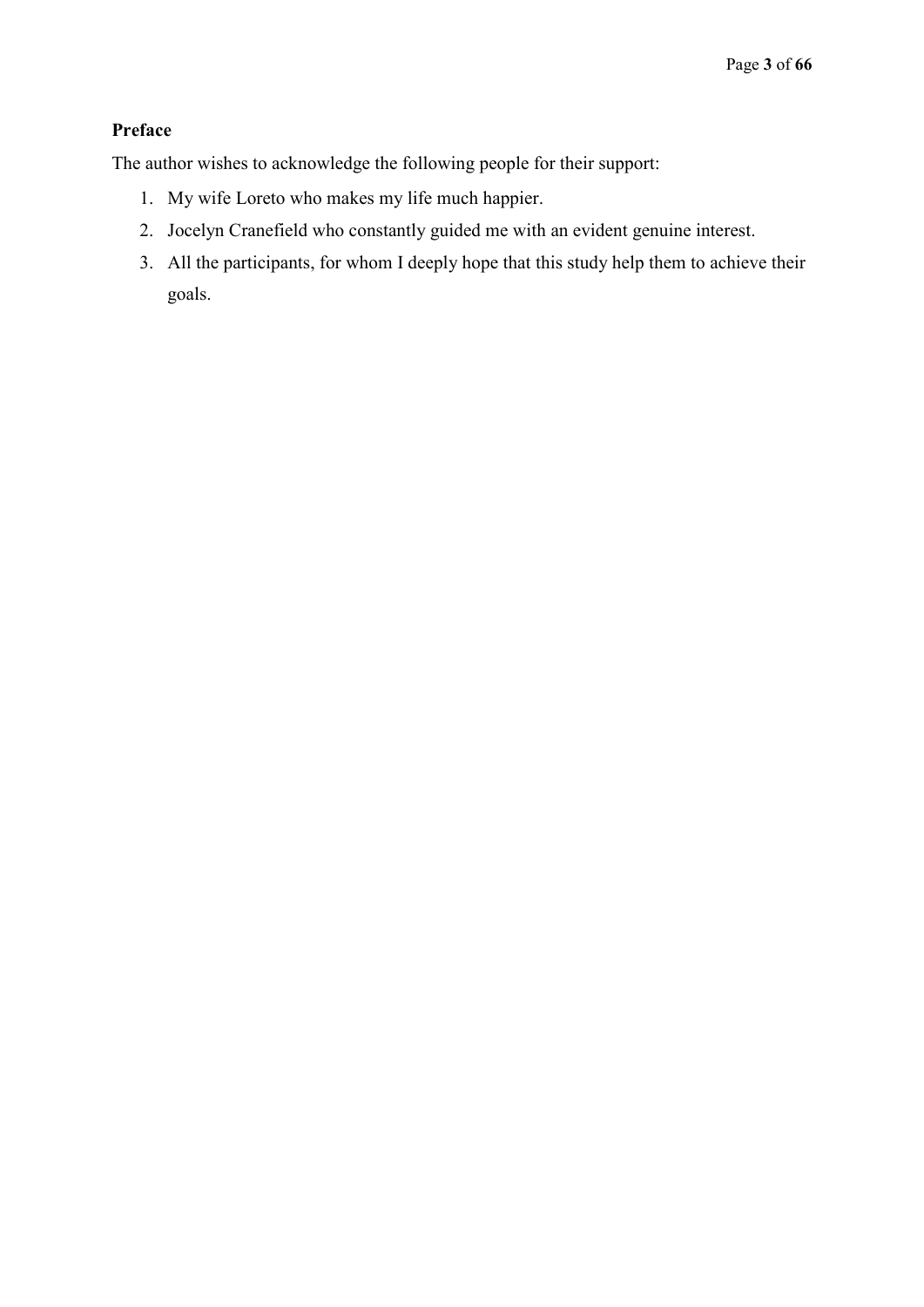## **Preface**

The author wishes to acknowledge the following people for their support:

- 1. My wife Loreto who makes my life much happier.
- 2. Jocelyn Cranefield who constantly guided me with an evident genuine interest.
- 3. All the participants, for whom I deeply hope that this study help them to achieve their goals.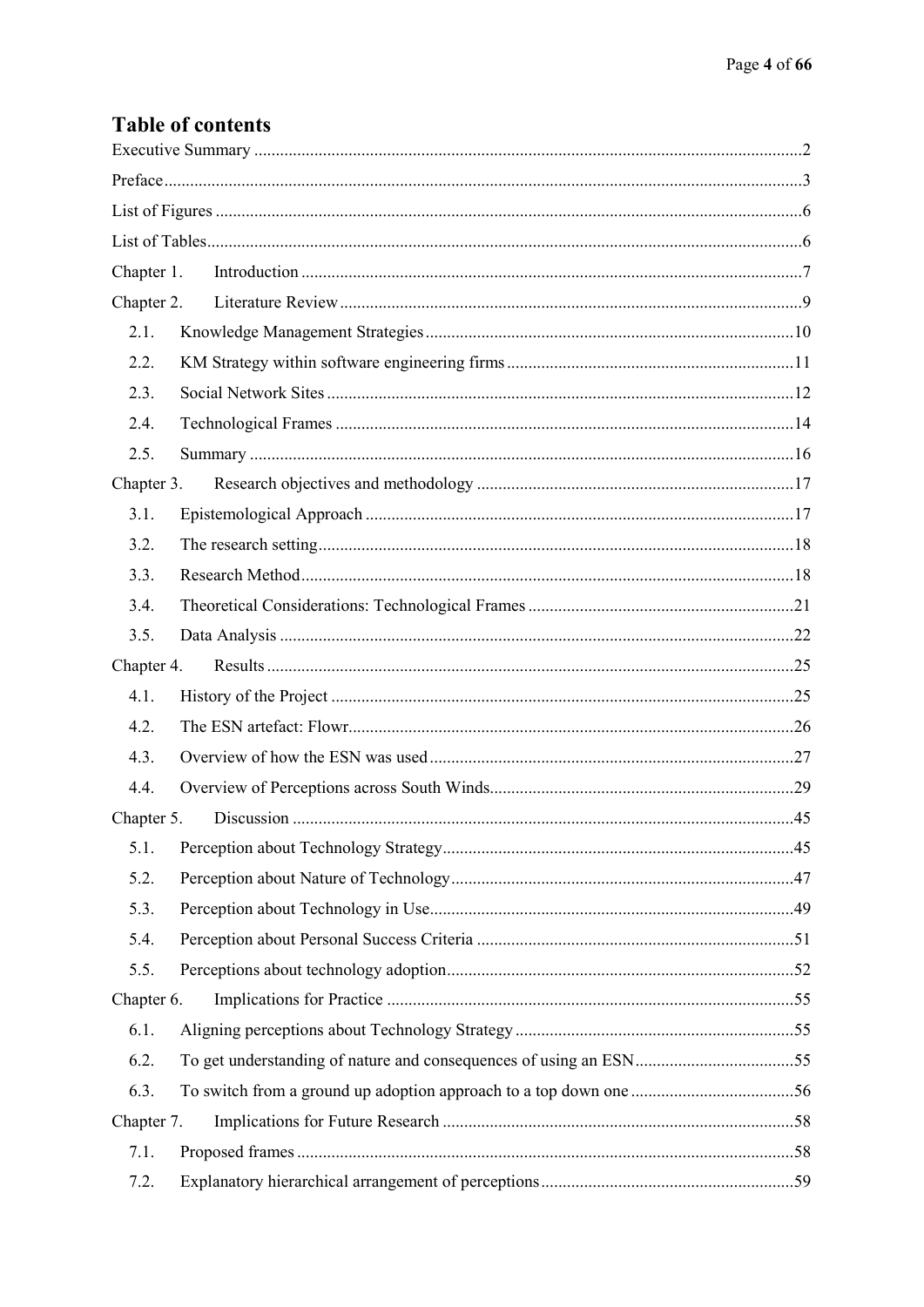# **Table of contents**

| Chapter 1. |  |  |  |
|------------|--|--|--|
| Chapter 2. |  |  |  |
| 2.1.       |  |  |  |
| 2.2.       |  |  |  |
| 2.3.       |  |  |  |
| 2.4.       |  |  |  |
| 2.5.       |  |  |  |
| Chapter 3. |  |  |  |
| 3.1.       |  |  |  |
| 3.2.       |  |  |  |
| 3.3.       |  |  |  |
| 3.4.       |  |  |  |
| 3.5.       |  |  |  |
| Chapter 4. |  |  |  |
| 4.1.       |  |  |  |
| 4.2.       |  |  |  |
| 4.3.       |  |  |  |
| 4.4.       |  |  |  |
|            |  |  |  |
| 5.1.       |  |  |  |
| 5.2.       |  |  |  |
| 5.3.       |  |  |  |
| 5.4.       |  |  |  |
| 5.5.       |  |  |  |
| Chapter 6. |  |  |  |
| 6.1.       |  |  |  |
| 6.2.       |  |  |  |
| 6.3.       |  |  |  |
| Chapter 7. |  |  |  |
| 7.1.       |  |  |  |
| 7.2.       |  |  |  |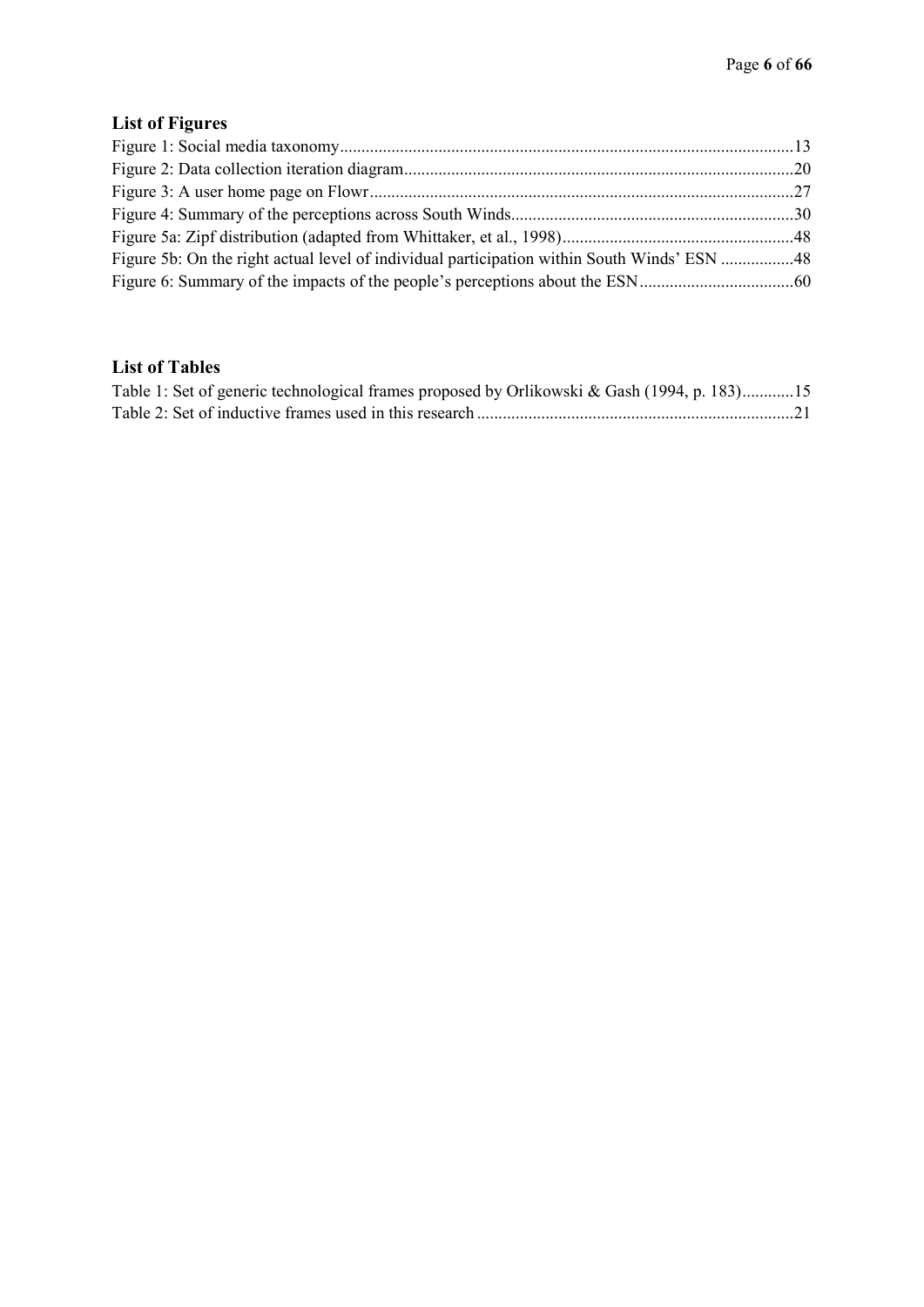# **List of Figures**

| Figure 5b: On the right actual level of individual participation within South Winds' ESN 48 |  |
|---------------------------------------------------------------------------------------------|--|
|                                                                                             |  |

# **List of Tables**

| Table 1: Set of generic technological frames proposed by Orlikowski & Gash (1994, p. 183)15 |  |
|---------------------------------------------------------------------------------------------|--|
|                                                                                             |  |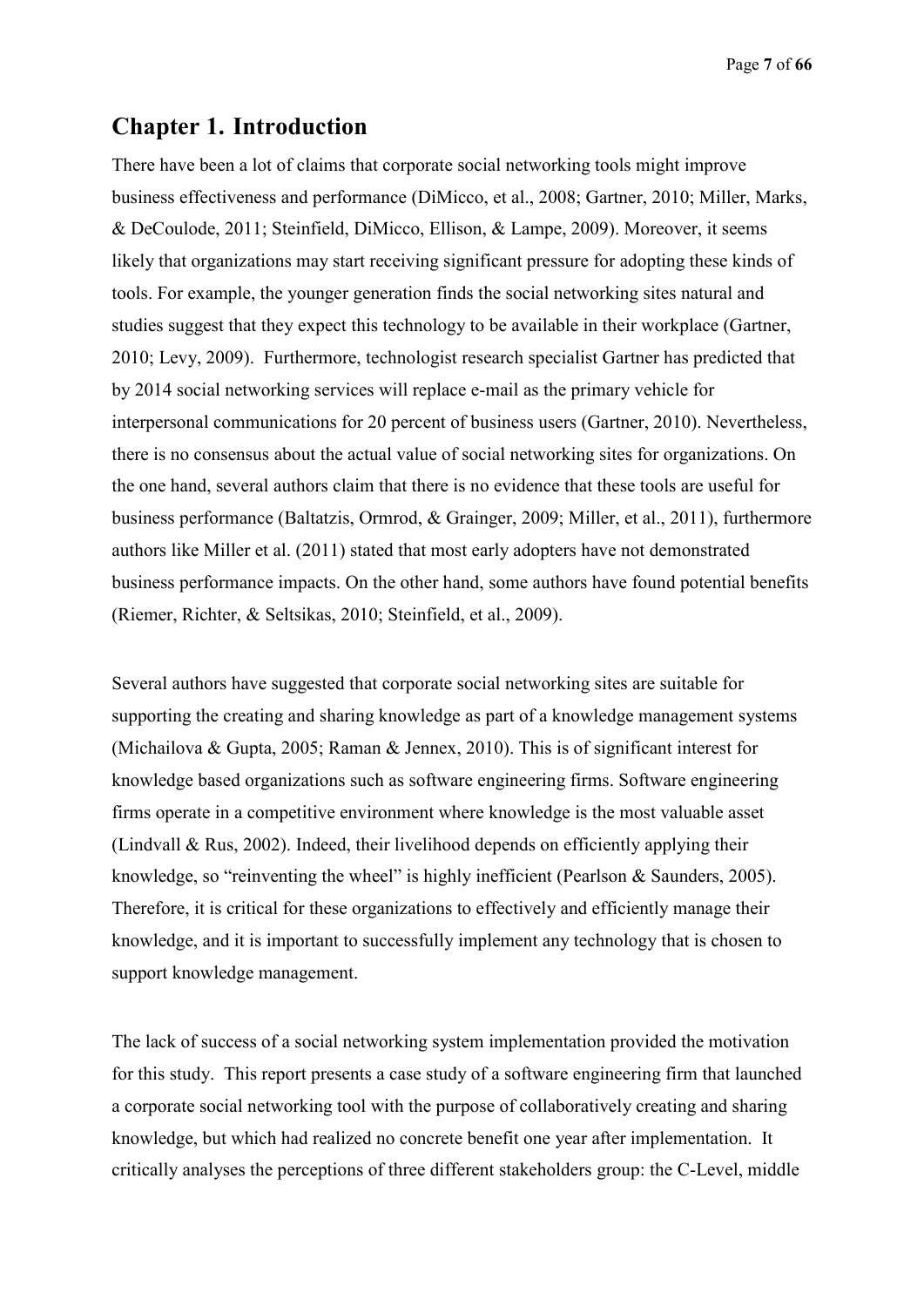Page **7** of **66**

# **Chapter 1. Introduction**

There have been a lot of claims that corporate social networking tools might improve business effectiveness and performance (DiMicco, et al., 2008; Gartner, 2010; Miller, Marks, & DeCoulode, 2011; Steinfield, DiMicco, Ellison, & Lampe, 2009). Moreover, it seems likely that organizations may start receiving significant pressure for adopting these kinds of tools. For example, the younger generation finds the social networking sites natural and studies suggest that they expect this technology to be available in their workplace (Gartner, 2010; Levy, 2009). Furthermore, technologist research specialist Gartner has predicted that by 2014 social networking services will replace e-mail as the primary vehicle for interpersonal communications for 20 percent of business users (Gartner, 2010). Nevertheless, there is no consensus about the actual value of social networking sites for organizations. On the one hand, several authors claim that there is no evidence that these tools are useful for business performance (Baltatzis, Ormrod, & Grainger, 2009; Miller, et al., 2011), furthermore authors like Miller et al. (2011) stated that most early adopters have not demonstrated business performance impacts. On the other hand, some authors have found potential benefits (Riemer, Richter, & Seltsikas, 2010; Steinfield, et al., 2009).

Several authors have suggested that corporate social networking sites are suitable for supporting the creating and sharing knowledge as part of a knowledge management systems (Michailova & Gupta, 2005; Raman & Jennex, 2010). This is of significant interest for knowledge based organizations such as software engineering firms. Software engineering firms operate in a competitive environment where knowledge is the most valuable asset (Lindvall & Rus, 2002). Indeed, their livelihood depends on efficiently applying their knowledge, so "reinventing the wheel" is highly inefficient (Pearlson & Saunders, 2005). Therefore, it is critical for these organizations to effectively and efficiently manage their knowledge, and it is important to successfully implement any technology that is chosen to support knowledge management.

The lack of success of a social networking system implementation provided the motivation for this study. This report presents a case study of a software engineering firm that launched a corporate social networking tool with the purpose of collaboratively creating and sharing knowledge, but which had realized no concrete benefit one year after implementation. It critically analyses the perceptions of three different stakeholders group: the C-Level, middle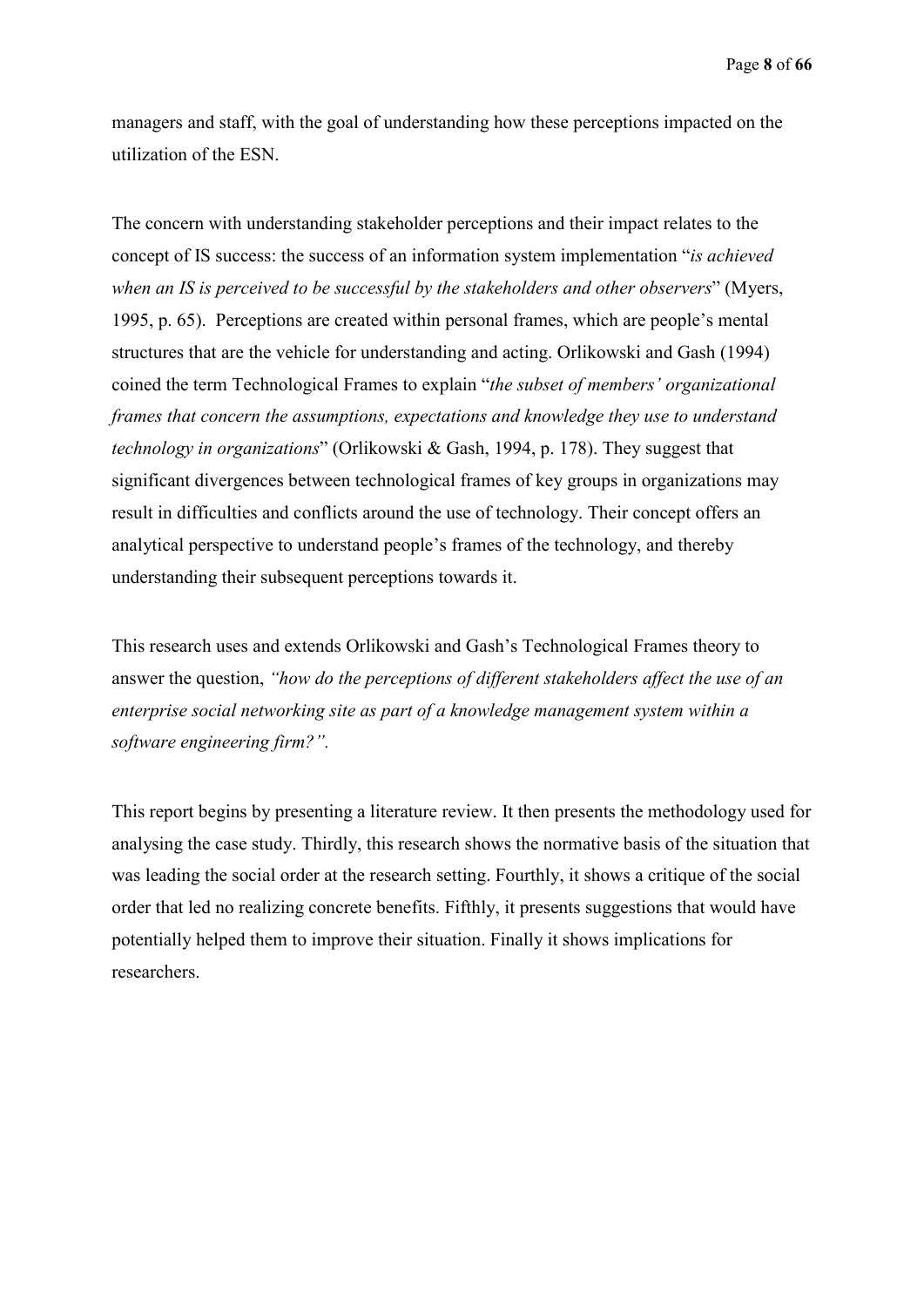Page **8** of **66**

managers and staff, with the goal of understanding how these perceptions impacted on the utilization of the ESN.

The concern with understanding stakeholder perceptions and their impact relates to the concept of IS success: the success of an information system implementation "*is achieved when an IS is perceived to be successful by the stakeholders and other observers*" (Myers, 1995, p. 65). Perceptions are created within personal frames, which are people's mental structures that are the vehicle for understanding and acting. Orlikowski and Gash (1994) coined the term Technological Frames to explain "*the subset of members' organizational frames that concern the assumptions, expectations and knowledge they use to understand technology in organizations*" (Orlikowski & Gash, 1994, p. 178). They suggest that significant divergences between technological frames of key groups in organizations may result in difficulties and conflicts around the use of technology. Their concept offers an analytical perspective to understand people's frames of the technology, and thereby understanding their subsequent perceptions towards it.

This research uses and extends Orlikowski and Gash's Technological Frames theory to answer the question, *"how do the perceptions of different stakeholders affect the use of an enterprise social networking site as part of a knowledge management system within a software engineering firm?".*

This report begins by presenting a literature review. It then presents the methodology used for analysing the case study. Thirdly, this research shows the normative basis of the situation that was leading the social order at the research setting. Fourthly, it shows a critique of the social order that led no realizing concrete benefits. Fifthly, it presents suggestions that would have potentially helped them to improve their situation. Finally it shows implications for researchers.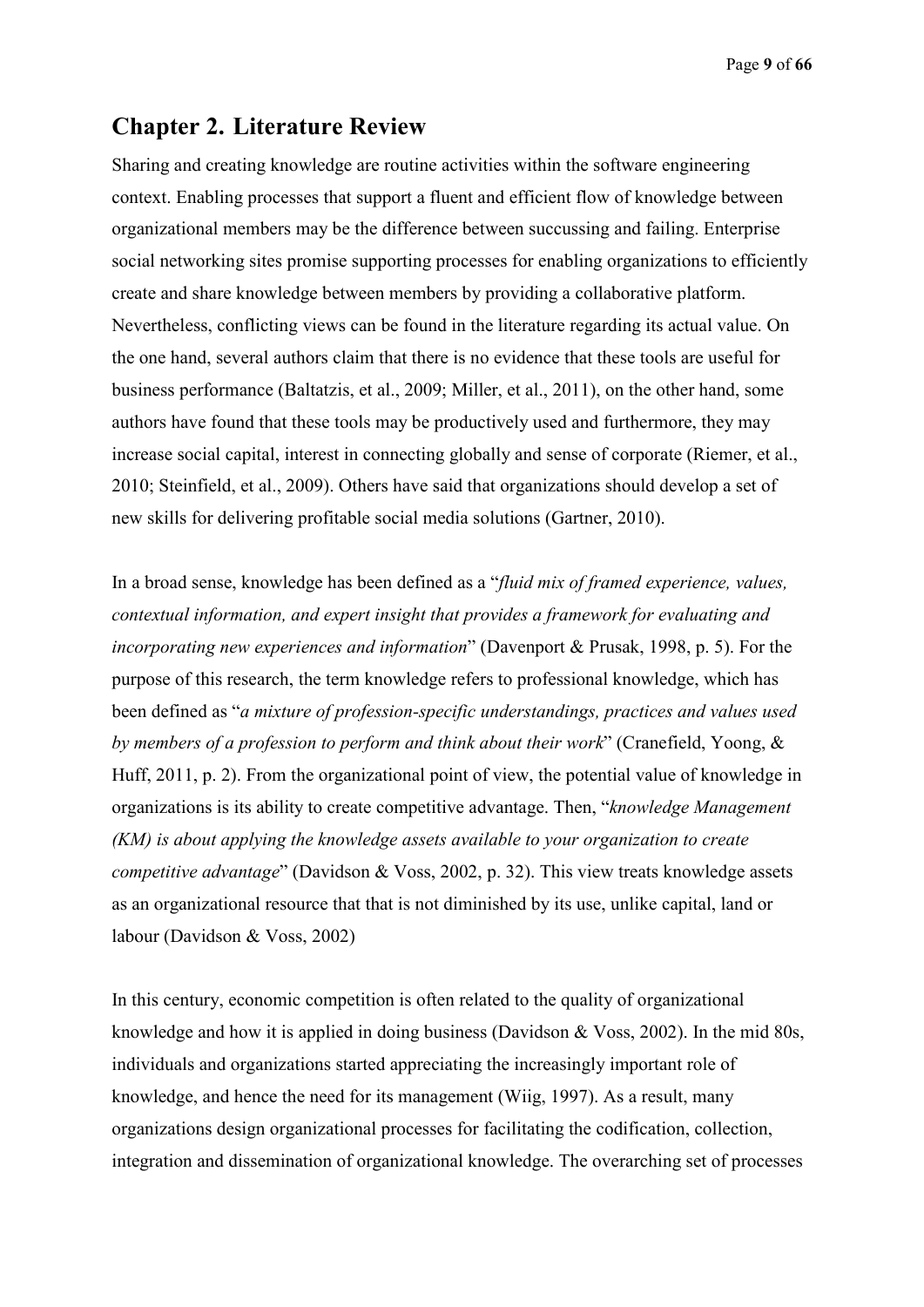Page **9** of **66**

# **Chapter 2. Literature Review**

Sharing and creating knowledge are routine activities within the software engineering context. Enabling processes that support a fluent and efficient flow of knowledge between organizational members may be the difference between succussing and failing. Enterprise social networking sites promise supporting processes for enabling organizations to efficiently create and share knowledge between members by providing a collaborative platform. Nevertheless, conflicting views can be found in the literature regarding its actual value. On the one hand, several authors claim that there is no evidence that these tools are useful for business performance (Baltatzis, et al., 2009; Miller, et al., 2011), on the other hand, some authors have found that these tools may be productively used and furthermore, they may increase social capital, interest in connecting globally and sense of corporate (Riemer, et al., 2010; Steinfield, et al., 2009). Others have said that organizations should develop a set of new skills for delivering profitable social media solutions (Gartner, 2010).

In a broad sense, knowledge has been defined as a "*fluid mix of framed experience, values, contextual information, and expert insight that provides a framework for evaluating and incorporating new experiences and information*" (Davenport & Prusak, 1998, p. 5). For the purpose of this research, the term knowledge refers to professional knowledge, which has been defined as "*a mixture of profession-specific understandings, practices and values used by members of a profession to perform and think about their work*" (Cranefield, Yoong, & Huff, 2011, p. 2). From the organizational point of view, the potential value of knowledge in organizations is its ability to create competitive advantage. Then, "*knowledge Management (KM) is about applying the knowledge assets available to your organization to create competitive advantage*" (Davidson & Voss, 2002, p. 32). This view treats knowledge assets as an organizational resource that that is not diminished by its use, unlike capital, land or labour (Davidson & Voss, 2002)

In this century, economic competition is often related to the quality of organizational knowledge and how it is applied in doing business (Davidson & Voss, 2002). In the mid 80s, individuals and organizations started appreciating the increasingly important role of knowledge, and hence the need for its management (Wiig, 1997). As a result, many organizations design organizational processes for facilitating the codification, collection, integration and dissemination of organizational knowledge. The overarching set of processes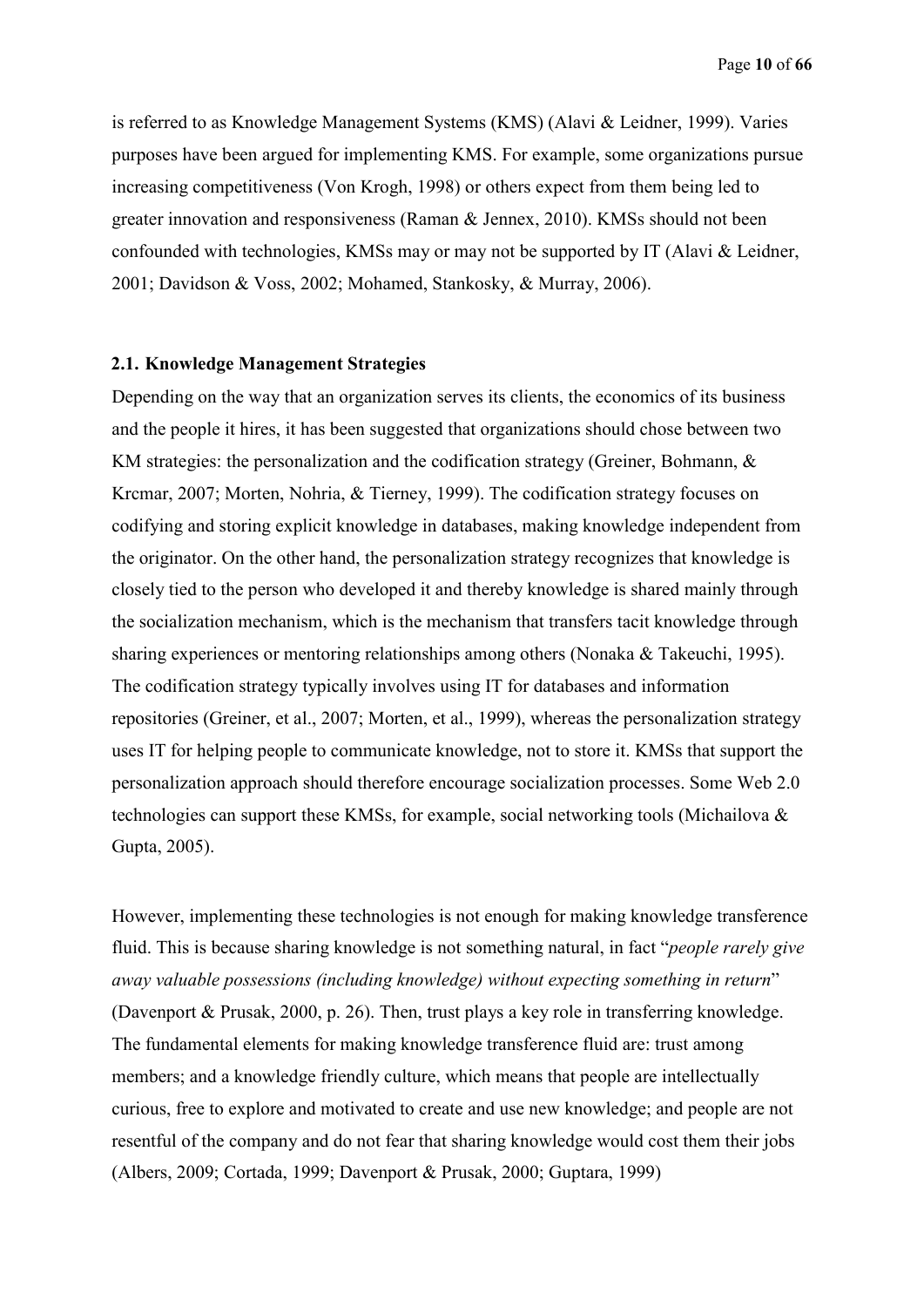is referred to as Knowledge Management Systems (KMS) (Alavi & Leidner, 1999). Varies purposes have been argued for implementing KMS. For example, some organizations pursue increasing competitiveness (Von Krogh, 1998) or others expect from them being led to greater innovation and responsiveness (Raman & Jennex, 2010). KMSs should not been confounded with technologies, KMSs may or may not be supported by IT (Alavi & Leidner, 2001; Davidson & Voss, 2002; Mohamed, Stankosky, & Murray, 2006).

#### **2.1. Knowledge Management Strategies**

Depending on the way that an organization serves its clients, the economics of its business and the people it hires, it has been suggested that organizations should chose between two KM strategies: the personalization and the codification strategy (Greiner, Bohmann,  $\&$ Krcmar, 2007; Morten, Nohria, & Tierney, 1999). The codification strategy focuses on codifying and storing explicit knowledge in databases, making knowledge independent from the originator. On the other hand, the personalization strategy recognizes that knowledge is closely tied to the person who developed it and thereby knowledge is shared mainly through the socialization mechanism, which is the mechanism that transfers tacit knowledge through sharing experiences or mentoring relationships among others (Nonaka & Takeuchi, 1995). The codification strategy typically involves using IT for databases and information repositories (Greiner, et al., 2007; Morten, et al., 1999), whereas the personalization strategy uses IT for helping people to communicate knowledge, not to store it. KMSs that support the personalization approach should therefore encourage socialization processes. Some Web 2.0 technologies can support these KMSs, for example, social networking tools (Michailova & Gupta, 2005).

However, implementing these technologies is not enough for making knowledge transference fluid. This is because sharing knowledge is not something natural, in fact "*people rarely give away valuable possessions (including knowledge) without expecting something in return*" (Davenport & Prusak, 2000, p. 26). Then, trust plays a key role in transferring knowledge. The fundamental elements for making knowledge transference fluid are: trust among members; and a knowledge friendly culture, which means that people are intellectually curious, free to explore and motivated to create and use new knowledge; and people are not resentful of the company and do not fear that sharing knowledge would cost them their jobs (Albers, 2009; Cortada, 1999; Davenport & Prusak, 2000; Guptara, 1999)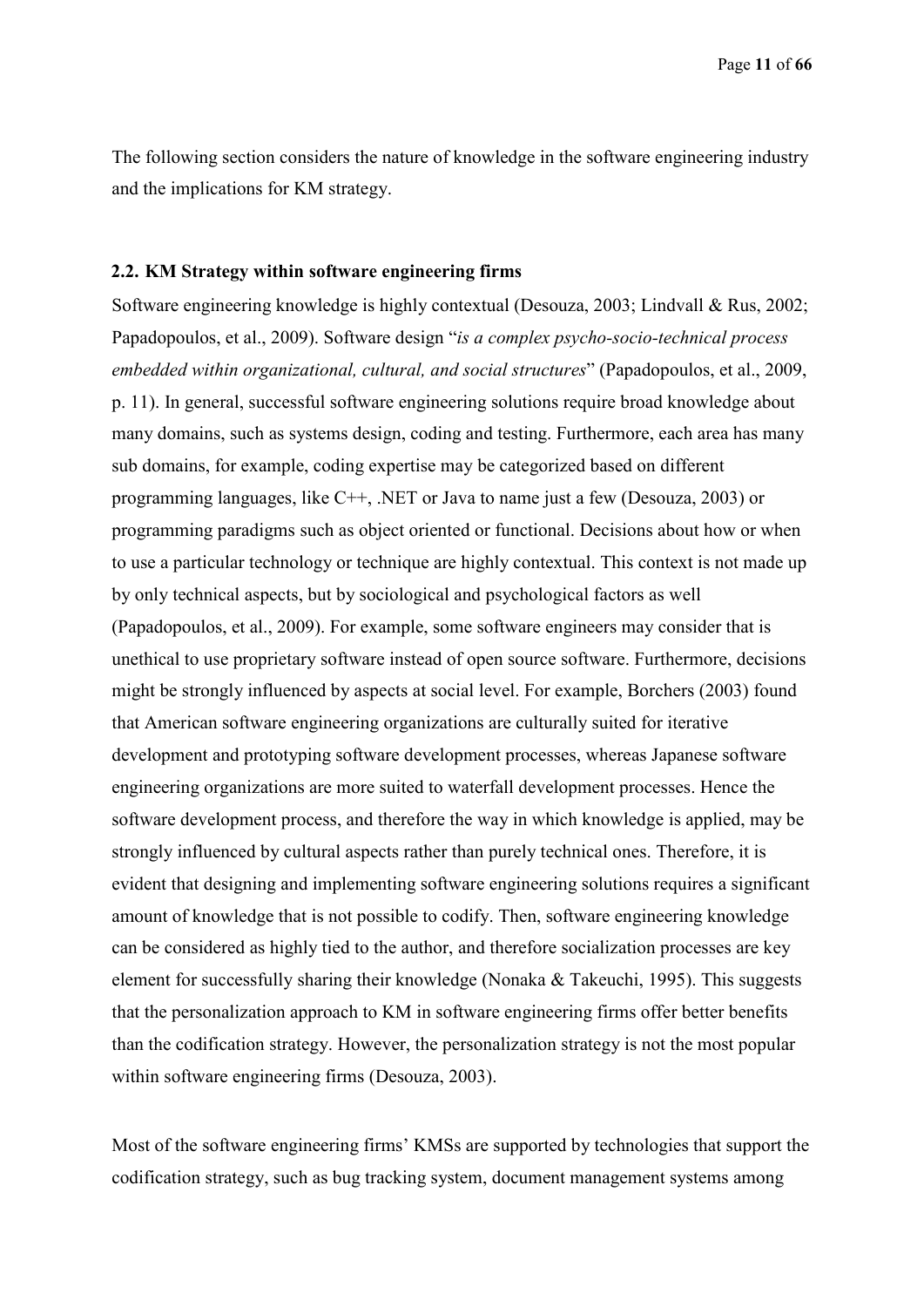The following section considers the nature of knowledge in the software engineering industry and the implications for KM strategy.

#### **2.2. KM Strategy within software engineering firms**

Software engineering knowledge is highly contextual (Desouza, 2003; Lindvall & Rus, 2002; Papadopoulos, et al., 2009). Software design "*is a complex psycho-socio-technical process embedded within organizational, cultural, and social structures*" (Papadopoulos, et al., 2009, p. 11). In general, successful software engineering solutions require broad knowledge about many domains, such as systems design, coding and testing. Furthermore, each area has many sub domains, for example, coding expertise may be categorized based on different programming languages, like C++, .NET or Java to name just a few (Desouza, 2003) or programming paradigms such as object oriented or functional. Decisions about how or when to use a particular technology or technique are highly contextual. This context is not made up by only technical aspects, but by sociological and psychological factors as well (Papadopoulos, et al., 2009). For example, some software engineers may consider that is unethical to use proprietary software instead of open source software. Furthermore, decisions might be strongly influenced by aspects at social level. For example, Borchers (2003) found that American software engineering organizations are culturally suited for iterative development and prototyping software development processes, whereas Japanese software engineering organizations are more suited to waterfall development processes. Hence the software development process, and therefore the way in which knowledge is applied, may be strongly influenced by cultural aspects rather than purely technical ones. Therefore, it is evident that designing and implementing software engineering solutions requires a significant amount of knowledge that is not possible to codify. Then, software engineering knowledge can be considered as highly tied to the author, and therefore socialization processes are key element for successfully sharing their knowledge (Nonaka & Takeuchi, 1995). This suggests that the personalization approach to KM in software engineering firms offer better benefits than the codification strategy. However, the personalization strategy is not the most popular within software engineering firms (Desouza, 2003).

Most of the software engineering firms' KMSs are supported by technologies that support the codification strategy, such as bug tracking system, document management systems among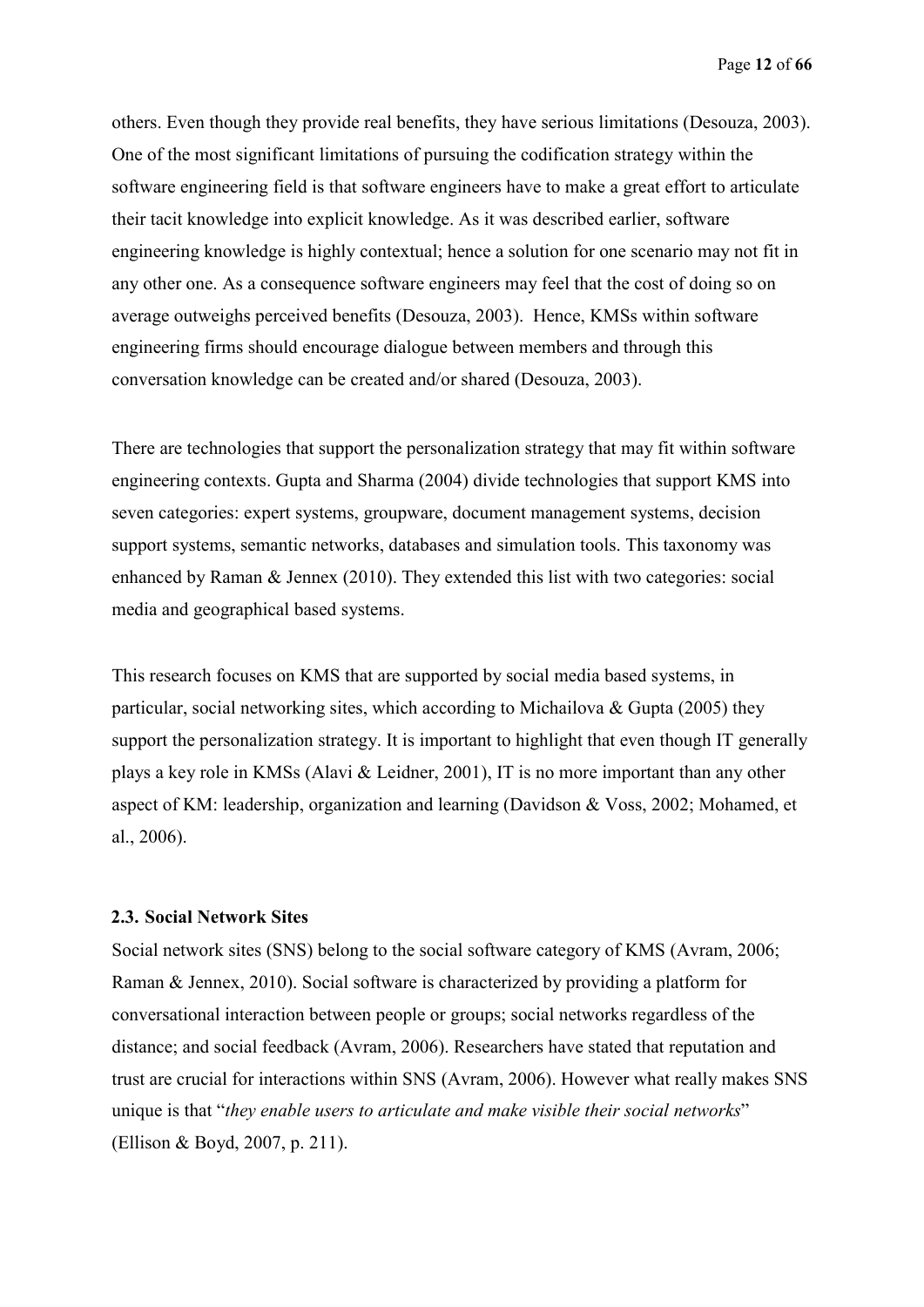others. Even though they provide real benefits, they have serious limitations (Desouza, 2003). One of the most significant limitations of pursuing the codification strategy within the software engineering field is that software engineers have to make a great effort to articulate their tacit knowledge into explicit knowledge. As it was described earlier, software engineering knowledge is highly contextual; hence a solution for one scenario may not fit in any other one. As a consequence software engineers may feel that the cost of doing so on average outweighs perceived benefits (Desouza, 2003). Hence, KMSs within software engineering firms should encourage dialogue between members and through this conversation knowledge can be created and/or shared (Desouza, 2003).

There are technologies that support the personalization strategy that may fit within software engineering contexts. Gupta and Sharma (2004) divide technologies that support KMS into seven categories: expert systems, groupware, document management systems, decision support systems, semantic networks, databases and simulation tools. This taxonomy was enhanced by Raman & Jennex (2010). They extended this list with two categories: social media and geographical based systems.

This research focuses on KMS that are supported by social media based systems, in particular, social networking sites, which according to Michailova & Gupta (2005) they support the personalization strategy. It is important to highlight that even though IT generally plays a key role in KMSs (Alavi & Leidner, 2001), IT is no more important than any other aspect of KM: leadership, organization and learning (Davidson & Voss, 2002; Mohamed, et al., 2006).

#### **2.3. Social Network Sites**

Social network sites (SNS) belong to the social software category of KMS (Avram, 2006; Raman & Jennex, 2010). Social software is characterized by providing a platform for conversational interaction between people or groups; social networks regardless of the distance; and social feedback (Avram, 2006). Researchers have stated that reputation and trust are crucial for interactions within SNS (Avram, 2006). However what really makes SNS unique is that "*they enable users to articulate and make visible their social networks*" (Ellison & Boyd, 2007, p. 211).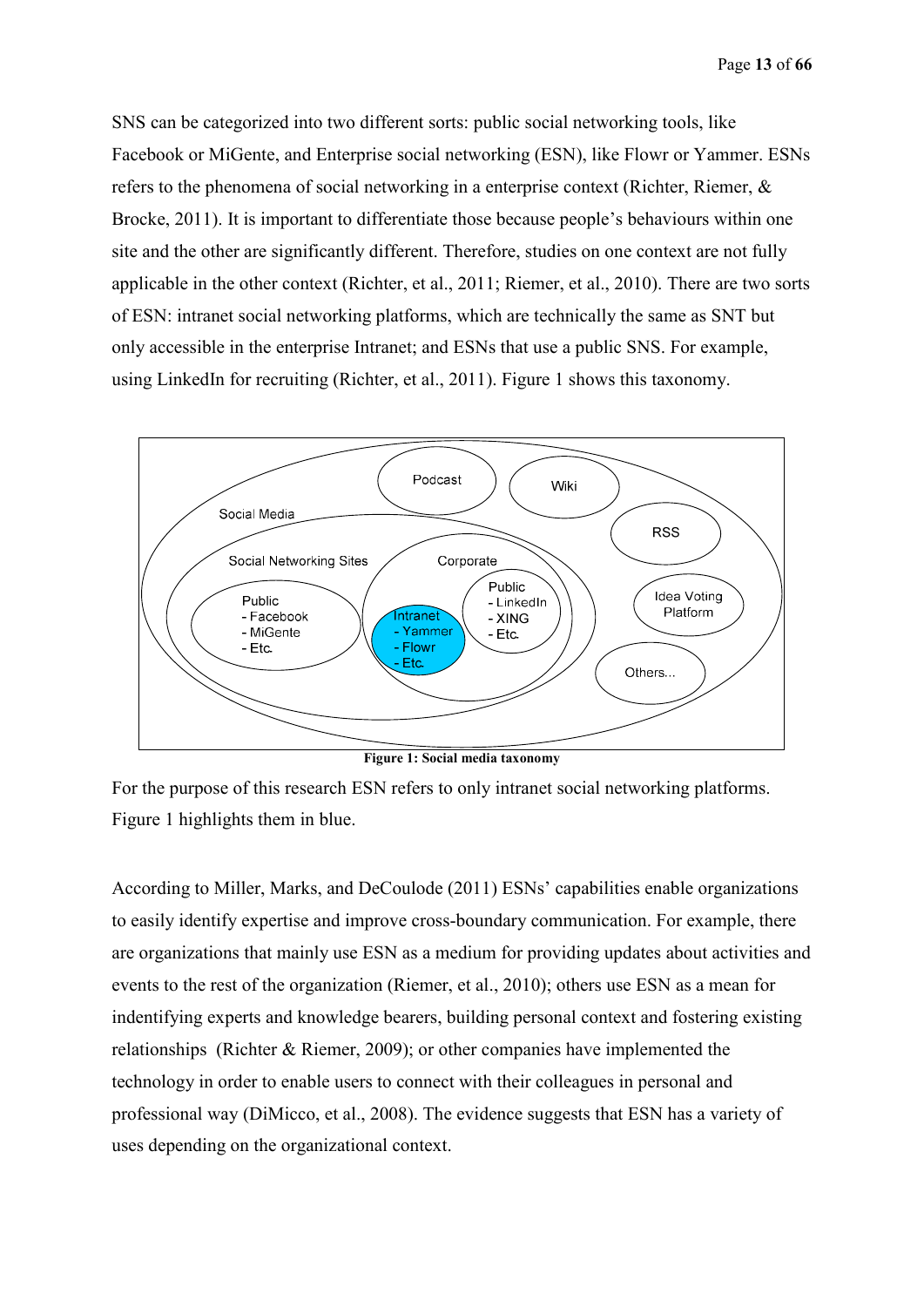SNS can be categorized into two different sorts: public social networking tools, like Facebook or MiGente, and Enterprise social networking (ESN), like Flowr or Yammer. ESNs refers to the phenomena of social networking in a enterprise context (Richter, Riemer, & Brocke, 2011). It is important to differentiate those because people's behaviours within one site and the other are significantly different. Therefore, studies on one context are not fully applicable in the other context (Richter, et al., 2011; Riemer, et al., 2010). There are two sorts of ESN: intranet social networking platforms, which are technically the same as SNT but only accessible in the enterprise Intranet; and ESNs that use a public SNS. For example, using LinkedIn for recruiting (Richter, et al., 2011). Figure 1 shows this taxonomy.



**Figure 1: Social media taxonomy**

For the purpose of this research ESN refers to only intranet social networking platforms. Figure 1 highlights them in blue.

According to Miller, Marks, and DeCoulode (2011) ESNs' capabilities enable organizations to easily identify expertise and improve cross-boundary communication. For example, there are organizations that mainly use ESN as a medium for providing updates about activities and events to the rest of the organization (Riemer, et al., 2010); others use ESN as a mean for indentifying experts and knowledge bearers, building personal context and fostering existing relationships (Richter & Riemer, 2009); or other companies have implemented the technology in order to enable users to connect with their colleagues in personal and professional way (DiMicco, et al., 2008). The evidence suggests that ESN has a variety of uses depending on the organizational context.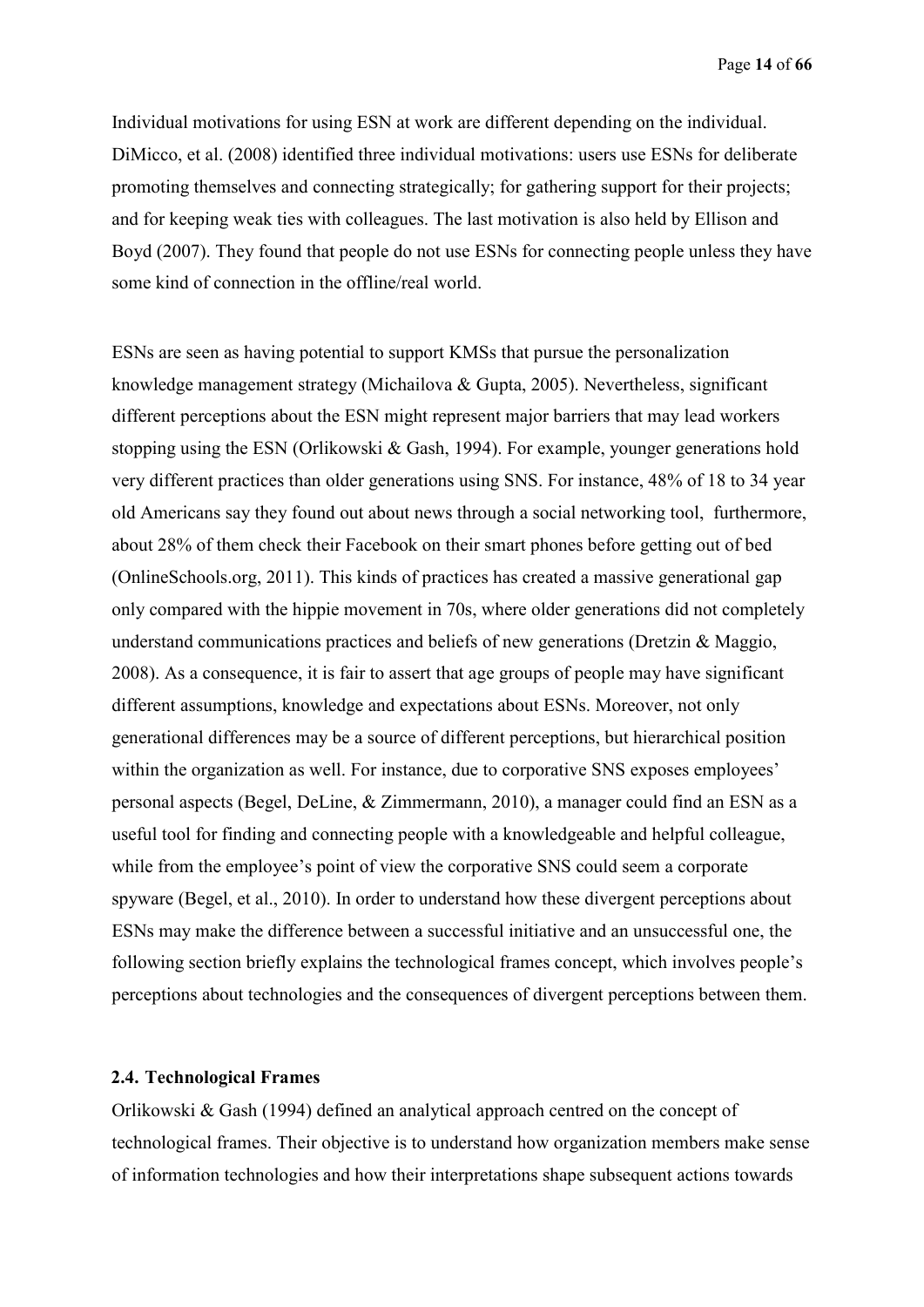Individual motivations for using ESN at work are different depending on the individual. DiMicco, et al. (2008) identified three individual motivations: users use ESNs for deliberate promoting themselves and connecting strategically; for gathering support for their projects; and for keeping weak ties with colleagues. The last motivation is also held by Ellison and Boyd (2007). They found that people do not use ESNs for connecting people unless they have some kind of connection in the offline/real world.

ESNs are seen as having potential to support KMSs that pursue the personalization knowledge management strategy (Michailova & Gupta, 2005). Nevertheless, significant different perceptions about the ESN might represent major barriers that may lead workers stopping using the ESN (Orlikowski & Gash, 1994). For example, younger generations hold very different practices than older generations using SNS. For instance, 48% of 18 to 34 year old Americans say they found out about news through a social networking tool, furthermore, about 28% of them check their Facebook on their smart phones before getting out of bed (OnlineSchools.org, 2011). This kinds of practices has created a massive generational gap only compared with the hippie movement in 70s, where older generations did not completely understand communications practices and beliefs of new generations (Dretzin & Maggio, 2008). As a consequence, it is fair to assert that age groups of people may have significant different assumptions, knowledge and expectations about ESNs. Moreover, not only generational differences may be a source of different perceptions, but hierarchical position within the organization as well. For instance, due to corporative SNS exposes employees' personal aspects (Begel, DeLine, & Zimmermann, 2010), a manager could find an ESN as a useful tool for finding and connecting people with a knowledgeable and helpful colleague, while from the employee's point of view the corporative SNS could seem a corporate spyware (Begel, et al., 2010). In order to understand how these divergent perceptions about ESNs may make the difference between a successful initiative and an unsuccessful one, the following section briefly explains the technological frames concept, which involves people's perceptions about technologies and the consequences of divergent perceptions between them.

#### **2.4. Technological Frames**

Orlikowski & Gash (1994) defined an analytical approach centred on the concept of technological frames. Their objective is to understand how organization members make sense of information technologies and how their interpretations shape subsequent actions towards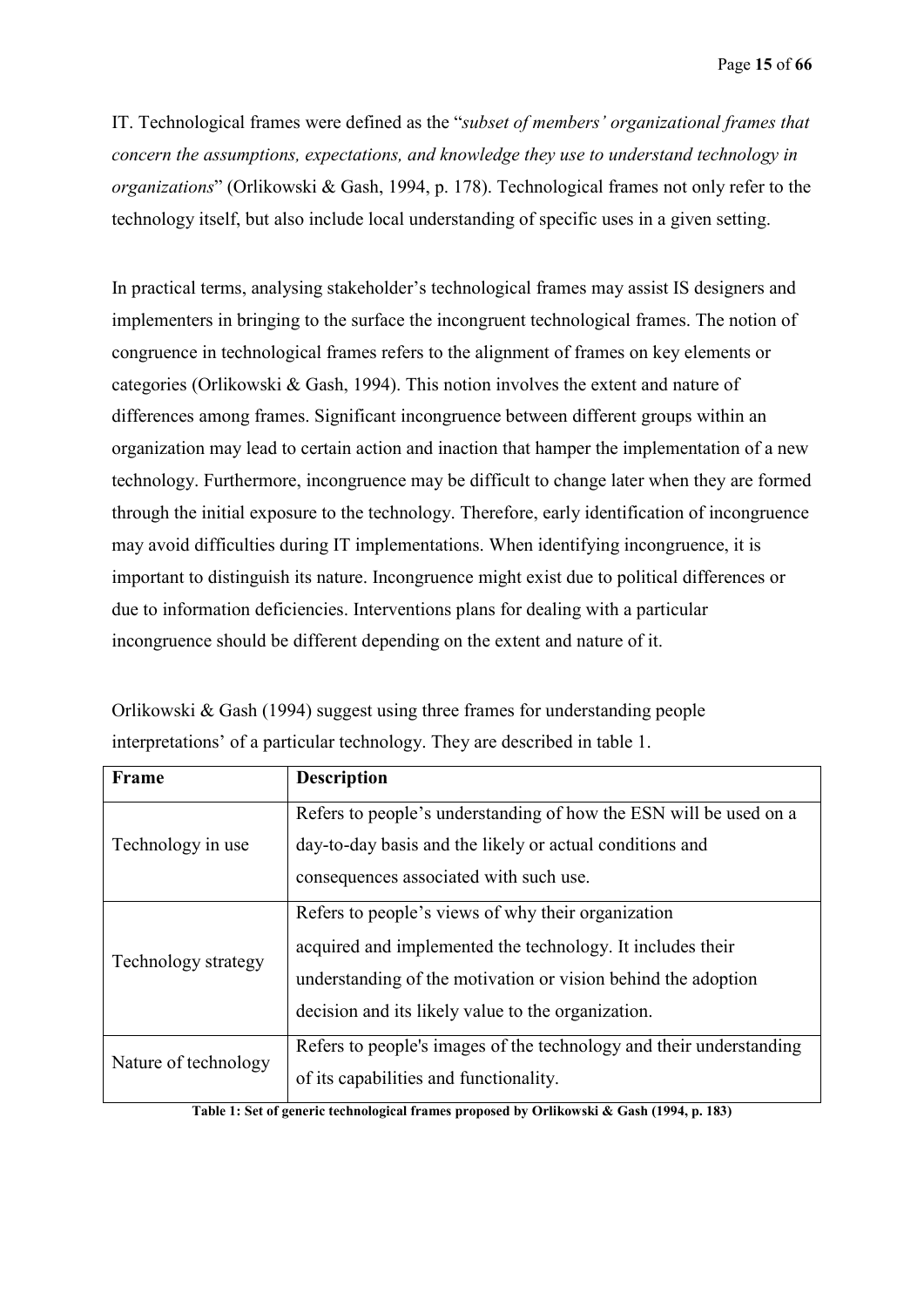IT. Technological frames were defined as the "*subset of members' organizational frames that concern the assumptions, expectations, and knowledge they use to understand technology in organizations*" (Orlikowski & Gash, 1994, p. 178). Technological frames not only refer to the technology itself, but also include local understanding of specific uses in a given setting.

In practical terms, analysing stakeholder's technological frames may assist IS designers and implementers in bringing to the surface the incongruent technological frames. The notion of congruence in technological frames refers to the alignment of frames on key elements or categories (Orlikowski & Gash, 1994). This notion involves the extent and nature of differences among frames. Significant incongruence between different groups within an organization may lead to certain action and inaction that hamper the implementation of a new technology. Furthermore, incongruence may be difficult to change later when they are formed through the initial exposure to the technology. Therefore, early identification of incongruence may avoid difficulties during IT implementations. When identifying incongruence, it is important to distinguish its nature. Incongruence might exist due to political differences or due to information deficiencies. Interventions plans for dealing with a particular incongruence should be different depending on the extent and nature of it.

| Frame                | <b>Description</b>                                                  |
|----------------------|---------------------------------------------------------------------|
|                      | Refers to people's understanding of how the ESN will be used on a   |
| Technology in use    | day-to-day basis and the likely or actual conditions and            |
|                      | consequences associated with such use.                              |
|                      | Refers to people's views of why their organization                  |
| Technology strategy  | acquired and implemented the technology. It includes their          |
|                      | understanding of the motivation or vision behind the adoption       |
|                      | decision and its likely value to the organization.                  |
| Nature of technology | Refers to people's images of the technology and their understanding |
|                      | of its capabilities and functionality.                              |

Orlikowski & Gash (1994) suggest using three frames for understanding people interpretations' of a particular technology. They are described in table 1.

**Table 1: Set of generic technological frames proposed by Orlikowski & Gash (1994, p. 183)**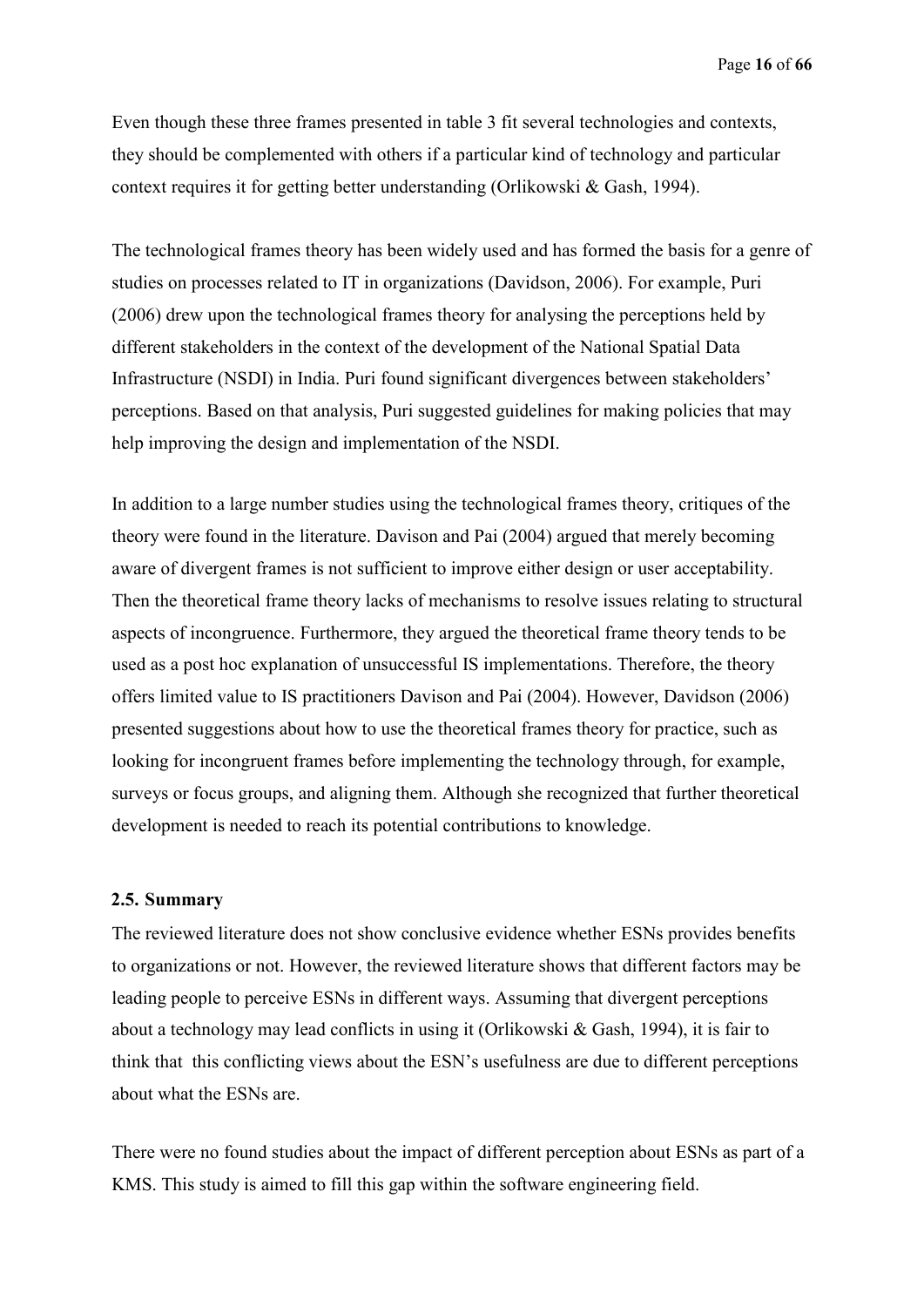Even though these three frames presented in table 3 fit several technologies and contexts, they should be complemented with others if a particular kind of technology and particular context requires it for getting better understanding (Orlikowski & Gash, 1994).

The technological frames theory has been widely used and has formed the basis for a genre of studies on processes related to IT in organizations (Davidson, 2006). For example, Puri (2006) drew upon the technological frames theory for analysing the perceptions held by different stakeholders in the context of the development of the National Spatial Data Infrastructure (NSDI) in India. Puri found significant divergences between stakeholders' perceptions. Based on that analysis, Puri suggested guidelines for making policies that may help improving the design and implementation of the NSDI.

In addition to a large number studies using the technological frames theory, critiques of the theory were found in the literature. Davison and Pai (2004) argued that merely becoming aware of divergent frames is not sufficient to improve either design or user acceptability. Then the theoretical frame theory lacks of mechanisms to resolve issues relating to structural aspects of incongruence. Furthermore, they argued the theoretical frame theory tends to be used as a post hoc explanation of unsuccessful IS implementations. Therefore, the theory offers limited value to IS practitioners Davison and Pai (2004). However, Davidson (2006) presented suggestions about how to use the theoretical frames theory for practice, such as looking for incongruent frames before implementing the technology through, for example, surveys or focus groups, and aligning them. Although she recognized that further theoretical development is needed to reach its potential contributions to knowledge.

#### **2.5. Summary**

The reviewed literature does not show conclusive evidence whether ESNs provides benefits to organizations or not. However, the reviewed literature shows that different factors may be leading people to perceive ESNs in different ways. Assuming that divergent perceptions about a technology may lead conflicts in using it (Orlikowski & Gash, 1994), it is fair to think that this conflicting views about the ESN's usefulness are due to different perceptions about what the ESNs are.

There were no found studies about the impact of different perception about ESNs as part of a KMS. This study is aimed to fill this gap within the software engineering field.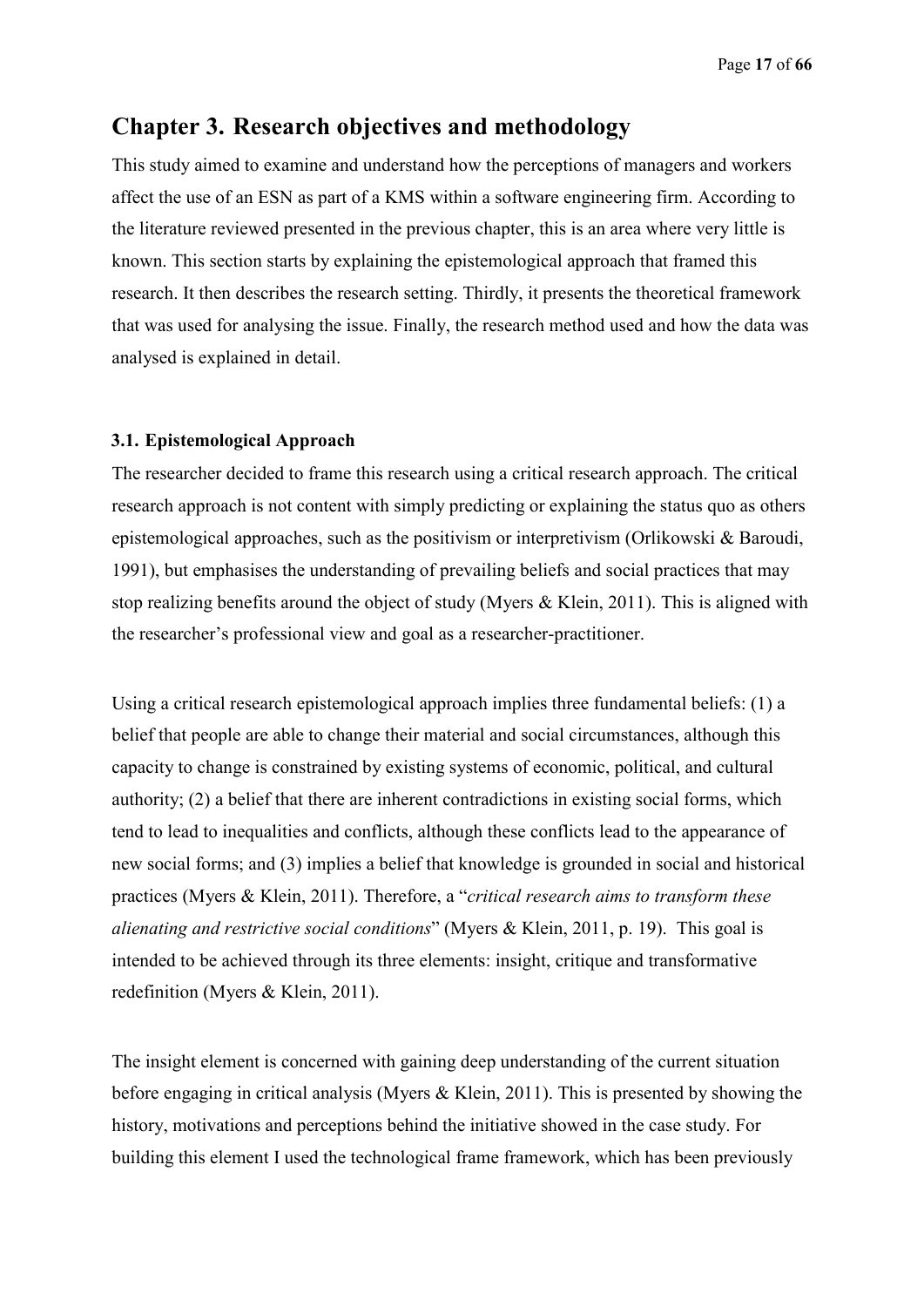# **Chapter 3. Research objectives and methodology**

This study aimed to examine and understand how the perceptions of managers and workers affect the use of an ESN as part of a KMS within a software engineering firm. According to the literature reviewed presented in the previous chapter, this is an area where very little is known. This section starts by explaining the epistemological approach that framed this research. It then describes the research setting. Thirdly, it presents the theoretical framework that was used for analysing the issue. Finally, the research method used and how the data was analysed is explained in detail.

#### **3.1. Epistemological Approach**

The researcher decided to frame this research using a critical research approach. The critical research approach is not content with simply predicting or explaining the status quo as others epistemological approaches, such as the positivism or interpretivism (Orlikowski & Baroudi, 1991), but emphasises the understanding of prevailing beliefs and social practices that may stop realizing benefits around the object of study (Myers & Klein, 2011). This is aligned with the researcher's professional view and goal as a researcher-practitioner.

Using a critical research epistemological approach implies three fundamental beliefs: (1) a belief that people are able to change their material and social circumstances, although this capacity to change is constrained by existing systems of economic, political, and cultural authority; (2) a belief that there are inherent contradictions in existing social forms, which tend to lead to inequalities and conflicts, although these conflicts lead to the appearance of new social forms; and (3) implies a belief that knowledge is grounded in social and historical practices (Myers & Klein, 2011). Therefore, a "*critical research aims to transform these alienating and restrictive social conditions*" (Myers & Klein, 2011, p. 19). This goal is intended to be achieved through its three elements: insight, critique and transformative redefinition (Myers & Klein, 2011).

The insight element is concerned with gaining deep understanding of the current situation before engaging in critical analysis (Myers & Klein, 2011). This is presented by showing the history, motivations and perceptions behind the initiative showed in the case study. For building this element I used the technological frame framework, which has been previously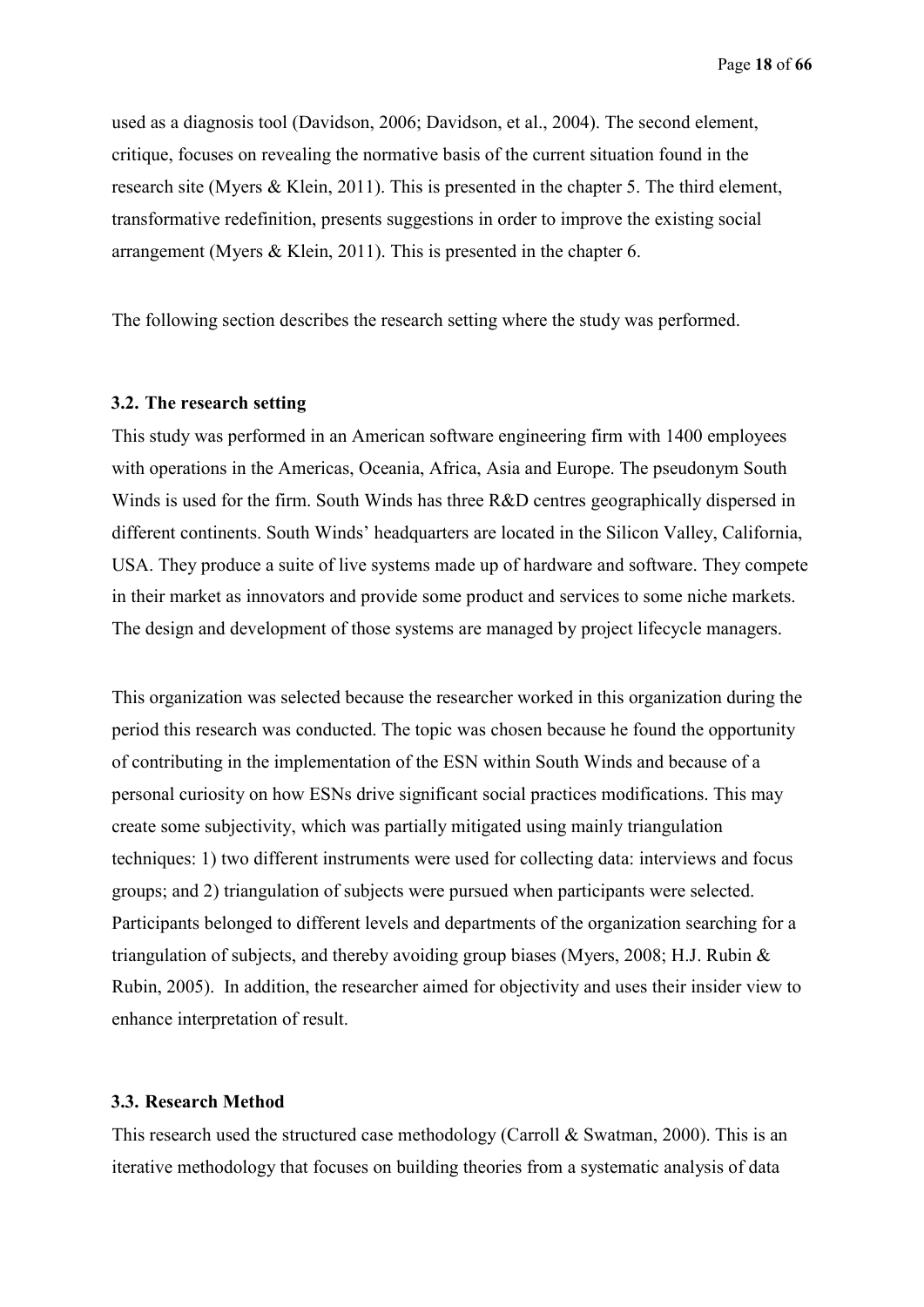used as a diagnosis tool (Davidson, 2006; Davidson, et al., 2004). The second element, critique, focuses on revealing the normative basis of the current situation found in the research site (Myers & Klein, 2011). This is presented in the chapter 5. The third element, transformative redefinition, presents suggestions in order to improve the existing social arrangement (Myers & Klein, 2011). This is presented in the chapter 6.

The following section describes the research setting where the study was performed.

#### **3.2. The research setting**

This study was performed in an American software engineering firm with 1400 employees with operations in the Americas, Oceania, Africa, Asia and Europe. The pseudonym South Winds is used for the firm. South Winds has three R&D centres geographically dispersed in different continents. South Winds' headquarters are located in the Silicon Valley, California, USA. They produce a suite of live systems made up of hardware and software. They compete in their market as innovators and provide some product and services to some niche markets. The design and development of those systems are managed by project lifecycle managers.

This organization was selected because the researcher worked in this organization during the period this research was conducted. The topic was chosen because he found the opportunity of contributing in the implementation of the ESN within South Winds and because of a personal curiosity on how ESNs drive significant social practices modifications. This may create some subjectivity, which was partially mitigated using mainly triangulation techniques: 1) two different instruments were used for collecting data: interviews and focus groups; and 2) triangulation of subjects were pursued when participants were selected. Participants belonged to different levels and departments of the organization searching for a triangulation of subjects, and thereby avoiding group biases (Myers, 2008; H.J. Rubin & Rubin, 2005). In addition, the researcher aimed for objectivity and uses their insider view to enhance interpretation of result.

#### **3.3. Research Method**

This research used the structured case methodology (Carroll & Swatman, 2000). This is an iterative methodology that focuses on building theories from a systematic analysis of data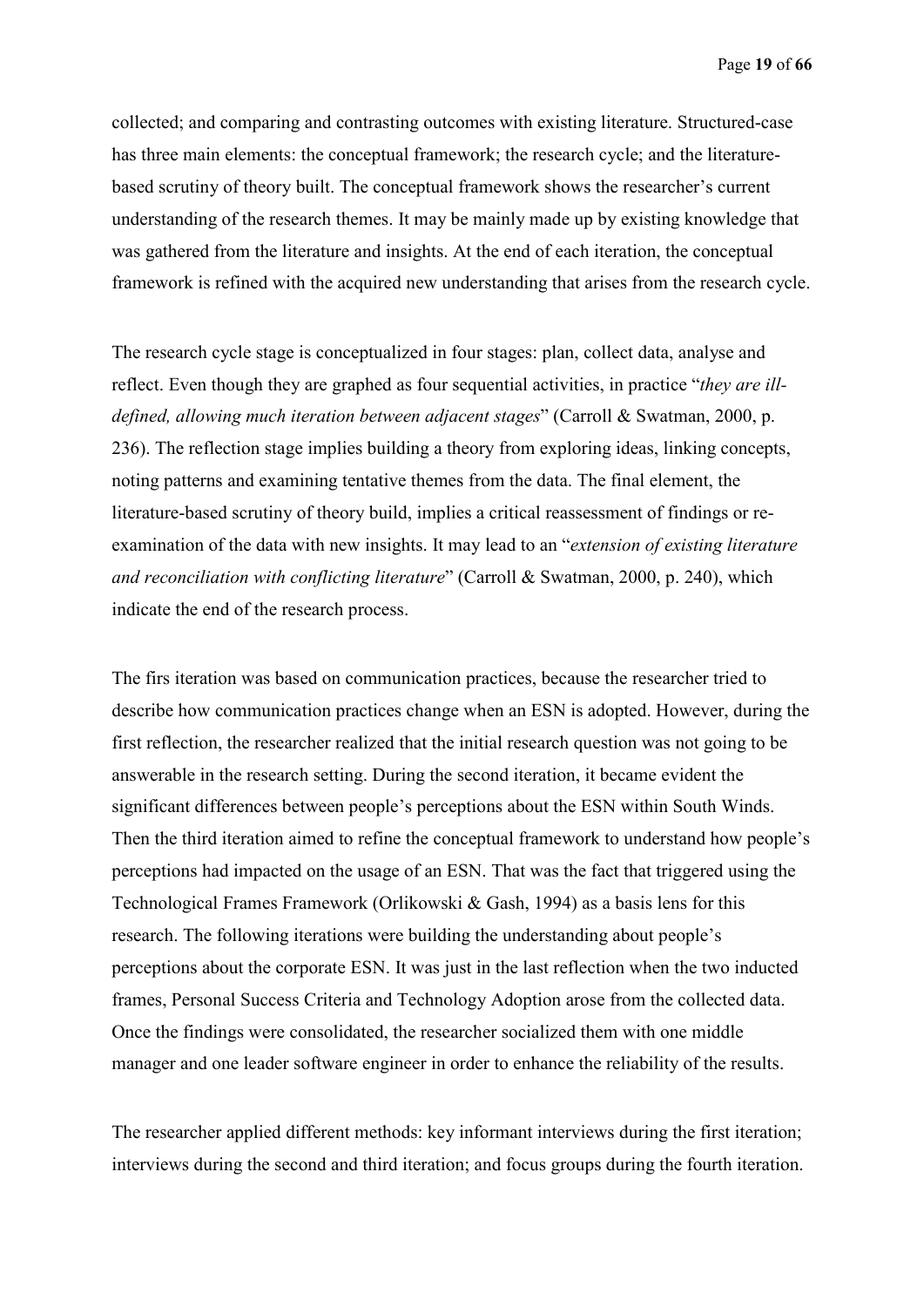collected; and comparing and contrasting outcomes with existing literature. Structured-case has three main elements: the conceptual framework; the research cycle; and the literaturebased scrutiny of theory built. The conceptual framework shows the researcher's current understanding of the research themes. It may be mainly made up by existing knowledge that was gathered from the literature and insights. At the end of each iteration, the conceptual framework is refined with the acquired new understanding that arises from the research cycle.

The research cycle stage is conceptualized in four stages: plan, collect data, analyse and reflect. Even though they are graphed as four sequential activities, in practice "*they are illdefined, allowing much iteration between adjacent stages*" (Carroll & Swatman, 2000, p. 236). The reflection stage implies building a theory from exploring ideas, linking concepts, noting patterns and examining tentative themes from the data. The final element, the literature-based scrutiny of theory build, implies a critical reassessment of findings or reexamination of the data with new insights. It may lead to an "*extension of existing literature and reconciliation with conflicting literature*" (Carroll & Swatman, 2000, p. 240), which indicate the end of the research process.

The firs iteration was based on communication practices, because the researcher tried to describe how communication practices change when an ESN is adopted. However, during the first reflection, the researcher realized that the initial research question was not going to be answerable in the research setting. During the second iteration, it became evident the significant differences between people's perceptions about the ESN within South Winds. Then the third iteration aimed to refine the conceptual framework to understand how people's perceptions had impacted on the usage of an ESN. That was the fact that triggered using the Technological Frames Framework (Orlikowski & Gash, 1994) as a basis lens for this research. The following iterations were building the understanding about people's perceptions about the corporate ESN. It was just in the last reflection when the two inducted frames, Personal Success Criteria and Technology Adoption arose from the collected data. Once the findings were consolidated, the researcher socialized them with one middle manager and one leader software engineer in order to enhance the reliability of the results.

The researcher applied different methods: key informant interviews during the first iteration; interviews during the second and third iteration; and focus groups during the fourth iteration.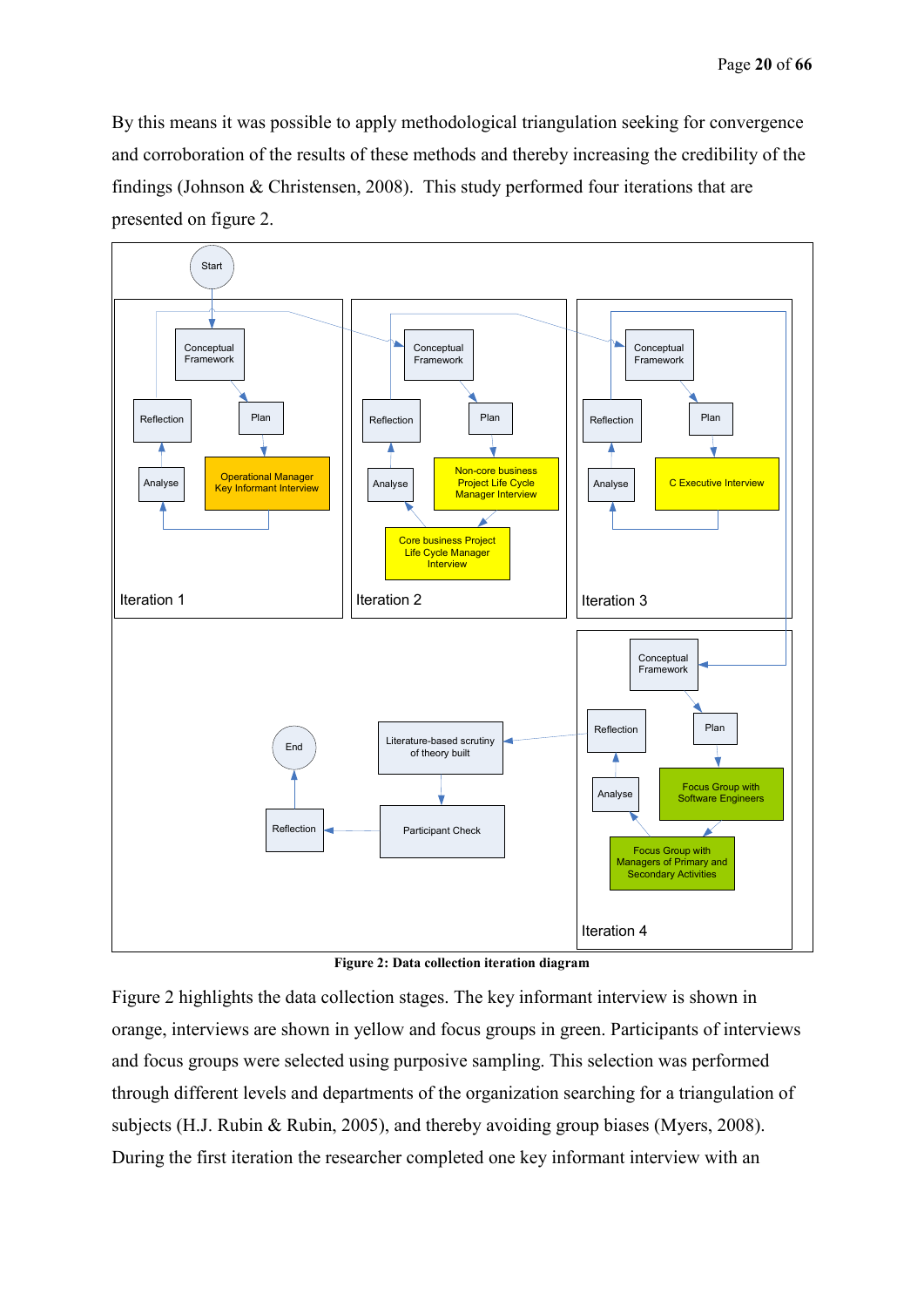By this means it was possible to apply methodological triangulation seeking for convergence and corroboration of the results of these methods and thereby increasing the credibility of the findings (Johnson & Christensen, 2008). This study performed four iterations that are presented on figure 2.



**Figure 2: Data collection iteration diagram**

Figure 2 highlights the data collection stages. The key informant interview is shown in orange, interviews are shown in yellow and focus groups in green. Participants of interviews and focus groups were selected using purposive sampling. This selection was performed through different levels and departments of the organization searching for a triangulation of subjects (H.J. Rubin & Rubin, 2005), and thereby avoiding group biases (Myers, 2008). During the first iteration the researcher completed one key informant interview with an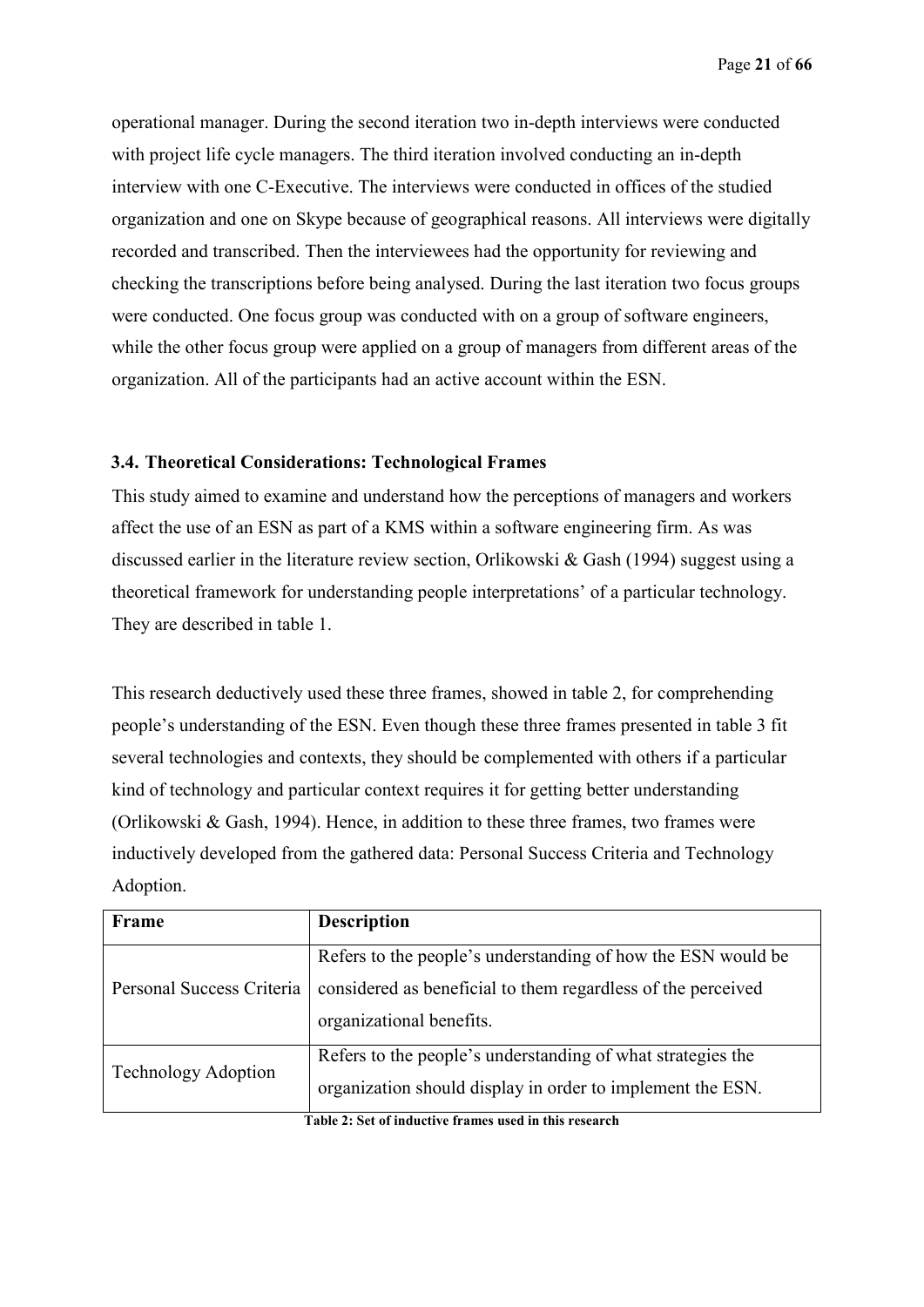operational manager. During the second iteration two in-depth interviews were conducted with project life cycle managers. The third iteration involved conducting an in-depth interview with one C-Executive. The interviews were conducted in offices of the studied organization and one on Skype because of geographical reasons. All interviews were digitally recorded and transcribed. Then the interviewees had the opportunity for reviewing and checking the transcriptions before being analysed. During the last iteration two focus groups were conducted. One focus group was conducted with on a group of software engineers, while the other focus group were applied on a group of managers from different areas of the organization. All of the participants had an active account within the ESN.

### **3.4. Theoretical Considerations: Technological Frames**

This study aimed to examine and understand how the perceptions of managers and workers affect the use of an ESN as part of a KMS within a software engineering firm. As was discussed earlier in the literature review section, Orlikowski & Gash (1994) suggest using a theoretical framework for understanding people interpretations' of a particular technology. They are described in table 1.

This research deductively used these three frames, showed in table 2, for comprehending people's understanding of the ESN. Even though these three frames presented in table 3 fit several technologies and contexts, they should be complemented with others if a particular kind of technology and particular context requires it for getting better understanding (Orlikowski & Gash, 1994). Hence, in addition to these three frames, two frames were inductively developed from the gathered data: Personal Success Criteria and Technology Adoption.

| Frame                      | <b>Description</b>                                                                                                                                       |
|----------------------------|----------------------------------------------------------------------------------------------------------------------------------------------------------|
| Personal Success Criteria  | Refers to the people's understanding of how the ESN would be<br>considered as beneficial to them regardless of the perceived<br>organizational benefits. |
| <b>Technology Adoption</b> | Refers to the people's understanding of what strategies the<br>organization should display in order to implement the ESN.                                |

**Table 2: Set of inductive frames used in this research**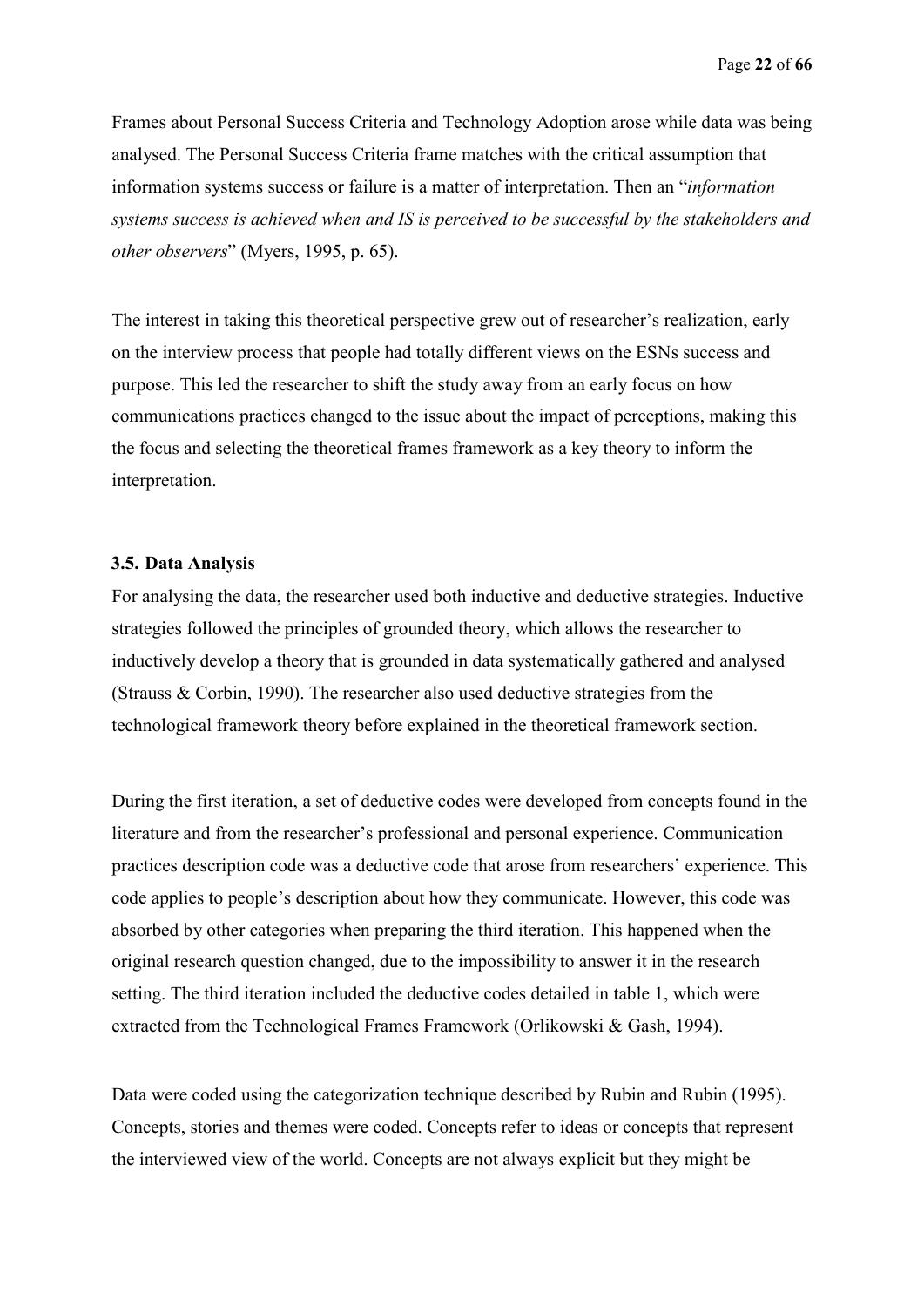Frames about Personal Success Criteria and Technology Adoption arose while data was being analysed. The Personal Success Criteria frame matches with the critical assumption that information systems success or failure is a matter of interpretation. Then an "*information systems success is achieved when and IS is perceived to be successful by the stakeholders and other observers*" (Myers, 1995, p. 65).

The interest in taking this theoretical perspective grew out of researcher's realization, early on the interview process that people had totally different views on the ESNs success and purpose. This led the researcher to shift the study away from an early focus on how communications practices changed to the issue about the impact of perceptions, making this the focus and selecting the theoretical frames framework as a key theory to inform the interpretation.

#### **3.5. Data Analysis**

For analysing the data, the researcher used both inductive and deductive strategies. Inductive strategies followed the principles of grounded theory, which allows the researcher to inductively develop a theory that is grounded in data systematically gathered and analysed (Strauss & Corbin, 1990). The researcher also used deductive strategies from the technological framework theory before explained in the theoretical framework section.

During the first iteration, a set of deductive codes were developed from concepts found in the literature and from the researcher's professional and personal experience. Communication practices description code was a deductive code that arose from researchers' experience. This code applies to people's description about how they communicate. However, this code was absorbed by other categories when preparing the third iteration. This happened when the original research question changed, due to the impossibility to answer it in the research setting. The third iteration included the deductive codes detailed in table 1, which were extracted from the Technological Frames Framework (Orlikowski & Gash, 1994).

Data were coded using the categorization technique described by Rubin and Rubin (1995). Concepts, stories and themes were coded. Concepts refer to ideas or concepts that represent the interviewed view of the world. Concepts are not always explicit but they might be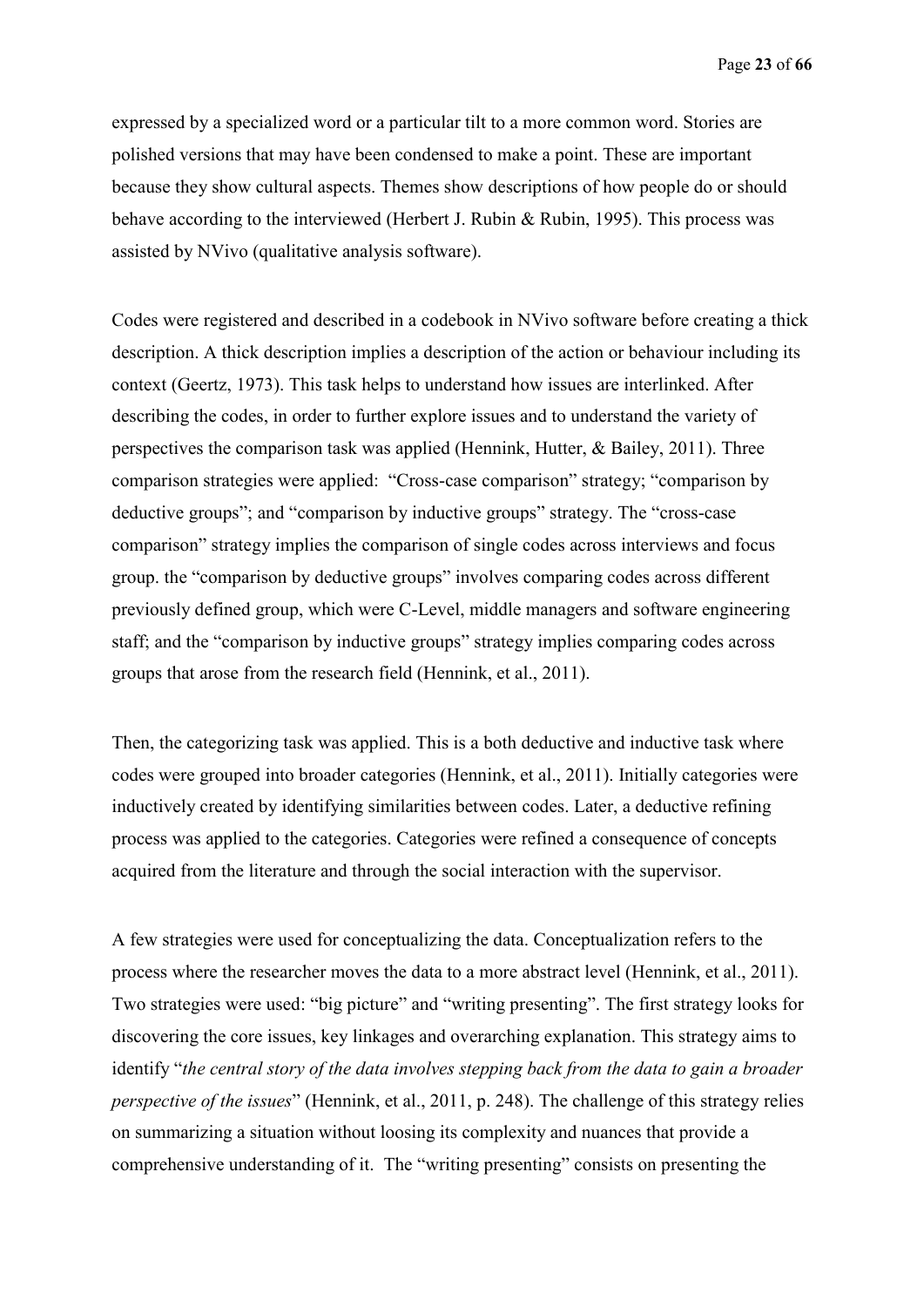Page **23** of **66**

expressed by a specialized word or a particular tilt to a more common word. Stories are polished versions that may have been condensed to make a point. These are important because they show cultural aspects. Themes show descriptions of how people do or should behave according to the interviewed (Herbert J. Rubin & Rubin, 1995). This process was assisted by NVivo (qualitative analysis software).

Codes were registered and described in a codebook in NVivo software before creating a thick description. A thick description implies a description of the action or behaviour including its context (Geertz, 1973). This task helps to understand how issues are interlinked. After describing the codes, in order to further explore issues and to understand the variety of perspectives the comparison task was applied (Hennink, Hutter, & Bailey, 2011). Three comparison strategies were applied: "Cross-case comparison" strategy; "comparison by deductive groups"; and "comparison by inductive groups" strategy. The "cross-case comparison" strategy implies the comparison of single codes across interviews and focus group. the "comparison by deductive groups" involves comparing codes across different previously defined group, which were C-Level, middle managers and software engineering staff; and the "comparison by inductive groups" strategy implies comparing codes across groups that arose from the research field (Hennink, et al., 2011).

Then, the categorizing task was applied. This is a both deductive and inductive task where codes were grouped into broader categories (Hennink, et al., 2011). Initially categories were inductively created by identifying similarities between codes. Later, a deductive refining process was applied to the categories. Categories were refined a consequence of concepts acquired from the literature and through the social interaction with the supervisor.

A few strategies were used for conceptualizing the data. Conceptualization refers to the process where the researcher moves the data to a more abstract level (Hennink, et al., 2011). Two strategies were used: "big picture" and "writing presenting". The first strategy looks for discovering the core issues, key linkages and overarching explanation. This strategy aims to identify "*the central story of the data involves stepping back from the data to gain a broader perspective of the issues*" (Hennink, et al., 2011, p. 248). The challenge of this strategy relies on summarizing a situation without loosing its complexity and nuances that provide a comprehensive understanding of it. The "writing presenting" consists on presenting the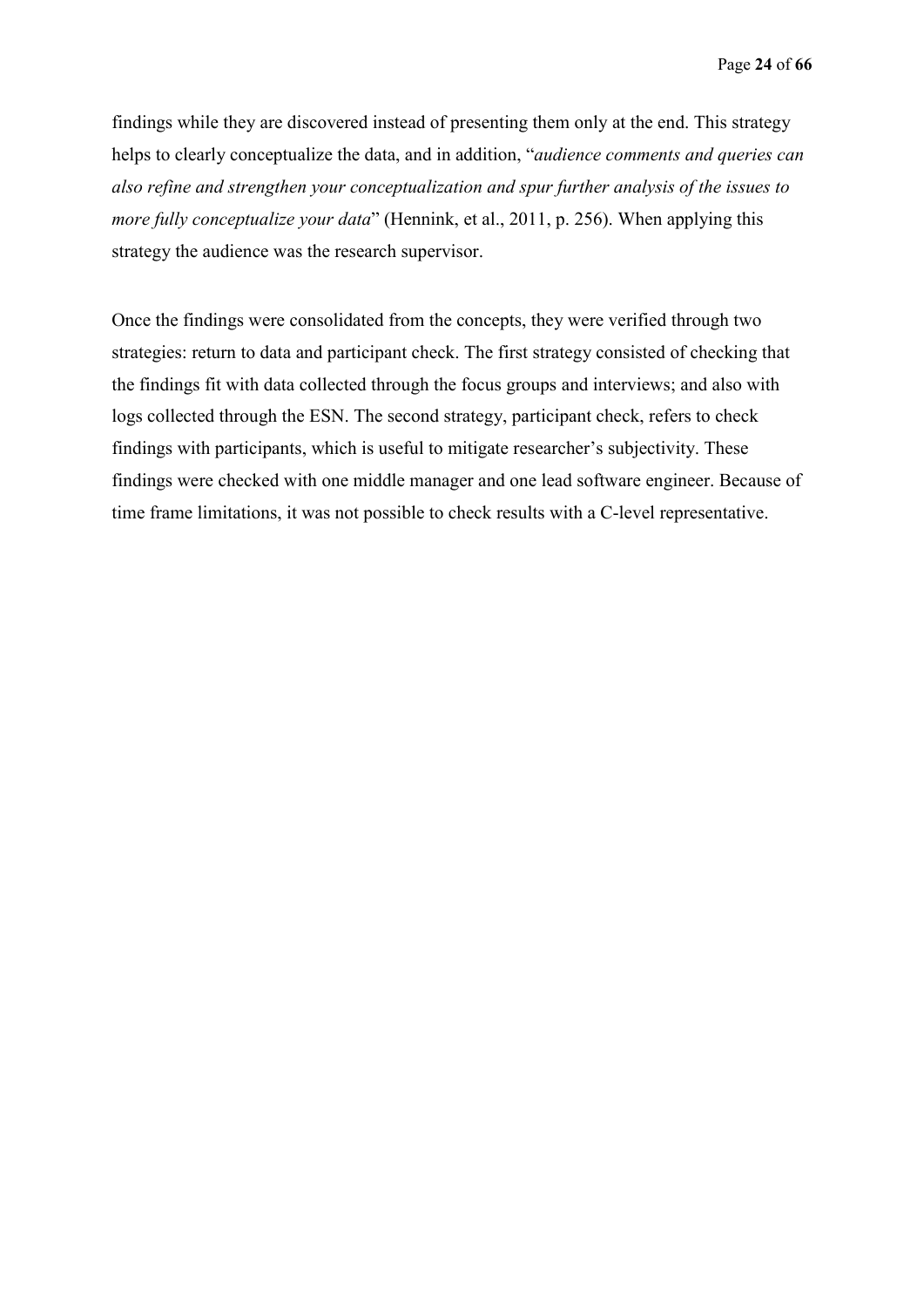findings while they are discovered instead of presenting them only at the end. This strategy helps to clearly conceptualize the data, and in addition, "*audience comments and queries can also refine and strengthen your conceptualization and spur further analysis of the issues to more fully conceptualize your data*" (Hennink, et al., 2011, p. 256). When applying this strategy the audience was the research supervisor.

Once the findings were consolidated from the concepts, they were verified through two strategies: return to data and participant check. The first strategy consisted of checking that the findings fit with data collected through the focus groups and interviews; and also with logs collected through the ESN. The second strategy, participant check, refers to check findings with participants, which is useful to mitigate researcher's subjectivity. These findings were checked with one middle manager and one lead software engineer. Because of time frame limitations, it was not possible to check results with a C-level representative.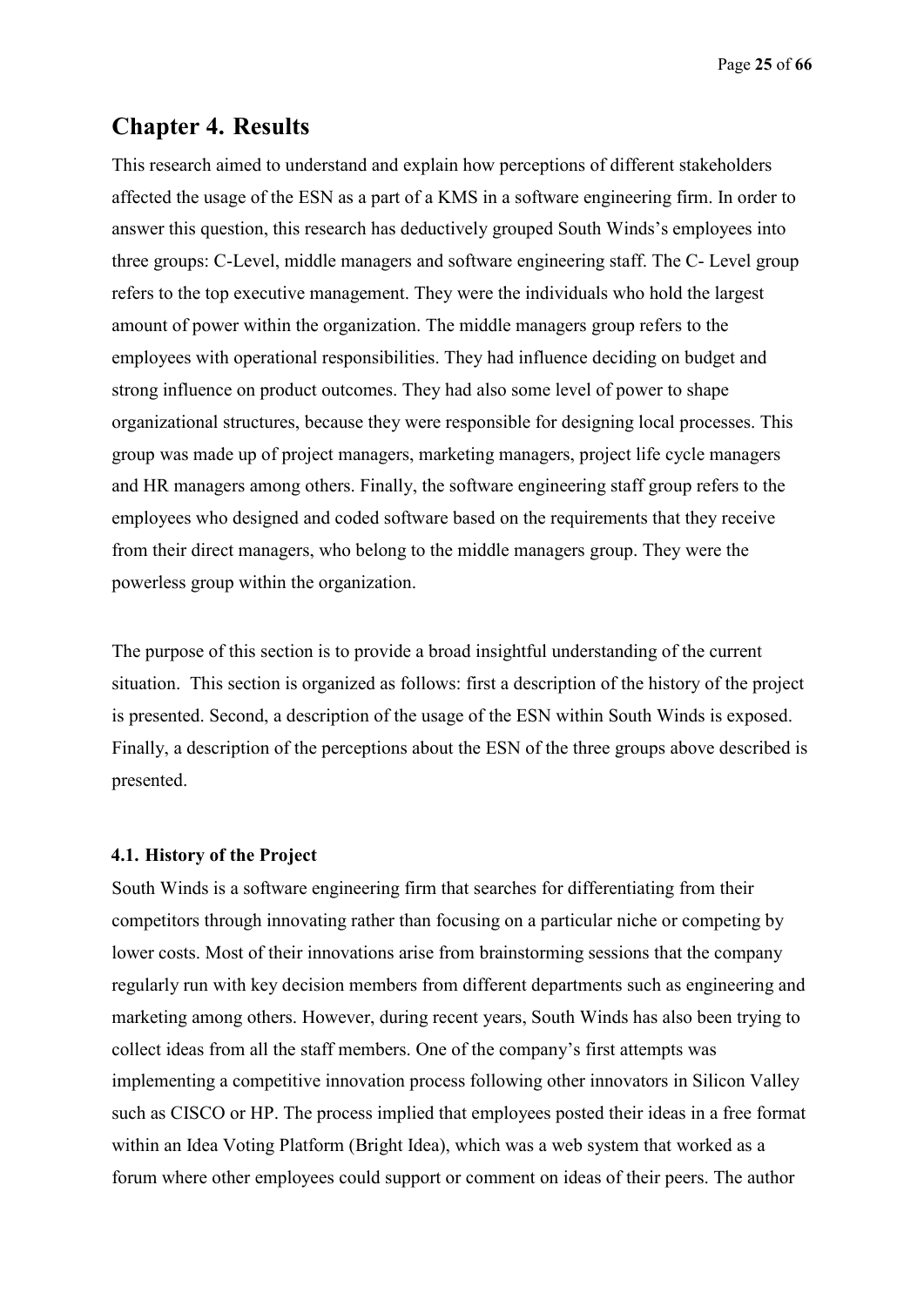Page **25** of **66**

# **Chapter 4. Results**

This research aimed to understand and explain how perceptions of different stakeholders affected the usage of the ESN as a part of a KMS in a software engineering firm. In order to answer this question, this research has deductively grouped South Winds's employees into three groups: C-Level, middle managers and software engineering staff. The C- Level group refers to the top executive management. They were the individuals who hold the largest amount of power within the organization. The middle managers group refers to the employees with operational responsibilities. They had influence deciding on budget and strong influence on product outcomes. They had also some level of power to shape organizational structures, because they were responsible for designing local processes. This group was made up of project managers, marketing managers, project life cycle managers and HR managers among others. Finally, the software engineering staff group refers to the employees who designed and coded software based on the requirements that they receive from their direct managers, who belong to the middle managers group. They were the powerless group within the organization.

The purpose of this section is to provide a broad insightful understanding of the current situation. This section is organized as follows: first a description of the history of the project is presented. Second, a description of the usage of the ESN within South Winds is exposed. Finally, a description of the perceptions about the ESN of the three groups above described is presented.

#### **4.1. History of the Project**

South Winds is a software engineering firm that searches for differentiating from their competitors through innovating rather than focusing on a particular niche or competing by lower costs. Most of their innovations arise from brainstorming sessions that the company regularly run with key decision members from different departments such as engineering and marketing among others. However, during recent years, South Winds has also been trying to collect ideas from all the staff members. One of the company's first attempts was implementing a competitive innovation process following other innovators in Silicon Valley such as CISCO or HP. The process implied that employees posted their ideas in a free format within an Idea Voting Platform (Bright Idea), which was a web system that worked as a forum where other employees could support or comment on ideas of their peers. The author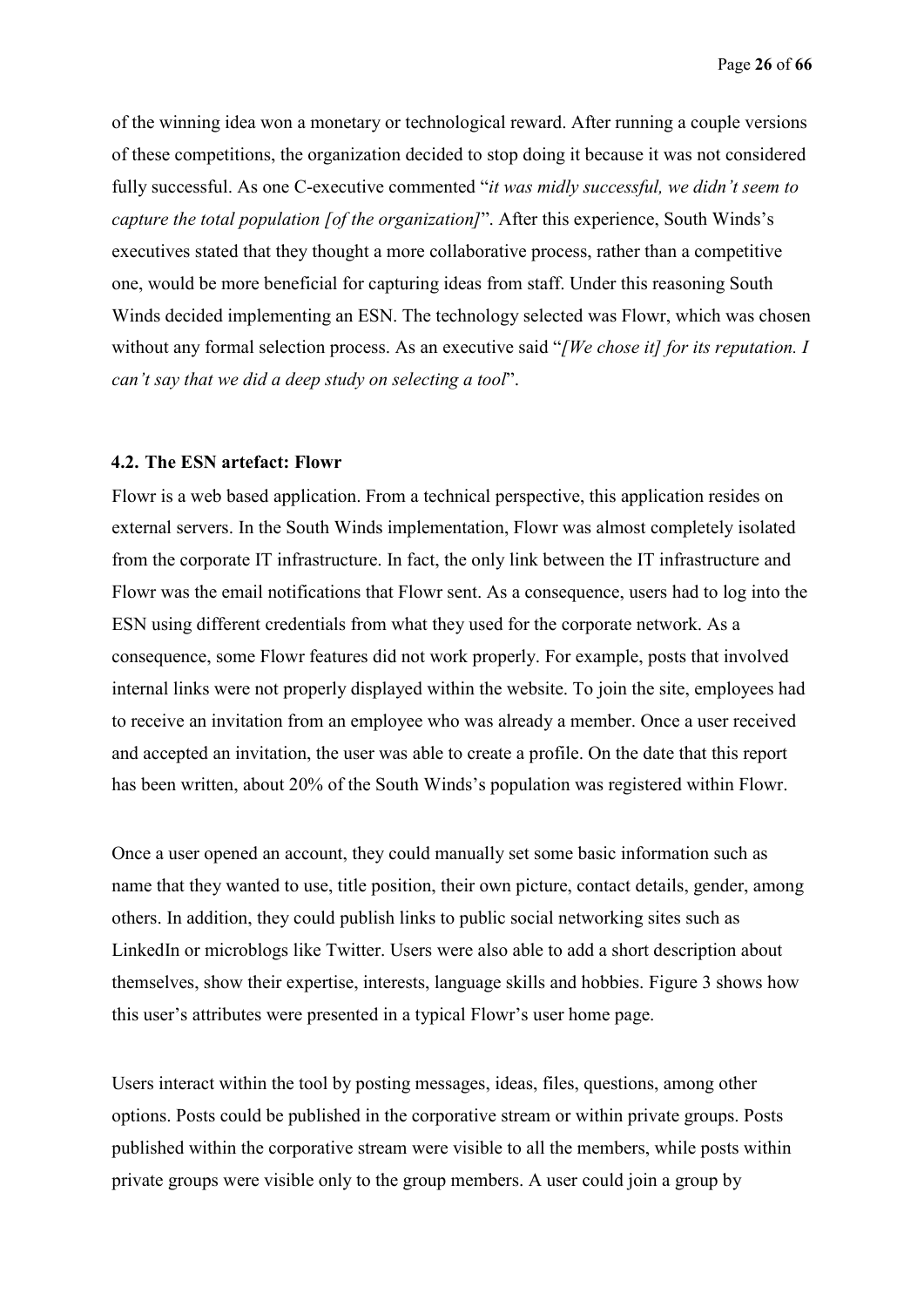of the winning idea won a monetary or technological reward. After running a couple versions of these competitions, the organization decided to stop doing it because it was not considered fully successful. As one C-executive commented "*it was midly successful, we didn't seem to capture the total population [of the organization]*". After this experience, South Winds's executives stated that they thought a more collaborative process, rather than a competitive one, would be more beneficial for capturing ideas from staff. Under this reasoning South Winds decided implementing an ESN. The technology selected was Flowr, which was chosen without any formal selection process. As an executive said "*[We chose it] for its reputation. I can't say that we did a deep study on selecting a tool*".

#### **4.2. The ESN artefact: Flowr**

Flowr is a web based application. From a technical perspective, this application resides on external servers. In the South Winds implementation, Flowr was almost completely isolated from the corporate IT infrastructure. In fact, the only link between the IT infrastructure and Flowr was the email notifications that Flowr sent. As a consequence, users had to log into the ESN using different credentials from what they used for the corporate network. As a consequence, some Flowr features did not work properly. For example, posts that involved internal links were not properly displayed within the website. To join the site, employees had to receive an invitation from an employee who was already a member. Once a user received and accepted an invitation, the user was able to create a profile. On the date that this report has been written, about 20% of the South Winds's population was registered within Flowr.

Once a user opened an account, they could manually set some basic information such as name that they wanted to use, title position, their own picture, contact details, gender, among others. In addition, they could publish links to public social networking sites such as LinkedIn or microblogs like Twitter. Users were also able to add a short description about themselves, show their expertise, interests, language skills and hobbies. Figure 3 shows how this user's attributes were presented in a typical Flowr's user home page.

Users interact within the tool by posting messages, ideas, files, questions, among other options. Posts could be published in the corporative stream or within private groups. Posts published within the corporative stream were visible to all the members, while posts within private groups were visible only to the group members. A user could join a group by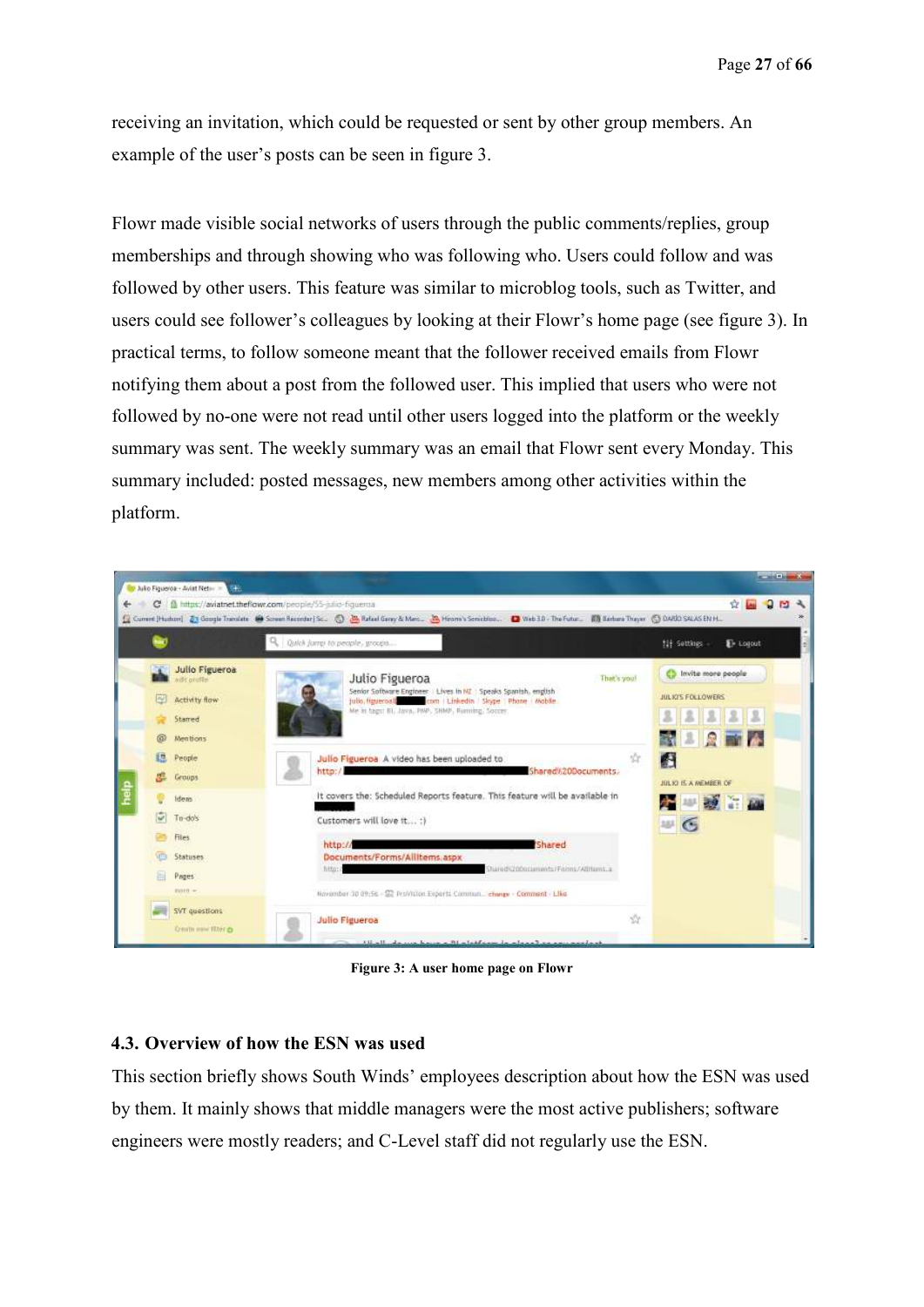receiving an invitation, which could be requested or sent by other group members. An example of the user's posts can be seen in figure 3.

Flowr made visible social networks of users through the public comments/replies, group memberships and through showing who was following who. Users could follow and was followed by other users. This feature was similar to microblog tools, such as Twitter, and users could see follower's colleagues by looking at their Flowr's home page (see figure 3). In practical terms, to follow someone meant that the follower received emails from Flowr notifying them about a post from the followed user. This implied that users who were not followed by no-one were not read until other users logged into the platform or the weekly summary was sent. The weekly summary was an email that Flowr sent every Monday. This summary included: posted messages, new members among other activities within the platform.



**Figure 3: A user home page on Flowr**

### **4.3. Overview of how the ESN was used**

This section briefly shows South Winds' employees description about how the ESN was used by them. It mainly shows that middle managers were the most active publishers; software engineers were mostly readers; and C-Level staff did not regularly use the ESN.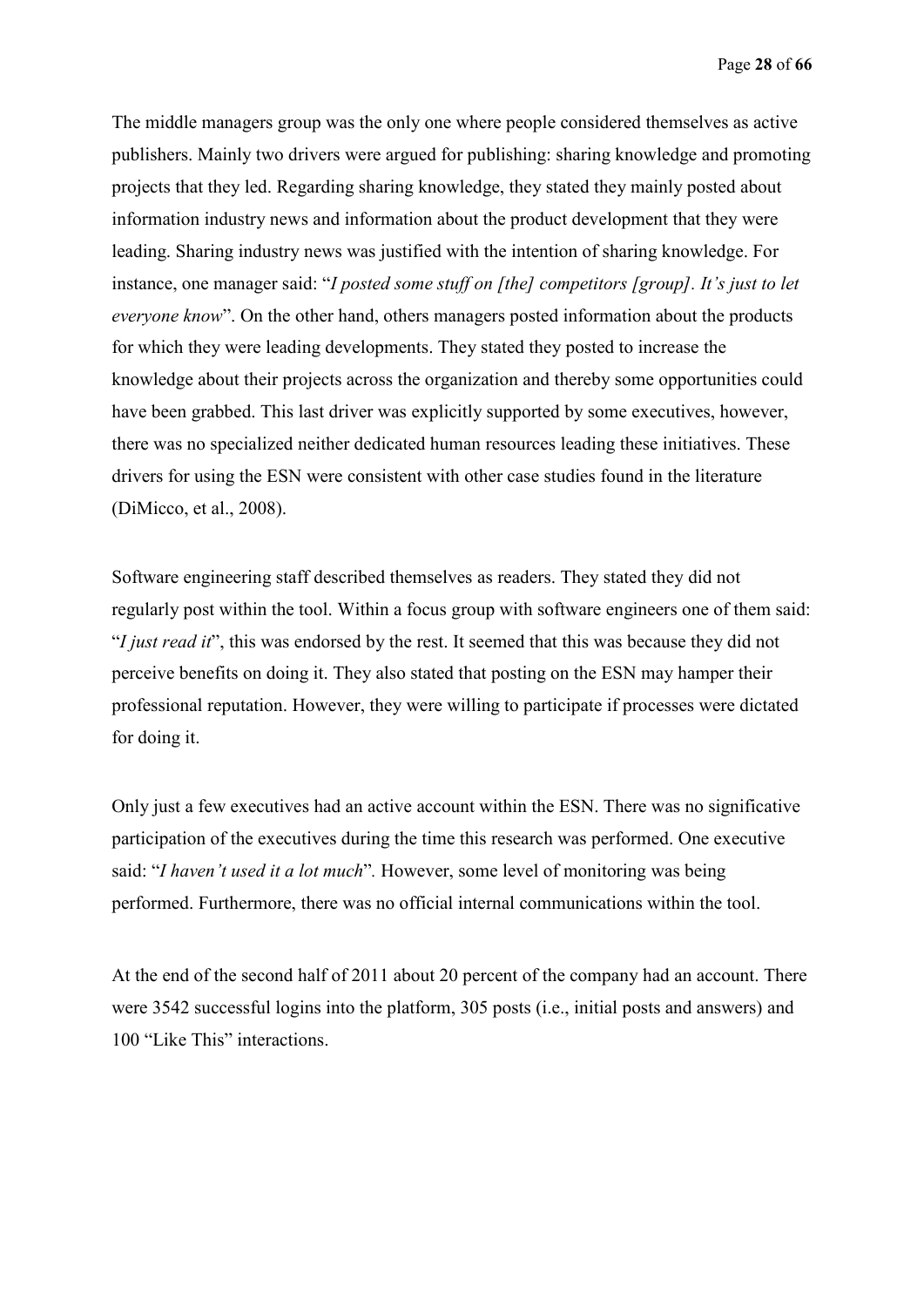The middle managers group was the only one where people considered themselves as active publishers. Mainly two drivers were argued for publishing: sharing knowledge and promoting projects that they led. Regarding sharing knowledge, they stated they mainly posted about information industry news and information about the product development that they were leading. Sharing industry news was justified with the intention of sharing knowledge. For instance, one manager said: "*I posted some stuff on [the] competitors [group]. It's just to let everyone know*". On the other hand, others managers posted information about the products for which they were leading developments. They stated they posted to increase the knowledge about their projects across the organization and thereby some opportunities could have been grabbed. This last driver was explicitly supported by some executives, however, there was no specialized neither dedicated human resources leading these initiatives. These drivers for using the ESN were consistent with other case studies found in the literature (DiMicco, et al., 2008).

Software engineering staff described themselves as readers. They stated they did not regularly post within the tool. Within a focus group with software engineers one of them said: "*I just read it*", this was endorsed by the rest. It seemed that this was because they did not perceive benefits on doing it. They also stated that posting on the ESN may hamper their professional reputation. However, they were willing to participate if processes were dictated for doing it.

Only just a few executives had an active account within the ESN. There was no significative participation of the executives during the time this research was performed. One executive said: "*I haven't used it a lot much*"*.* However, some level of monitoring was being performed. Furthermore, there was no official internal communications within the tool.

At the end of the second half of 2011 about 20 percent of the company had an account. There were 3542 successful logins into the platform, 305 posts (i.e., initial posts and answers) and 100 "Like This" interactions.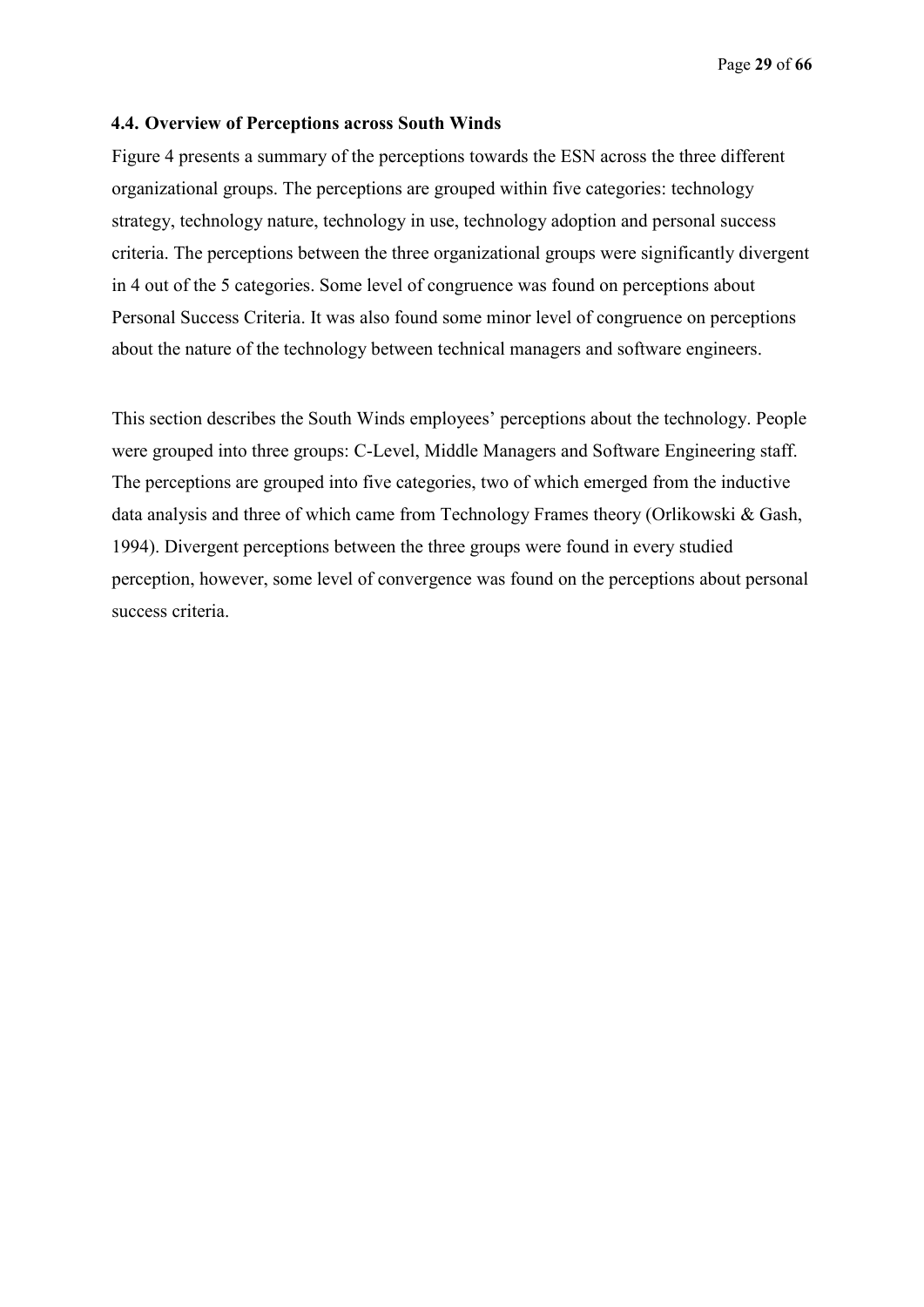#### **4.4. Overview of Perceptions across South Winds**

Figure 4 presents a summary of the perceptions towards the ESN across the three different organizational groups. The perceptions are grouped within five categories: technology strategy, technology nature, technology in use, technology adoption and personal success criteria. The perceptions between the three organizational groups were significantly divergent in 4 out of the 5 categories. Some level of congruence was found on perceptions about Personal Success Criteria. It was also found some minor level of congruence on perceptions about the nature of the technology between technical managers and software engineers.

This section describes the South Winds employees' perceptions about the technology. People were grouped into three groups: C-Level, Middle Managers and Software Engineering staff. The perceptions are grouped into five categories, two of which emerged from the inductive data analysis and three of which came from Technology Frames theory (Orlikowski & Gash, 1994). Divergent perceptions between the three groups were found in every studied perception, however, some level of convergence was found on the perceptions about personal success criteria.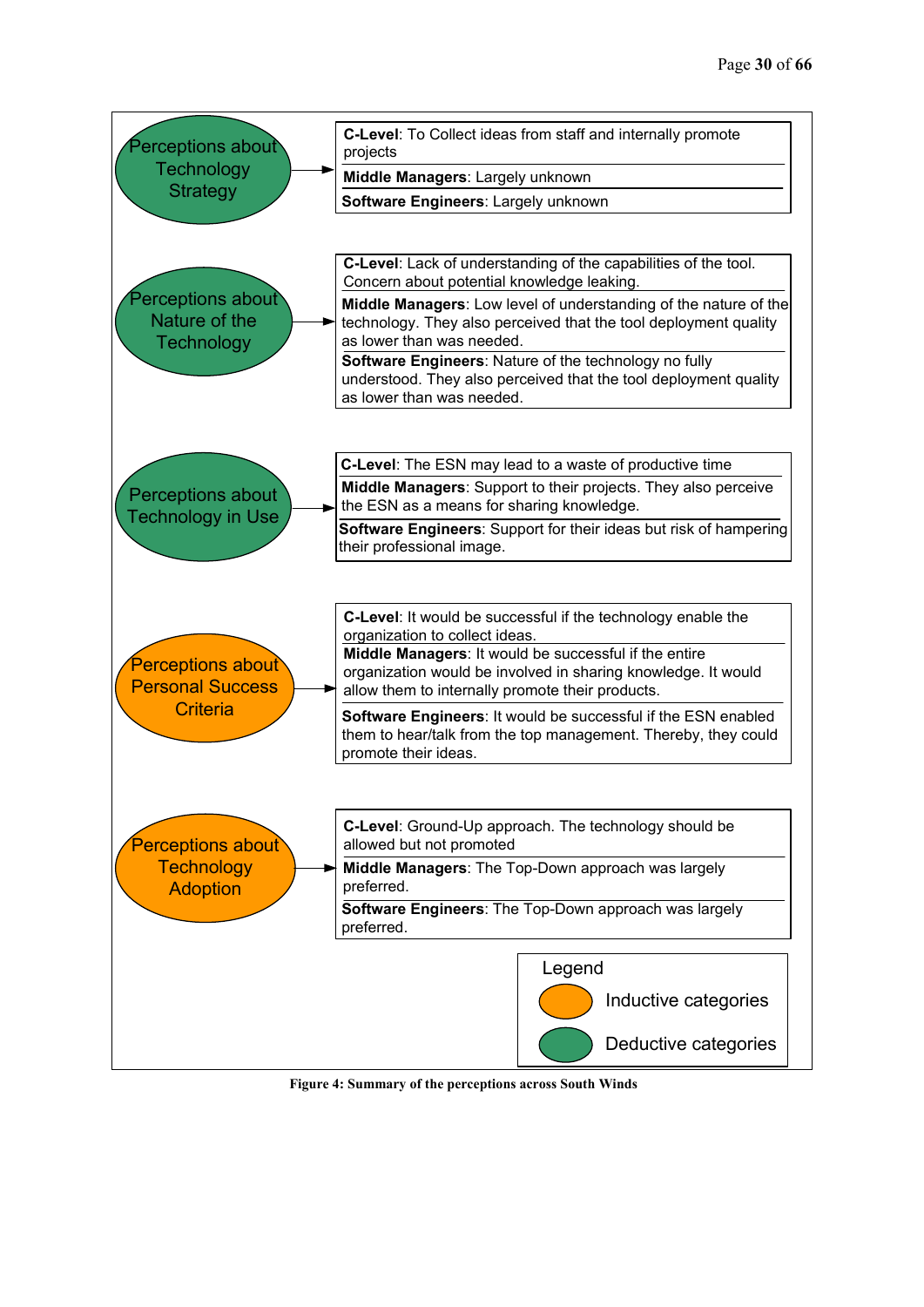

 **Figure 4: Summary of the perceptions across South Winds**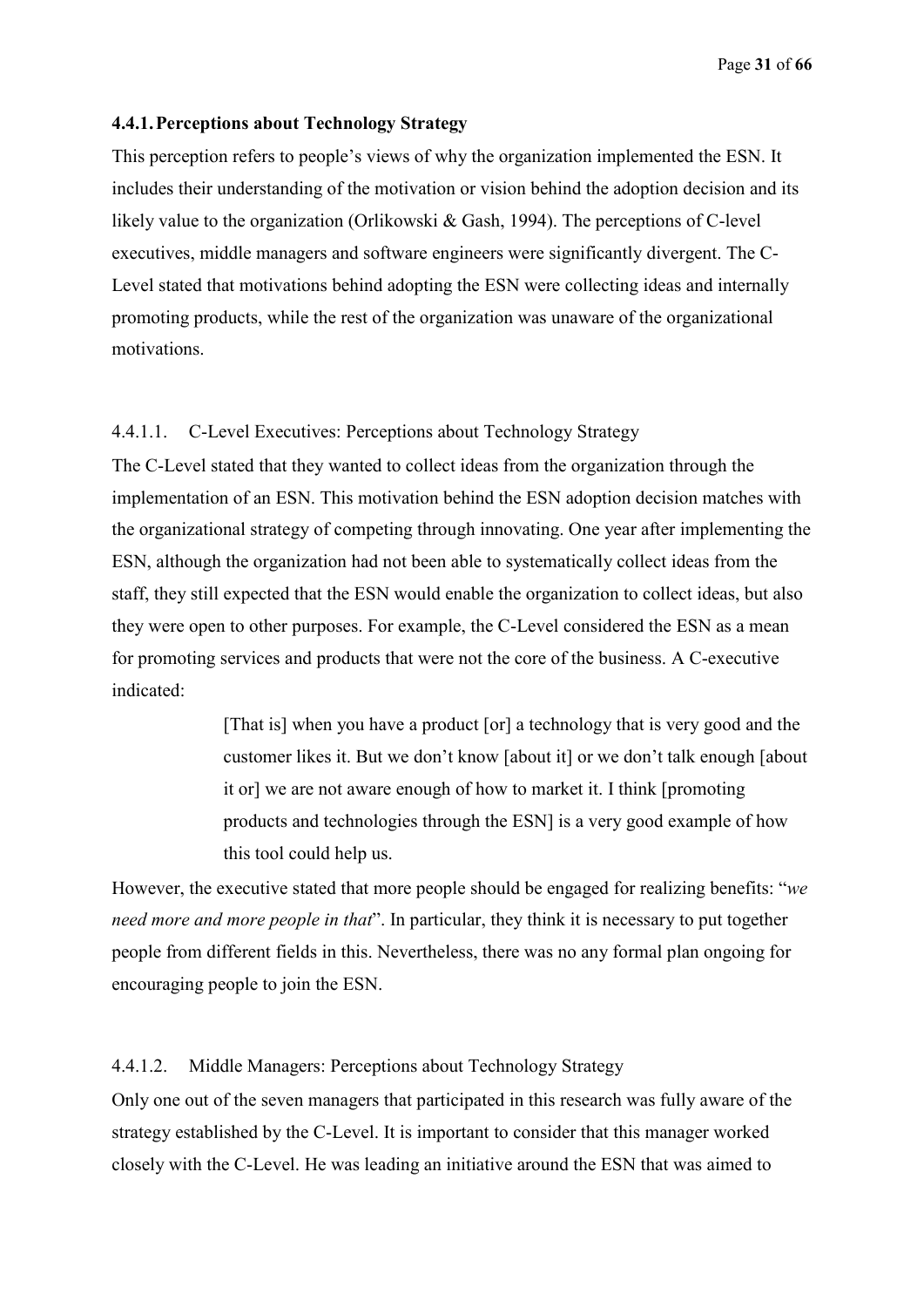#### **4.4.1.Perceptions about Technology Strategy**

This perception refers to people's views of why the organization implemented the ESN. It includes their understanding of the motivation or vision behind the adoption decision and its likely value to the organization (Orlikowski & Gash, 1994). The perceptions of C-level executives, middle managers and software engineers were significantly divergent. The C-Level stated that motivations behind adopting the ESN were collecting ideas and internally promoting products, while the rest of the organization was unaware of the organizational motivations.

### 4.4.1.1. C-Level Executives: Perceptions about Technology Strategy

The C-Level stated that they wanted to collect ideas from the organization through the implementation of an ESN. This motivation behind the ESN adoption decision matches with the organizational strategy of competing through innovating. One year after implementing the ESN, although the organization had not been able to systematically collect ideas from the staff, they still expected that the ESN would enable the organization to collect ideas, but also they were open to other purposes. For example, the C-Level considered the ESN as a mean for promoting services and products that were not the core of the business. A C-executive indicated:

> [That is] when you have a product [or] a technology that is very good and the customer likes it. But we don't know [about it] or we don't talk enough [about it or] we are not aware enough of how to market it. I think [promoting products and technologies through the ESN] is a very good example of how this tool could help us.

However, the executive stated that more people should be engaged for realizing benefits: "*we need more and more people in that*". In particular, they think it is necessary to put together people from different fields in this. Nevertheless, there was no any formal plan ongoing for encouraging people to join the ESN.

### 4.4.1.2. Middle Managers: Perceptions about Technology Strategy

Only one out of the seven managers that participated in this research was fully aware of the strategy established by the C-Level. It is important to consider that this manager worked closely with the C-Level. He was leading an initiative around the ESN that was aimed to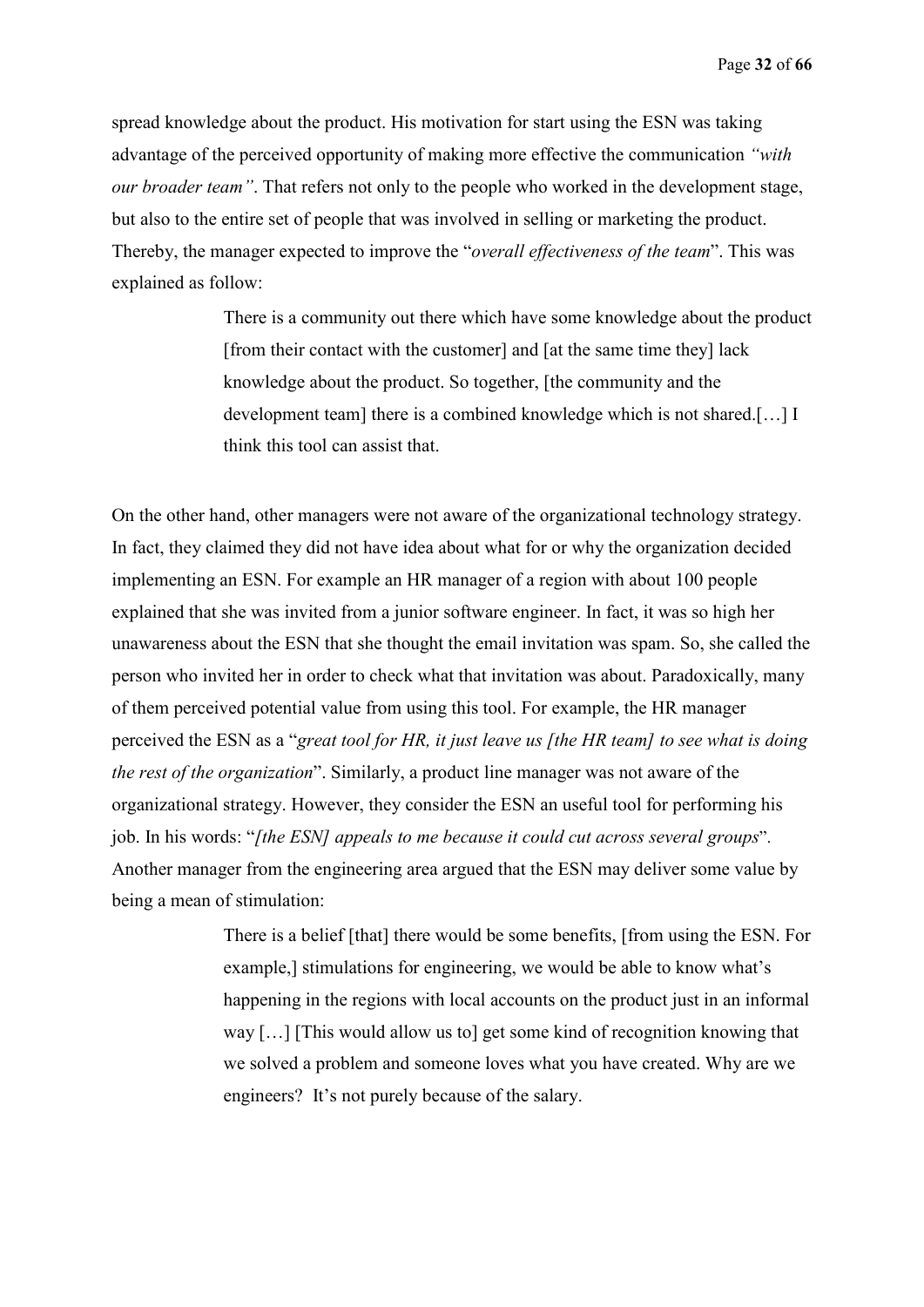spread knowledge about the product. His motivation for start using the ESN was taking advantage of the perceived opportunity of making more effective the communication *"with our broader team"*. That refers not only to the people who worked in the development stage, but also to the entire set of people that was involved in selling or marketing the product. Thereby, the manager expected to improve the "*overall effectiveness of the team*". This was explained as follow:

> There is a community out there which have some knowledge about the product [from their contact with the customer] and [at the same time they] lack knowledge about the product. So together, [the community and the development team] there is a combined knowledge which is not shared.[…] I think this tool can assist that.

On the other hand, other managers were not aware of the organizational technology strategy. In fact, they claimed they did not have idea about what for or why the organization decided implementing an ESN. For example an HR manager of a region with about 100 people explained that she was invited from a junior software engineer. In fact, it was so high her unawareness about the ESN that she thought the email invitation was spam. So, she called the person who invited her in order to check what that invitation was about. Paradoxically, many of them perceived potential value from using this tool. For example, the HR manager perceived the ESN as a "*great tool for HR, it just leave us [the HR team] to see what is doing the rest of the organization*". Similarly, a product line manager was not aware of the organizational strategy. However, they consider the ESN an useful tool for performing his job. In his words: "*[the ESN] appeals to me because it could cut across several groups*". Another manager from the engineering area argued that the ESN may deliver some value by being a mean of stimulation:

> There is a belief [that] there would be some benefits, [from using the ESN. For example,] stimulations for engineering, we would be able to know what's happening in the regions with local accounts on the product just in an informal way […] [This would allow us to] get some kind of recognition knowing that we solved a problem and someone loves what you have created. Why are we engineers? It's not purely because of the salary.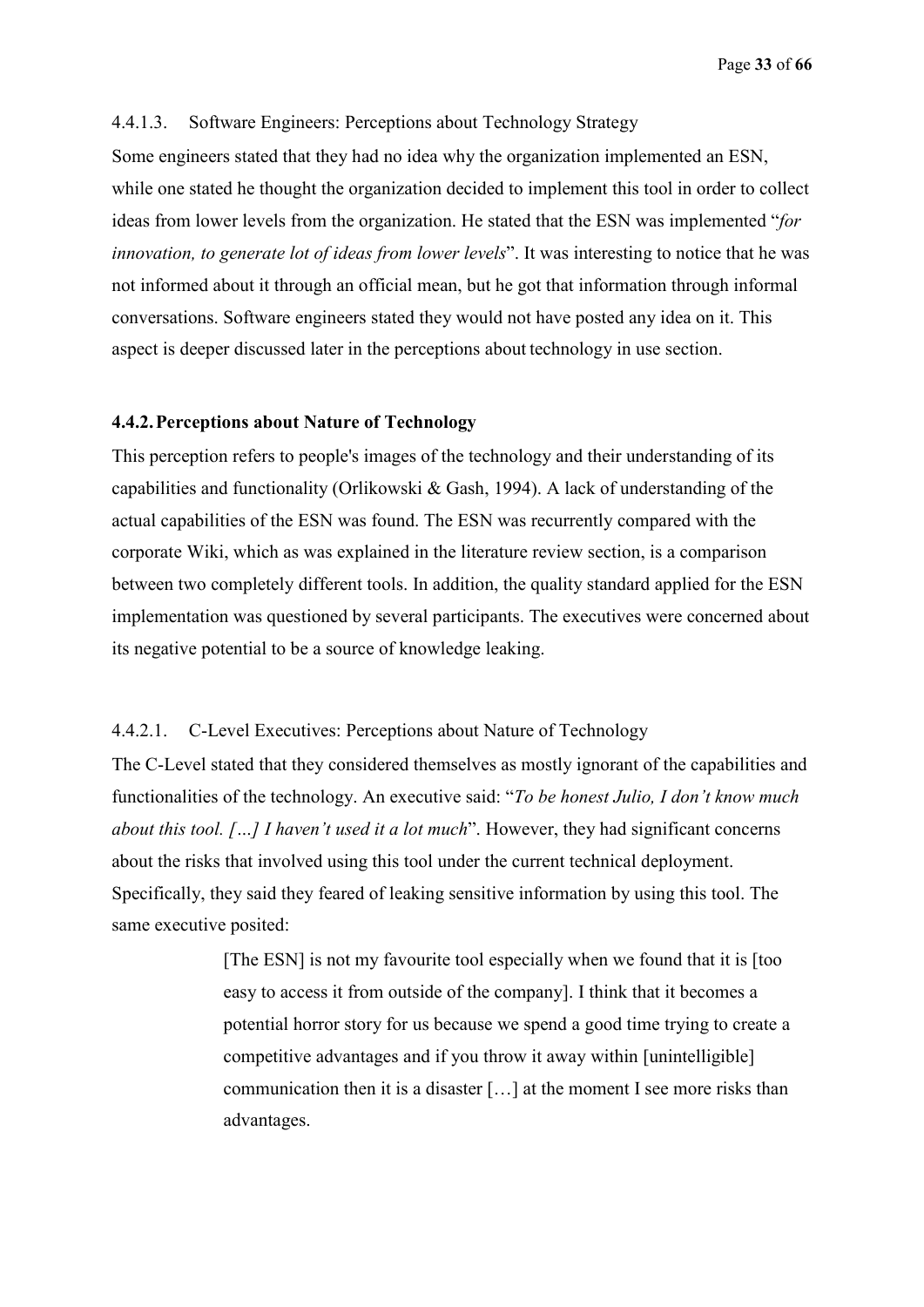### 4.4.1.3. Software Engineers: Perceptions about Technology Strategy

Some engineers stated that they had no idea why the organization implemented an ESN, while one stated he thought the organization decided to implement this tool in order to collect ideas from lower levels from the organization. He stated that the ESN was implemented "*for innovation, to generate lot of ideas from lower levels*". It was interesting to notice that he was not informed about it through an official mean, but he got that information through informal conversations. Software engineers stated they would not have posted any idea on it. This aspect is deeper discussed later in the perceptions about technology in use section.

#### **4.4.2.Perceptions about Nature of Technology**

This perception refers to people's images of the technology and their understanding of its capabilities and functionality (Orlikowski & Gash, 1994). A lack of understanding of the actual capabilities of the ESN was found. The ESN was recurrently compared with the corporate Wiki, which as was explained in the literature review section, is a comparison between two completely different tools. In addition, the quality standard applied for the ESN implementation was questioned by several participants. The executives were concerned about its negative potential to be a source of knowledge leaking.

#### 4.4.2.1. C-Level Executives: Perceptions about Nature of Technology

The C-Level stated that they considered themselves as mostly ignorant of the capabilities and functionalities of the technology. An executive said: "*To be honest Julio, I don't know much about this tool. […] I haven't used it a lot much*". However, they had significant concerns about the risks that involved using this tool under the current technical deployment. Specifically, they said they feared of leaking sensitive information by using this tool. The same executive posited:

> [The ESN] is not my favourite tool especially when we found that it is [too easy to access it from outside of the company]. I think that it becomes a potential horror story for us because we spend a good time trying to create a competitive advantages and if you throw it away within [unintelligible] communication then it is a disaster […] at the moment I see more risks than advantages.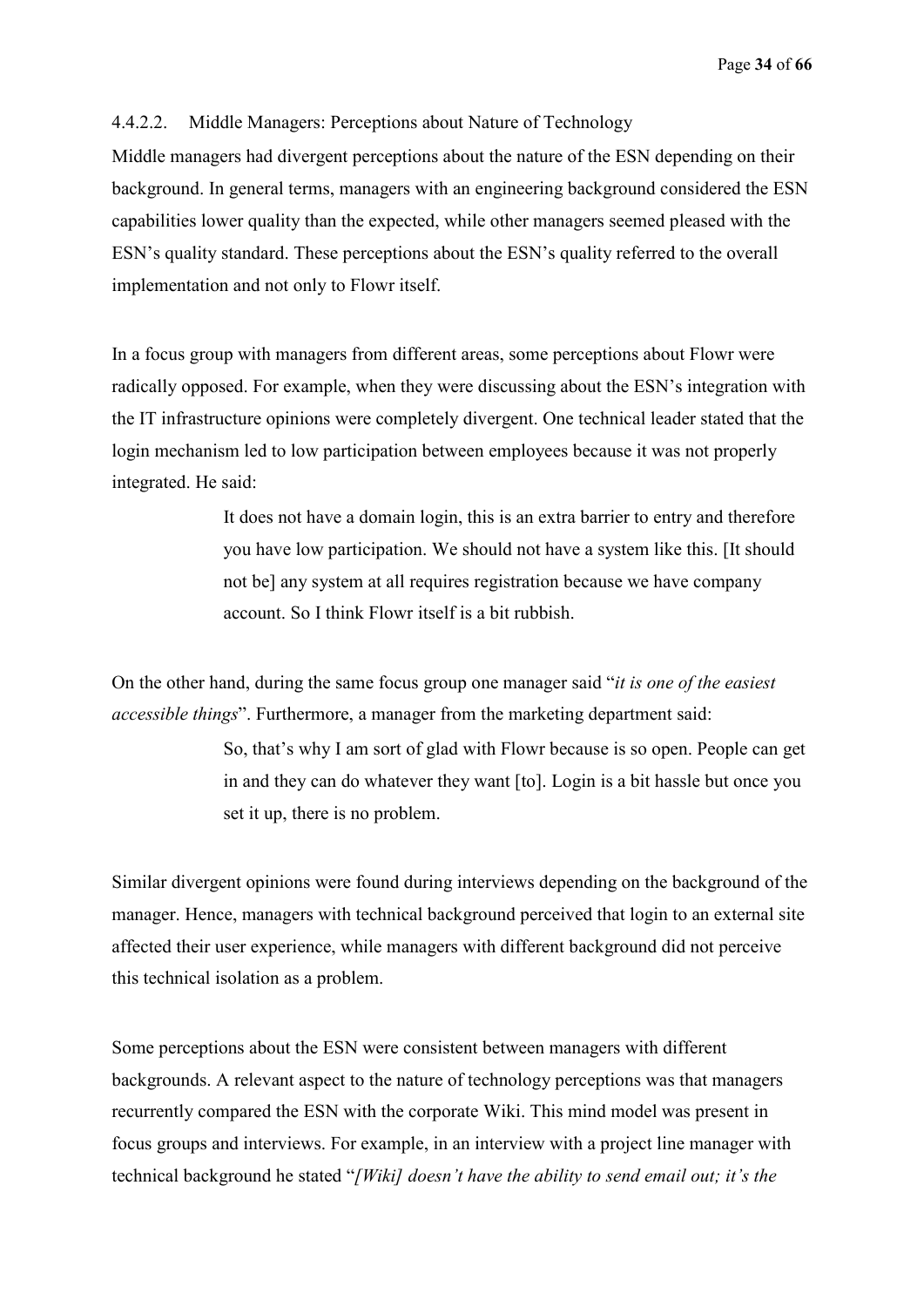Page **34** of **66**

### 4.4.2.2. Middle Managers: Perceptions about Nature of Technology

Middle managers had divergent perceptions about the nature of the ESN depending on their background. In general terms, managers with an engineering background considered the ESN capabilities lower quality than the expected, while other managers seemed pleased with the ESN's quality standard. These perceptions about the ESN's quality referred to the overall implementation and not only to Flowr itself.

In a focus group with managers from different areas, some perceptions about Flowr were radically opposed. For example, when they were discussing about the ESN's integration with the IT infrastructure opinions were completely divergent. One technical leader stated that the login mechanism led to low participation between employees because it was not properly integrated. He said:

> It does not have a domain login, this is an extra barrier to entry and therefore you have low participation. We should not have a system like this. [It should not be] any system at all requires registration because we have company account. So I think Flowr itself is a bit rubbish.

On the other hand, during the same focus group one manager said "*it is one of the easiest accessible things*". Furthermore, a manager from the marketing department said:

> So, that's why I am sort of glad with Flowr because is so open. People can get in and they can do whatever they want [to]. Login is a bit hassle but once you set it up, there is no problem.

Similar divergent opinions were found during interviews depending on the background of the manager. Hence, managers with technical background perceived that login to an external site affected their user experience, while managers with different background did not perceive this technical isolation as a problem.

Some perceptions about the ESN were consistent between managers with different backgrounds. A relevant aspect to the nature of technology perceptions was that managers recurrently compared the ESN with the corporate Wiki. This mind model was present in focus groups and interviews. For example, in an interview with a project line manager with technical background he stated "*[Wiki] doesn't have the ability to send email out; it's the*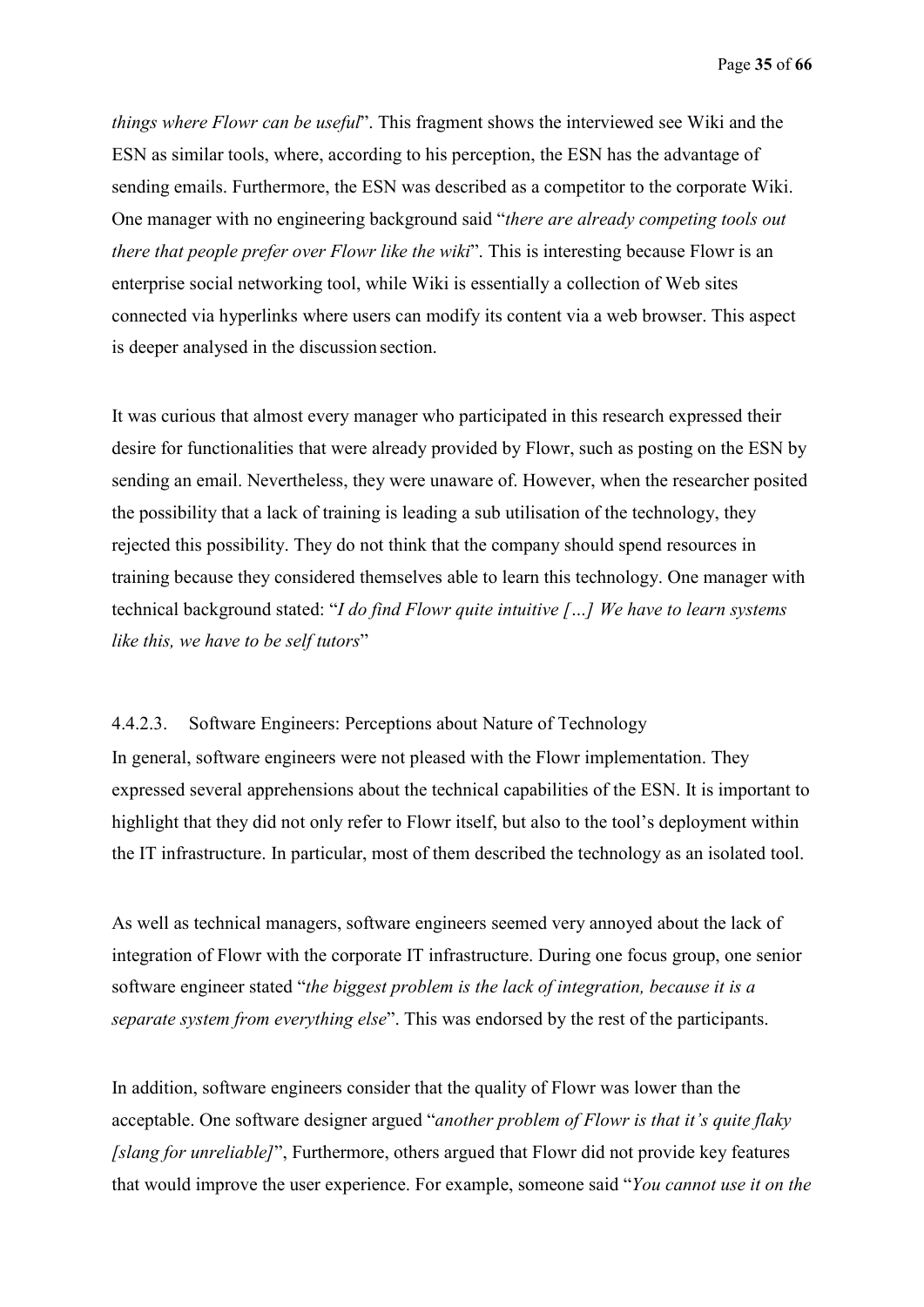Page **35** of **66**

*things where Flowr can be useful*". This fragment shows the interviewed see Wiki and the ESN as similar tools, where, according to his perception, the ESN has the advantage of sending emails. Furthermore, the ESN was described as a competitor to the corporate Wiki. One manager with no engineering background said "*there are already competing tools out there that people prefer over Flowr like the wiki*". This is interesting because Flowr is an enterprise social networking tool, while Wiki is essentially a collection of Web sites connected via hyperlinks where users can modify its content via a web browser. This aspect is deeper analysed in the discussion section.

It was curious that almost every manager who participated in this research expressed their desire for functionalities that were already provided by Flowr, such as posting on the ESN by sending an email. Nevertheless, they were unaware of. However, when the researcher posited the possibility that a lack of training is leading a sub utilisation of the technology, they rejected this possibility. They do not think that the company should spend resources in training because they considered themselves able to learn this technology. One manager with technical background stated: "*I do find Flowr quite intuitive […] We have to learn systems like this, we have to be self tutors*"

4.4.2.3. Software Engineers: Perceptions about Nature of Technology In general, software engineers were not pleased with the Flowr implementation. They expressed several apprehensions about the technical capabilities of the ESN. It is important to highlight that they did not only refer to Flowr itself, but also to the tool's deployment within the IT infrastructure. In particular, most of them described the technology as an isolated tool.

As well as technical managers, software engineers seemed very annoyed about the lack of integration of Flowr with the corporate IT infrastructure. During one focus group, one senior software engineer stated "*the biggest problem is the lack of integration, because it is a separate system from everything else*". This was endorsed by the rest of the participants.

In addition, software engineers consider that the quality of Flowr was lower than the acceptable. One software designer argued "*another problem of Flowr is that it's quite flaky [slang for unreliable]*", Furthermore, others argued that Flowr did not provide key features that would improve the user experience. For example, someone said "*You cannot use it on the*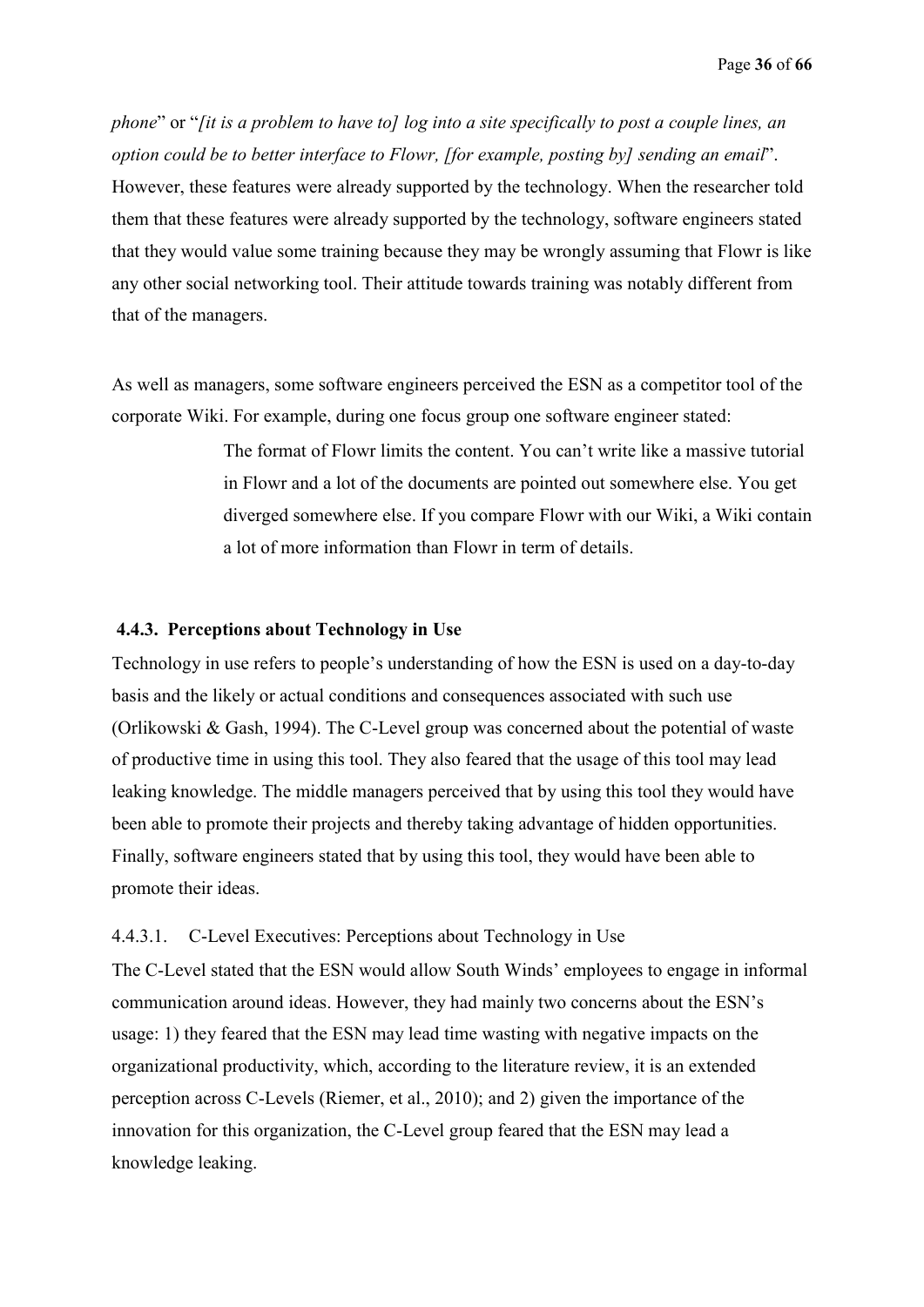*phone*" or "*[it is a problem to have to] log into a site specifically to post a couple lines, an option could be to better interface to Flowr, [for example, posting by] sending an email*". However, these features were already supported by the technology. When the researcher told them that these features were already supported by the technology, software engineers stated that they would value some training because they may be wrongly assuming that Flowr is like any other social networking tool. Their attitude towards training was notably different from that of the managers.

As well as managers, some software engineers perceived the ESN as a competitor tool of the corporate Wiki. For example, during one focus group one software engineer stated:

> The format of Flowr limits the content. You can't write like a massive tutorial in Flowr and a lot of the documents are pointed out somewhere else. You get diverged somewhere else. If you compare Flowr with our Wiki, a Wiki contain a lot of more information than Flowr in term of details.

#### **4.4.3. Perceptions about Technology in Use**

Technology in use refers to people's understanding of how the ESN is used on a day-to-day basis and the likely or actual conditions and consequences associated with such use (Orlikowski & Gash, 1994). The C-Level group was concerned about the potential of waste of productive time in using this tool. They also feared that the usage of this tool may lead leaking knowledge. The middle managers perceived that by using this tool they would have been able to promote their projects and thereby taking advantage of hidden opportunities. Finally, software engineers stated that by using this tool, they would have been able to promote their ideas.

#### 4.4.3.1. C-Level Executives: Perceptions about Technology in Use

The C-Level stated that the ESN would allow South Winds' employees to engage in informal communication around ideas. However, they had mainly two concerns about the ESN's usage: 1) they feared that the ESN may lead time wasting with negative impacts on the organizational productivity, which, according to the literature review, it is an extended perception across C-Levels (Riemer, et al., 2010); and 2) given the importance of the innovation for this organization, the C-Level group feared that the ESN may lead a knowledge leaking.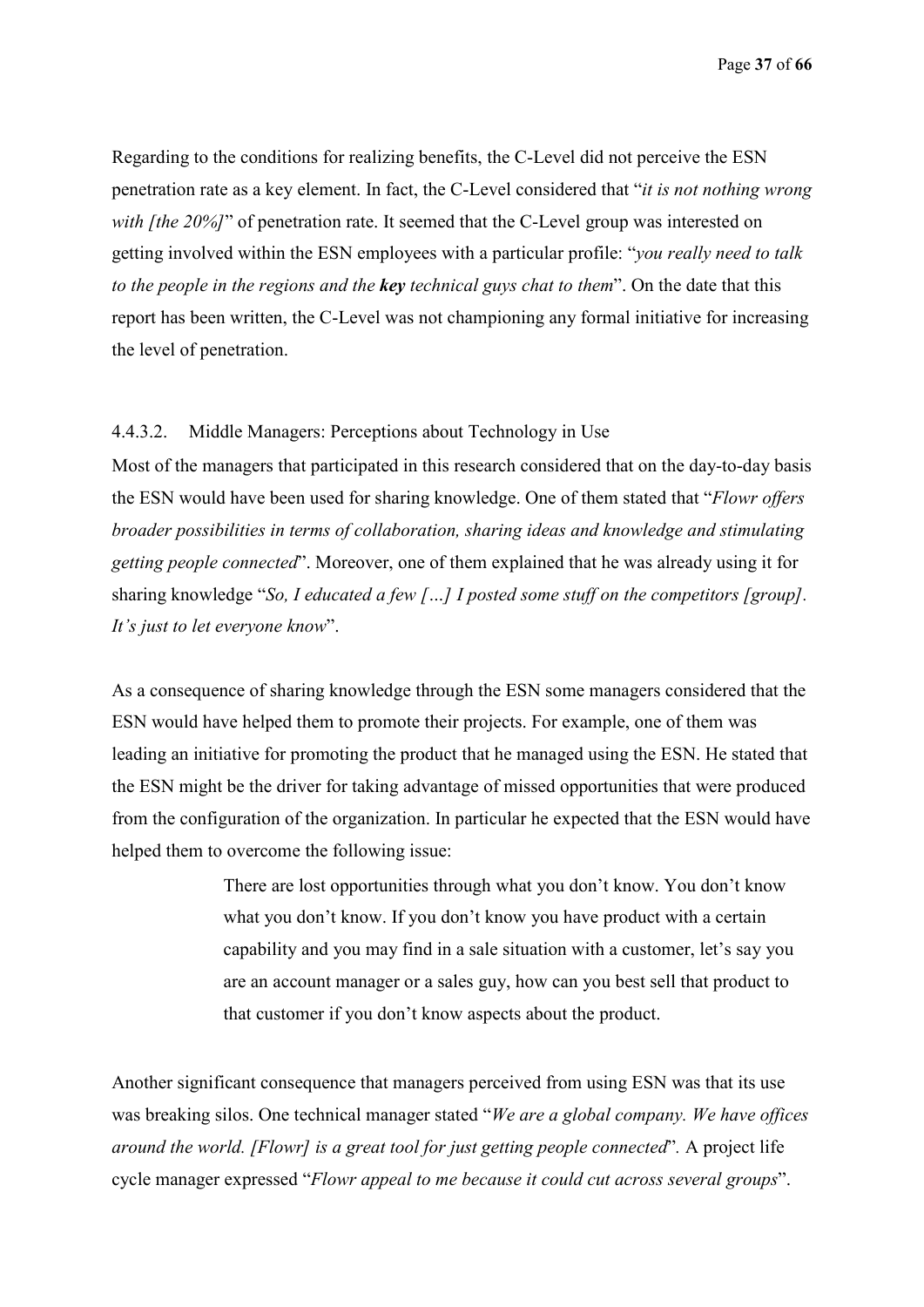Page **37** of **66**

Regarding to the conditions for realizing benefits, the C-Level did not perceive the ESN penetration rate as a key element. In fact, the C-Level considered that "*it is not nothing wrong with [the 20%]*" of penetration rate. It seemed that the C-Level group was interested on getting involved within the ESN employees with a particular profile: "*you really need to talk to the people in the regions and the key technical guys chat to them*". On the date that this report has been written, the C-Level was not championing any formal initiative for increasing the level of penetration.

#### 4.4.3.2. Middle Managers: Perceptions about Technology in Use

Most of the managers that participated in this research considered that on the day-to-day basis the ESN would have been used for sharing knowledge. One of them stated that "*Flowr offers broader possibilities in terms of collaboration, sharing ideas and knowledge and stimulating getting people connected*". Moreover, one of them explained that he was already using it for sharing knowledge "*So, I educated a few […] I posted some stuff on the competitors [group]. It's just to let everyone know*".

As a consequence of sharing knowledge through the ESN some managers considered that the ESN would have helped them to promote their projects. For example, one of them was leading an initiative for promoting the product that he managed using the ESN. He stated that the ESN might be the driver for taking advantage of missed opportunities that were produced from the configuration of the organization. In particular he expected that the ESN would have helped them to overcome the following issue:

> There are lost opportunities through what you don't know. You don't know what you don't know. If you don't know you have product with a certain capability and you may find in a sale situation with a customer, let's say you are an account manager or a sales guy, how can you best sell that product to that customer if you don't know aspects about the product.

Another significant consequence that managers perceived from using ESN was that its use was breaking silos. One technical manager stated "*We are a global company. We have offices around the world. [Flowr] is a great tool for just getting people connected*"*.* A project life cycle manager expressed "*Flowr appeal to me because it could cut across several groups*".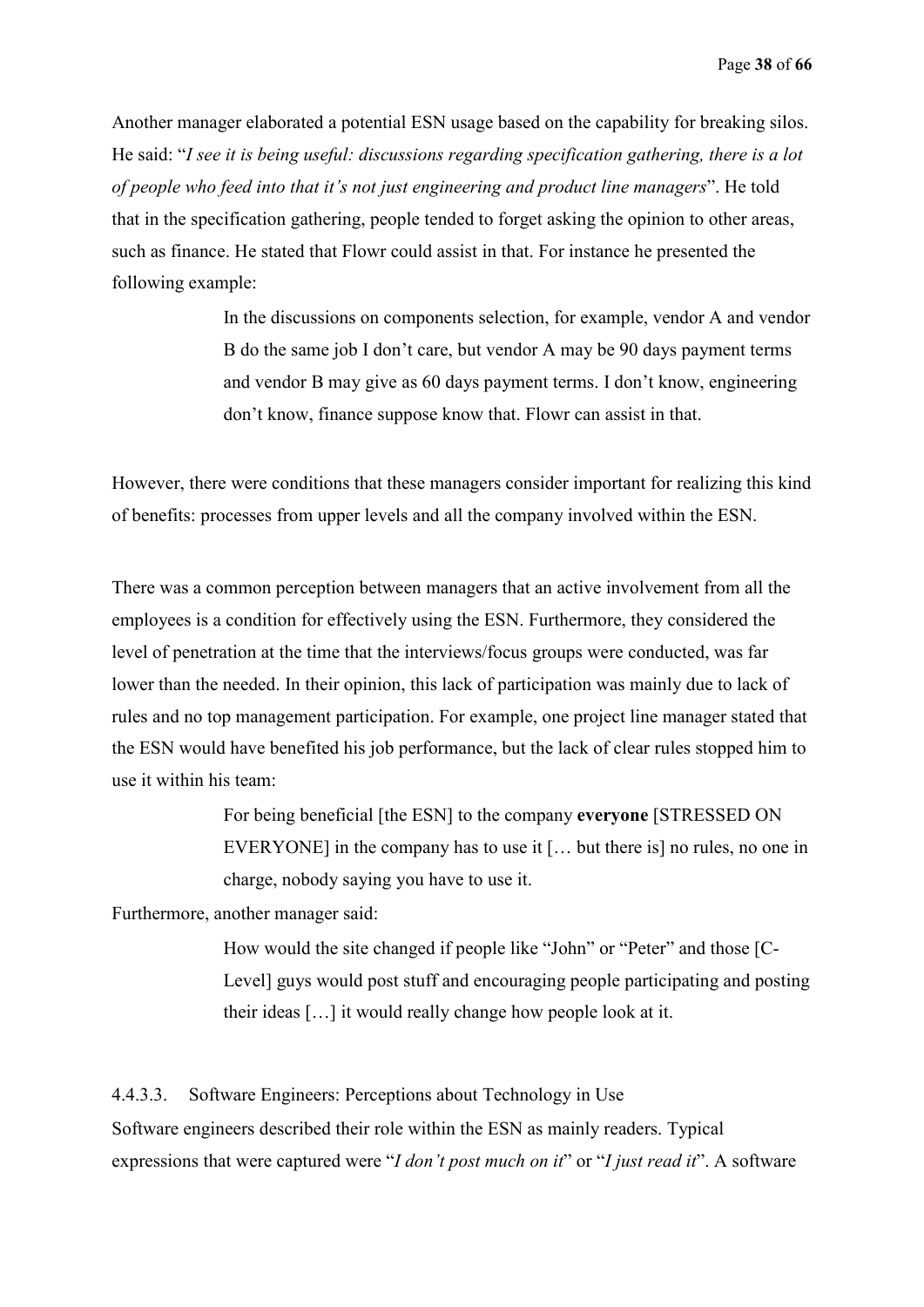Another manager elaborated a potential ESN usage based on the capability for breaking silos. He said: "*I see it is being useful: discussions regarding specification gathering, there is a lot of people who feed into that it's not just engineering and product line managers*". He told that in the specification gathering, people tended to forget asking the opinion to other areas, such as finance. He stated that Flowr could assist in that. For instance he presented the following example:

> In the discussions on components selection, for example, vendor A and vendor B do the same job I don't care, but vendor A may be 90 days payment terms and vendor B may give as 60 days payment terms. I don't know, engineering don't know, finance suppose know that. Flowr can assist in that.

However, there were conditions that these managers consider important for realizing this kind of benefits: processes from upper levels and all the company involved within the ESN.

There was a common perception between managers that an active involvement from all the employees is a condition for effectively using the ESN. Furthermore, they considered the level of penetration at the time that the interviews/focus groups were conducted, was far lower than the needed. In their opinion, this lack of participation was mainly due to lack of rules and no top management participation. For example, one project line manager stated that the ESN would have benefited his job performance, but the lack of clear rules stopped him to use it within his team:

> For being beneficial [the ESN] to the company **everyone** [STRESSED ON EVERYONE] in the company has to use it [… but there is] no rules, no one in charge, nobody saying you have to use it.

Furthermore, another manager said:

How would the site changed if people like "John" or "Peter" and those [C-Level] guys would post stuff and encouraging people participating and posting their ideas […] it would really change how people look at it.

4.4.3.3. Software Engineers: Perceptions about Technology in Use Software engineers described their role within the ESN as mainly readers. Typical expressions that were captured were "*I don't post much on it*" or "*I just read it*". A software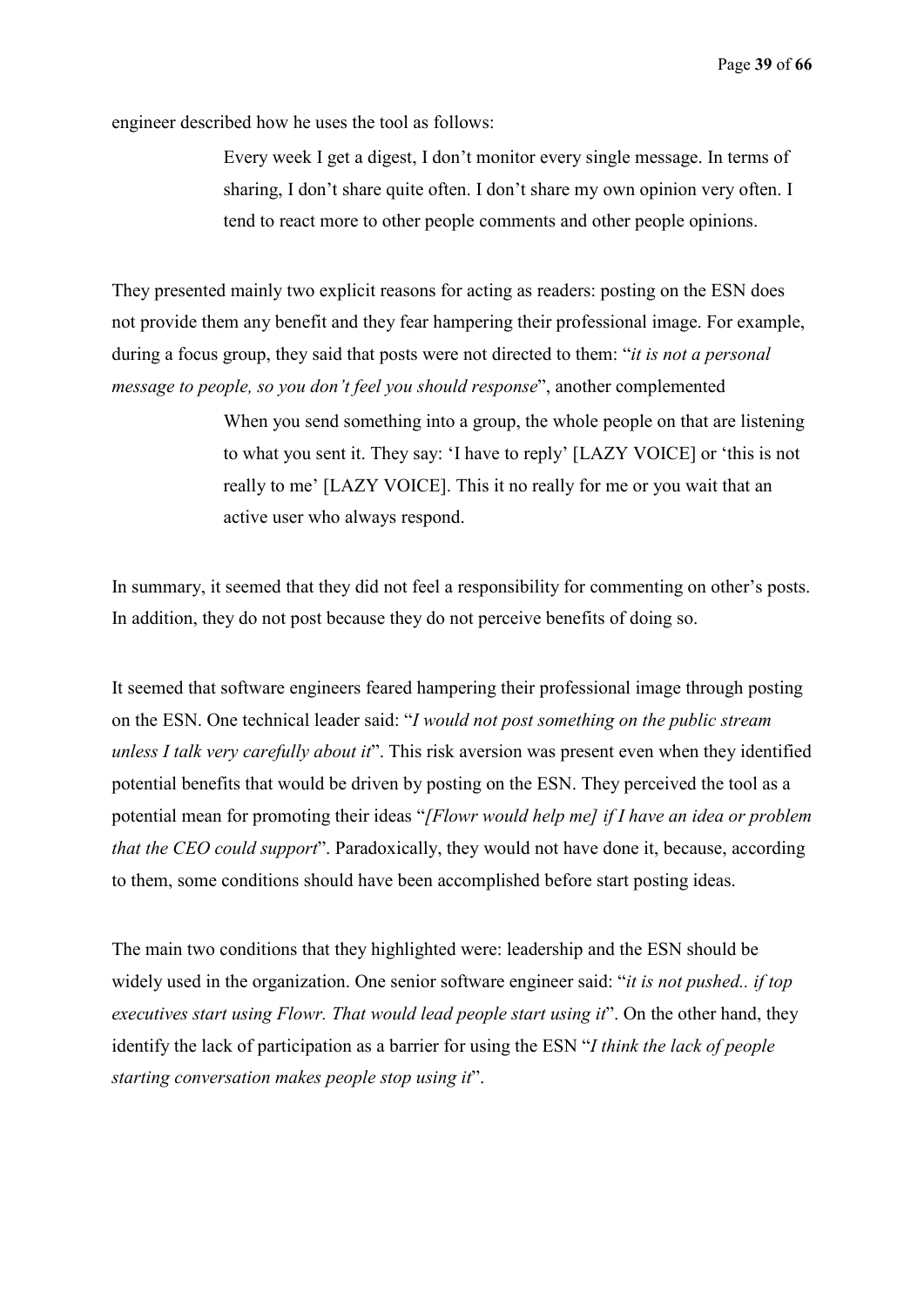engineer described how he uses the tool as follows:

Every week I get a digest, I don't monitor every single message. In terms of sharing, I don't share quite often. I don't share my own opinion very often. I tend to react more to other people comments and other people opinions.

They presented mainly two explicit reasons for acting as readers: posting on the ESN does not provide them any benefit and they fear hampering their professional image. For example, during a focus group, they said that posts were not directed to them: "*it is not a personal message to people, so you don't feel you should response*", another complemented

> When you send something into a group, the whole people on that are listening to what you sent it. They say: 'I have to reply' [LAZY VOICE] or 'this is not really to me' [LAZY VOICE]. This it no really for me or you wait that an active user who always respond.

In summary, it seemed that they did not feel a responsibility for commenting on other's posts. In addition, they do not post because they do not perceive benefits of doing so.

It seemed that software engineers feared hampering their professional image through posting on the ESN. One technical leader said: "*I would not post something on the public stream unless I talk very carefully about it*". This risk aversion was present even when they identified potential benefits that would be driven by posting on the ESN. They perceived the tool as a potential mean for promoting their ideas "*[Flowr would help me] if I have an idea or problem that the CEO could support*". Paradoxically, they would not have done it, because, according to them, some conditions should have been accomplished before start posting ideas.

The main two conditions that they highlighted were: leadership and the ESN should be widely used in the organization. One senior software engineer said: "*it is not pushed.. if top executives start using Flowr. That would lead people start using it*". On the other hand, they identify the lack of participation as a barrier for using the ESN "*I think the lack of people starting conversation makes people stop using it*".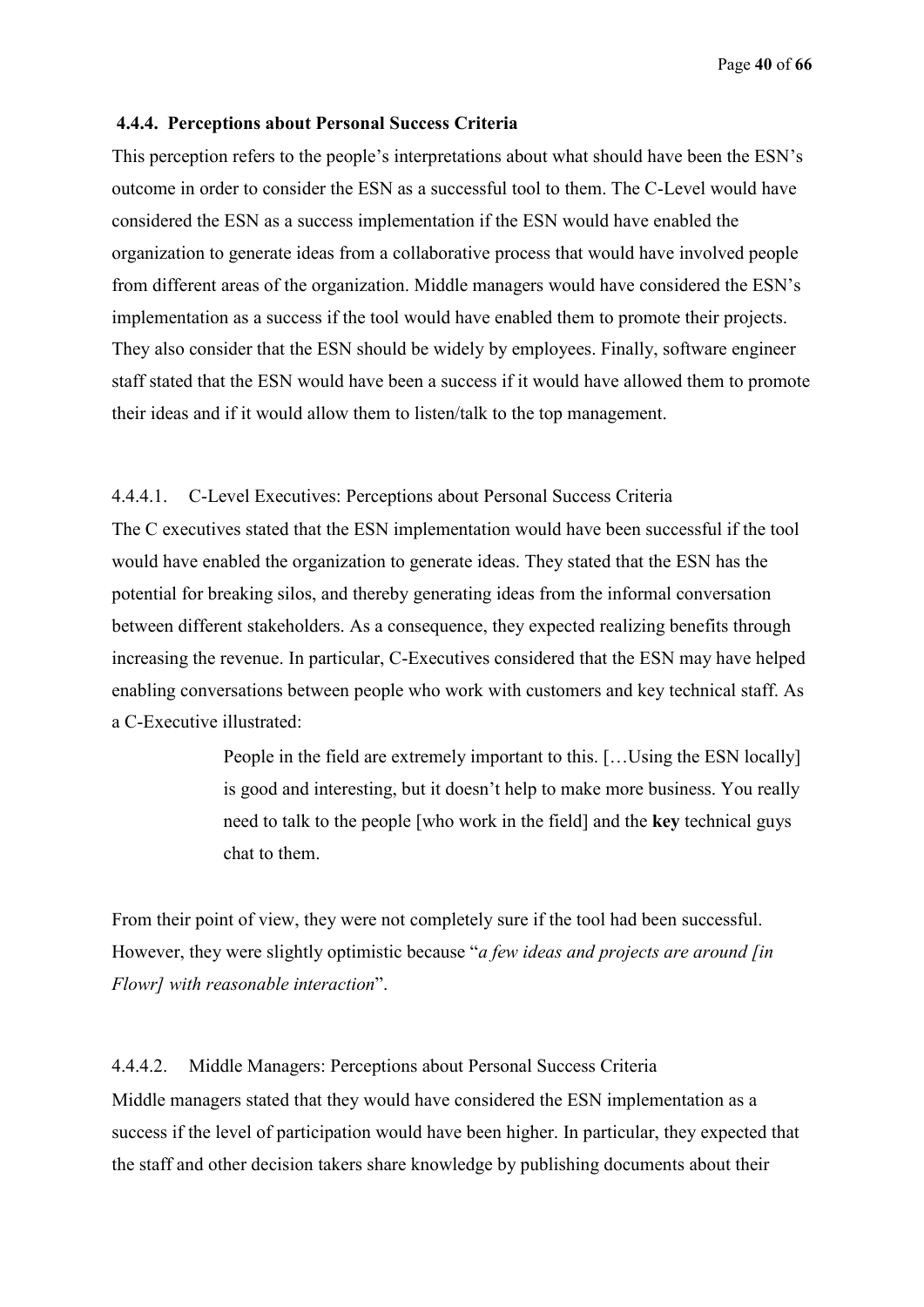#### **4.4.4. Perceptions about Personal Success Criteria**

This perception refers to the people's interpretations about what should have been the ESN's outcome in order to consider the ESN as a successful tool to them. The C-Level would have considered the ESN as a success implementation if the ESN would have enabled the organization to generate ideas from a collaborative process that would have involved people from different areas of the organization. Middle managers would have considered the ESN's implementation as a success if the tool would have enabled them to promote their projects. They also consider that the ESN should be widely by employees. Finally, software engineer staff stated that the ESN would have been a success if it would have allowed them to promote their ideas and if it would allow them to listen/talk to the top management.

#### 4.4.4.1. C-Level Executives: Perceptions about Personal Success Criteria

The C executives stated that the ESN implementation would have been successful if the tool would have enabled the organization to generate ideas. They stated that the ESN has the potential for breaking silos, and thereby generating ideas from the informal conversation between different stakeholders. As a consequence, they expected realizing benefits through increasing the revenue. In particular, C-Executives considered that the ESN may have helped enabling conversations between people who work with customers and key technical staff. As a C-Executive illustrated:

> People in the field are extremely important to this. […Using the ESN locally] is good and interesting, but it doesn't help to make more business. You really need to talk to the people [who work in the field] and the **key** technical guys chat to them.

From their point of view, they were not completely sure if the tool had been successful. However, they were slightly optimistic because "*a few ideas and projects are around [in Flowr] with reasonable interaction*".

4.4.4.2. Middle Managers: Perceptions about Personal Success Criteria Middle managers stated that they would have considered the ESN implementation as a success if the level of participation would have been higher. In particular, they expected that the staff and other decision takers share knowledge by publishing documents about their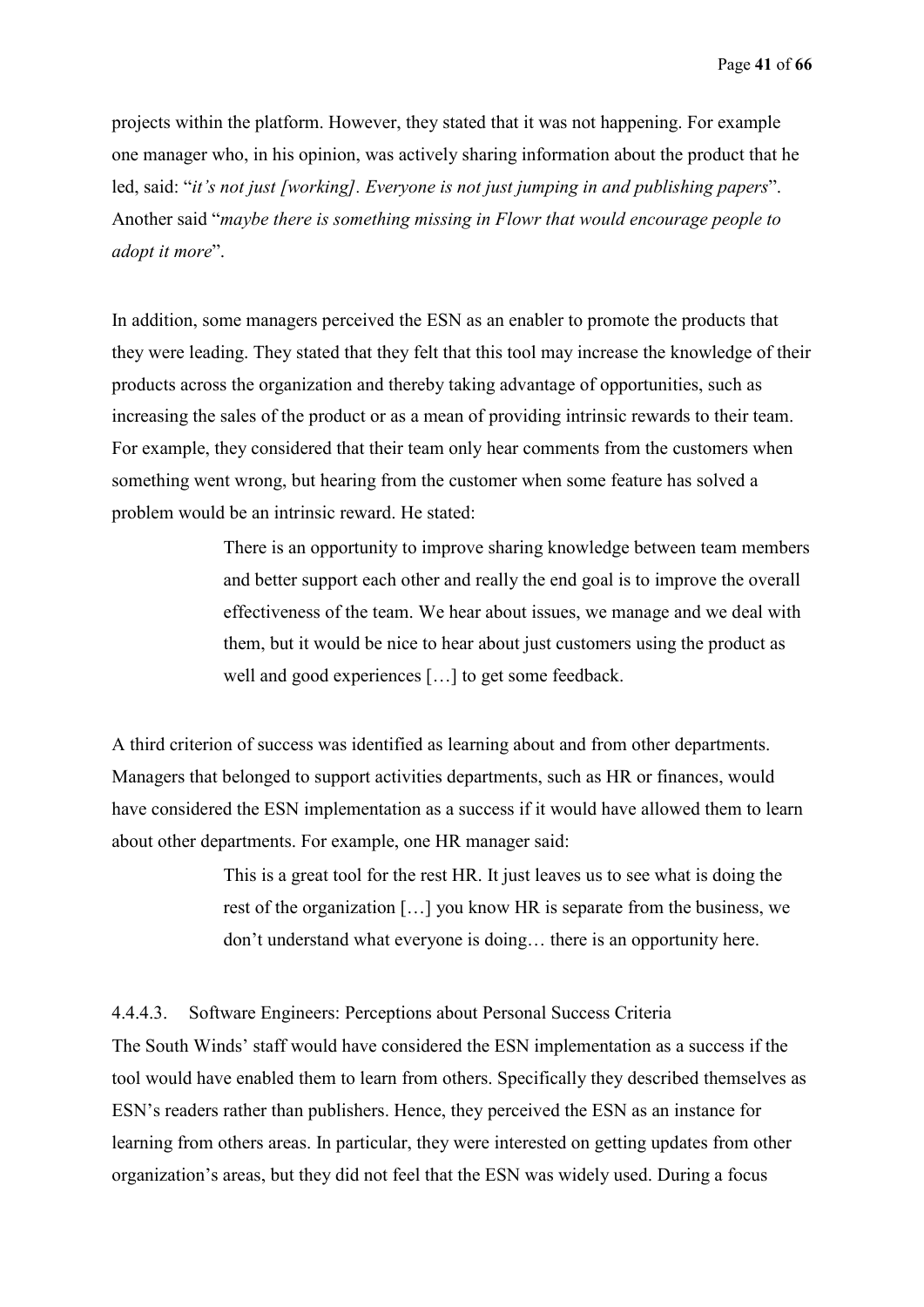projects within the platform. However, they stated that it was not happening. For example one manager who, in his opinion, was actively sharing information about the product that he led, said: "*it's not just [working]. Everyone is not just jumping in and publishing papers*". Another said "*maybe there is something missing in Flowr that would encourage people to adopt it more*".

In addition, some managers perceived the ESN as an enabler to promote the products that they were leading. They stated that they felt that this tool may increase the knowledge of their products across the organization and thereby taking advantage of opportunities, such as increasing the sales of the product or as a mean of providing intrinsic rewards to their team. For example, they considered that their team only hear comments from the customers when something went wrong, but hearing from the customer when some feature has solved a problem would be an intrinsic reward. He stated:

> There is an opportunity to improve sharing knowledge between team members and better support each other and really the end goal is to improve the overall effectiveness of the team. We hear about issues, we manage and we deal with them, but it would be nice to hear about just customers using the product as well and good experiences […] to get some feedback.

A third criterion of success was identified as learning about and from other departments. Managers that belonged to support activities departments, such as HR or finances, would have considered the ESN implementation as a success if it would have allowed them to learn about other departments. For example, one HR manager said:

> This is a great tool for the rest HR. It just leaves us to see what is doing the rest of the organization […] you know HR is separate from the business, we don't understand what everyone is doing… there is an opportunity here.

4.4.4.3. Software Engineers: Perceptions about Personal Success Criteria

The South Winds' staff would have considered the ESN implementation as a success if the tool would have enabled them to learn from others. Specifically they described themselves as ESN's readers rather than publishers. Hence, they perceived the ESN as an instance for learning from others areas. In particular, they were interested on getting updates from other organization's areas, but they did not feel that the ESN was widely used. During a focus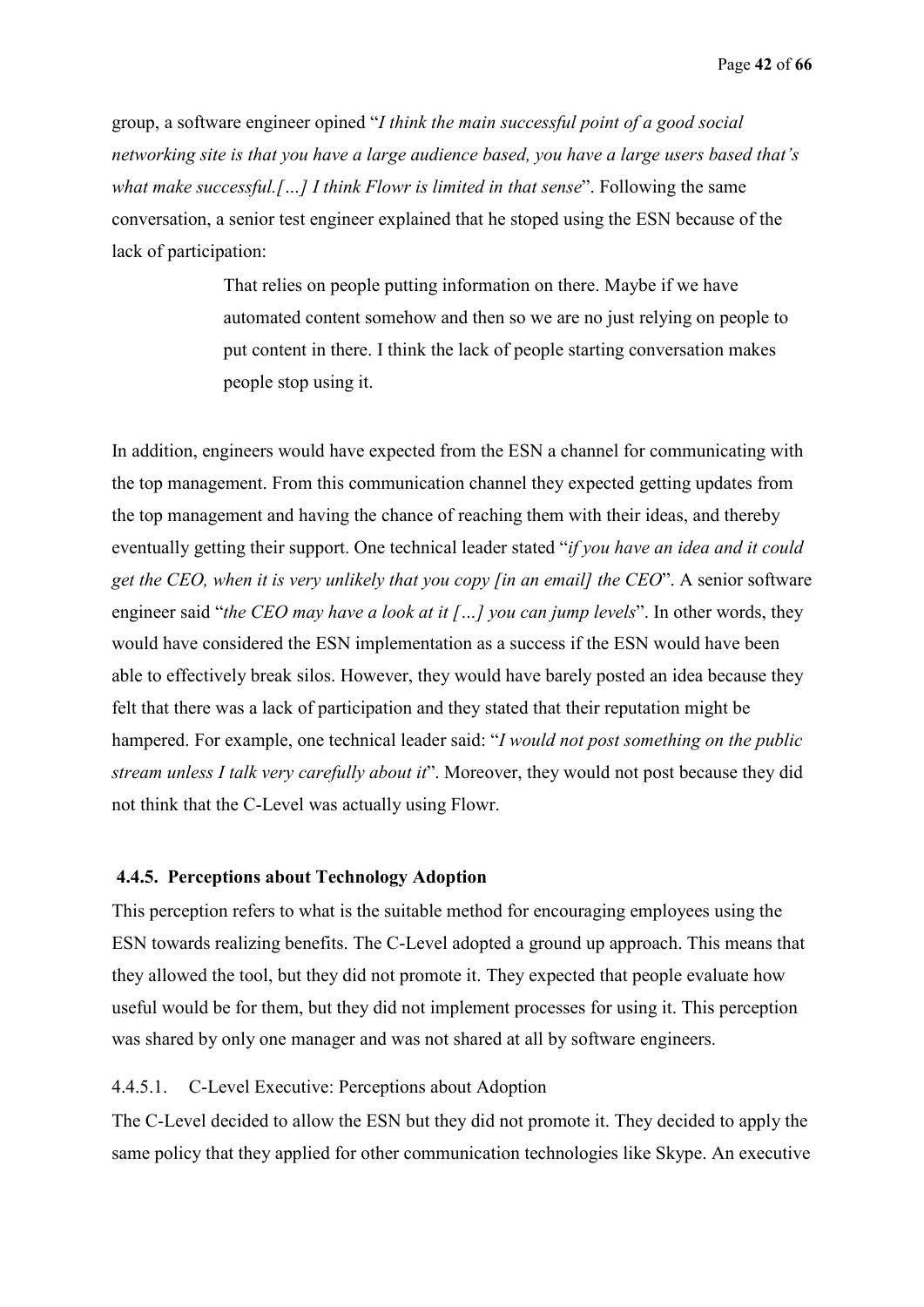group, a software engineer opined "*I think the main successful point of a good social networking site is that you have a large audience based, you have a large users based that's what make successful.[…] I think Flowr is limited in that sense*". Following the same conversation, a senior test engineer explained that he stoped using the ESN because of the lack of participation:

> That relies on people putting information on there. Maybe if we have automated content somehow and then so we are no just relying on people to put content in there. I think the lack of people starting conversation makes people stop using it.

In addition, engineers would have expected from the ESN a channel for communicating with the top management. From this communication channel they expected getting updates from the top management and having the chance of reaching them with their ideas, and thereby eventually getting their support. One technical leader stated "*if you have an idea and it could get the CEO, when it is very unlikely that you copy [in an email] the CEO*". A senior software engineer said "*the CEO may have a look at it […] you can jump levels*". In other words, they would have considered the ESN implementation as a success if the ESN would have been able to effectively break silos. However, they would have barely posted an idea because they felt that there was a lack of participation and they stated that their reputation might be hampered. For example, one technical leader said: "*I would not post something on the public stream unless I talk very carefully about it*". Moreover, they would not post because they did not think that the C-Level was actually using Flowr.

### **4.4.5. Perceptions about Technology Adoption**

This perception refers to what is the suitable method for encouraging employees using the ESN towards realizing benefits. The C-Level adopted a ground up approach. This means that they allowed the tool, but they did not promote it. They expected that people evaluate how useful would be for them, but they did not implement processes for using it. This perception was shared by only one manager and was not shared at all by software engineers.

### 4.4.5.1. C-Level Executive: Perceptions about Adoption

The C-Level decided to allow the ESN but they did not promote it. They decided to apply the same policy that they applied for other communication technologies like Skype. An executive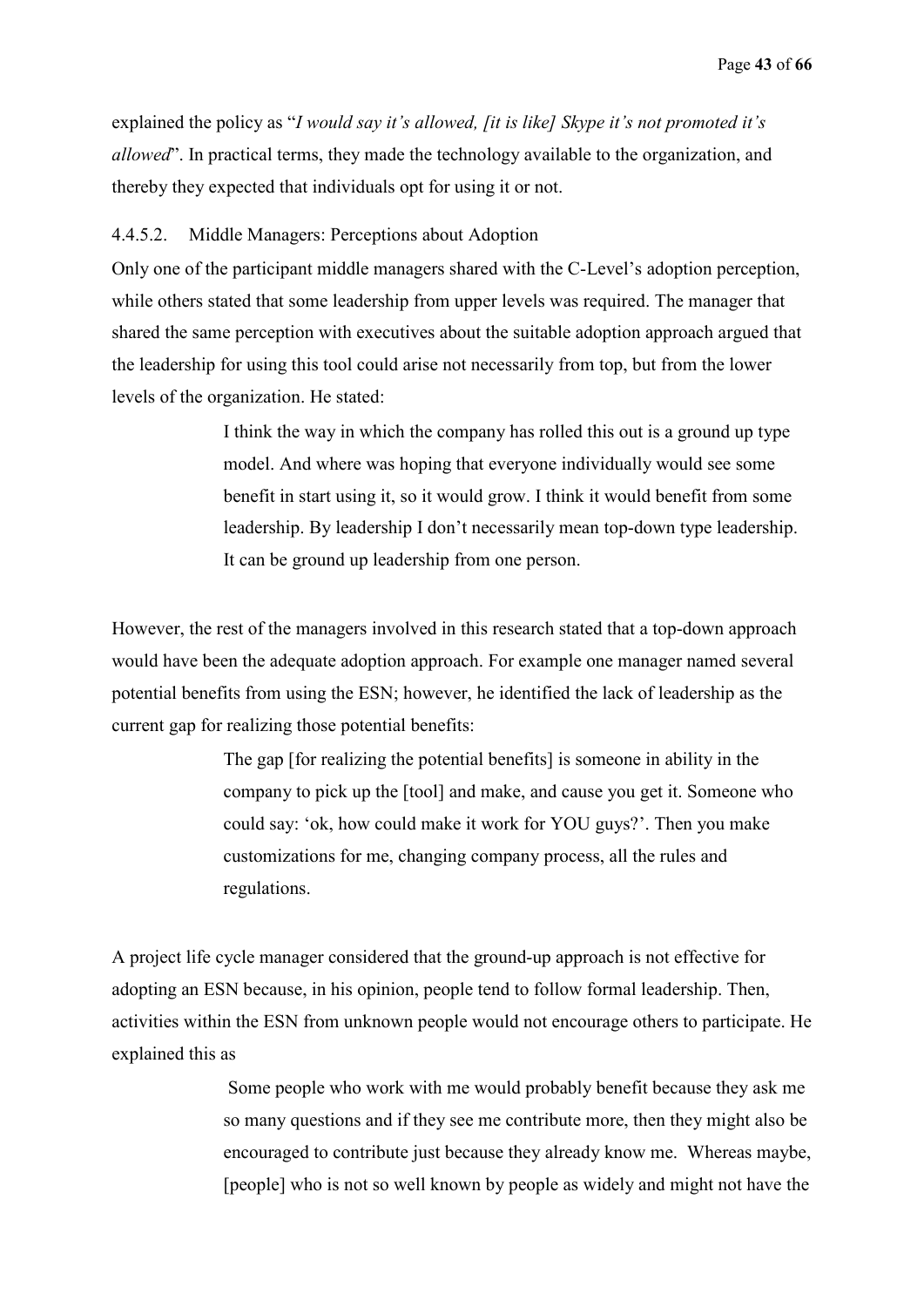explained the policy as "*I would say it's allowed, [it is like] Skype it's not promoted it's allowed*". In practical terms, they made the technology available to the organization, and thereby they expected that individuals opt for using it or not.

### 4.4.5.2. Middle Managers: Perceptions about Adoption

Only one of the participant middle managers shared with the C-Level's adoption perception, while others stated that some leadership from upper levels was required. The manager that shared the same perception with executives about the suitable adoption approach argued that the leadership for using this tool could arise not necessarily from top, but from the lower levels of the organization. He stated:

> I think the way in which the company has rolled this out is a ground up type model. And where was hoping that everyone individually would see some benefit in start using it, so it would grow. I think it would benefit from some leadership. By leadership I don't necessarily mean top-down type leadership. It can be ground up leadership from one person.

However, the rest of the managers involved in this research stated that a top-down approach would have been the adequate adoption approach. For example one manager named several potential benefits from using the ESN; however, he identified the lack of leadership as the current gap for realizing those potential benefits:

> The gap [for realizing the potential benefits] is someone in ability in the company to pick up the [tool] and make, and cause you get it. Someone who could say: 'ok, how could make it work for YOU guys?'. Then you make customizations for me, changing company process, all the rules and regulations.

A project life cycle manager considered that the ground-up approach is not effective for adopting an ESN because, in his opinion, people tend to follow formal leadership. Then, activities within the ESN from unknown people would not encourage others to participate. He explained this as

> Some people who work with me would probably benefit because they ask me so many questions and if they see me contribute more, then they might also be encouraged to contribute just because they already know me. Whereas maybe, [people] who is not so well known by people as widely and might not have the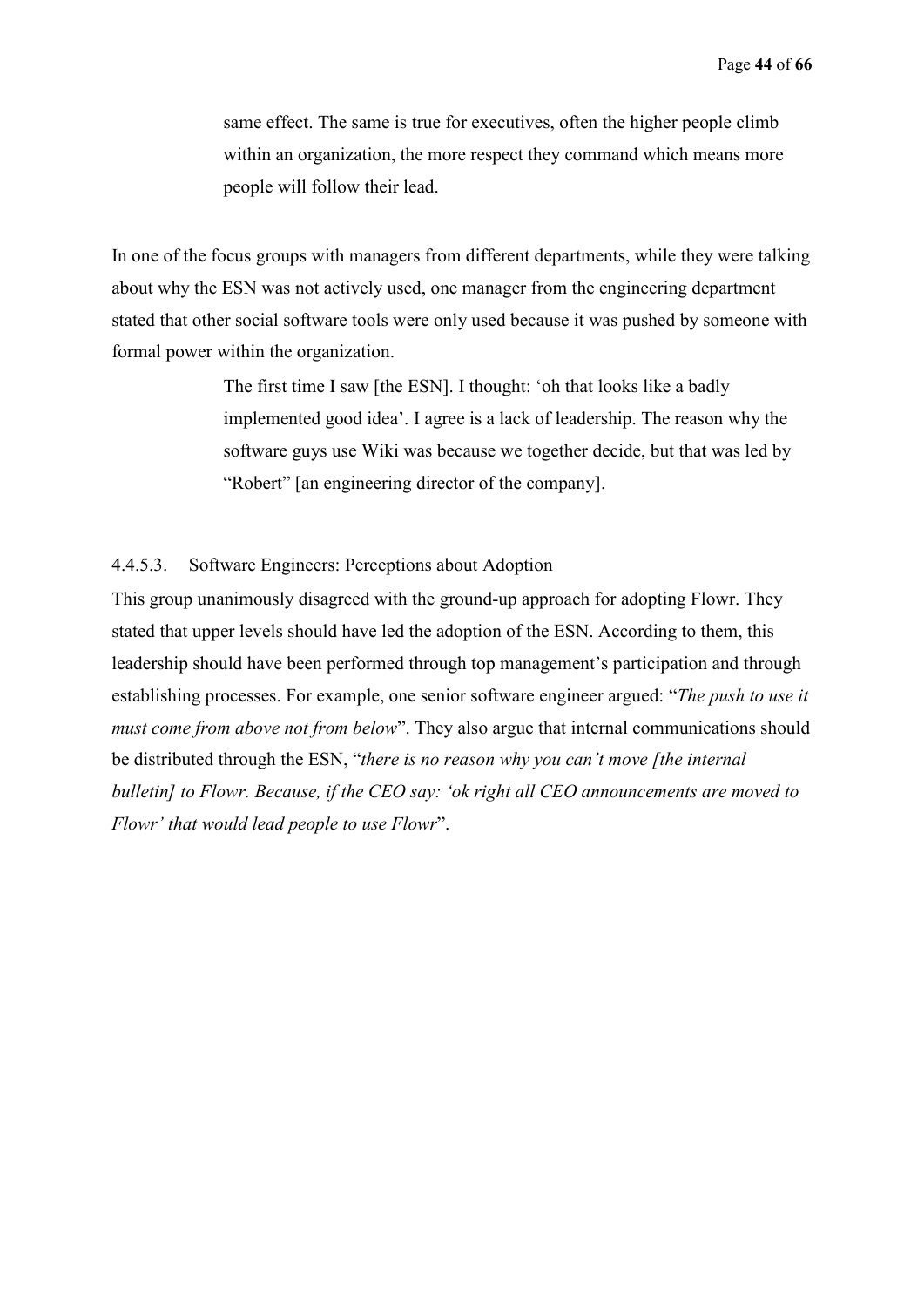same effect. The same is true for executives, often the higher people climb within an organization, the more respect they command which means more people will follow their lead.

In one of the focus groups with managers from different departments, while they were talking about why the ESN was not actively used, one manager from the engineering department stated that other social software tools were only used because it was pushed by someone with formal power within the organization.

> The first time I saw [the ESN]. I thought: 'oh that looks like a badly implemented good idea'. I agree is a lack of leadership. The reason why the software guys use Wiki was because we together decide, but that was led by "Robert" [an engineering director of the company].

### 4.4.5.3. Software Engineers: Perceptions about Adoption

This group unanimously disagreed with the ground-up approach for adopting Flowr. They stated that upper levels should have led the adoption of the ESN. According to them, this leadership should have been performed through top management's participation and through establishing processes. For example, one senior software engineer argued: "*The push to use it must come from above not from below*". They also argue that internal communications should be distributed through the ESN, "*there is no reason why you can't move [the internal bulletin] to Flowr. Because, if the CEO say: 'ok right all CEO announcements are moved to Flowr' that would lead people to use Flowr*".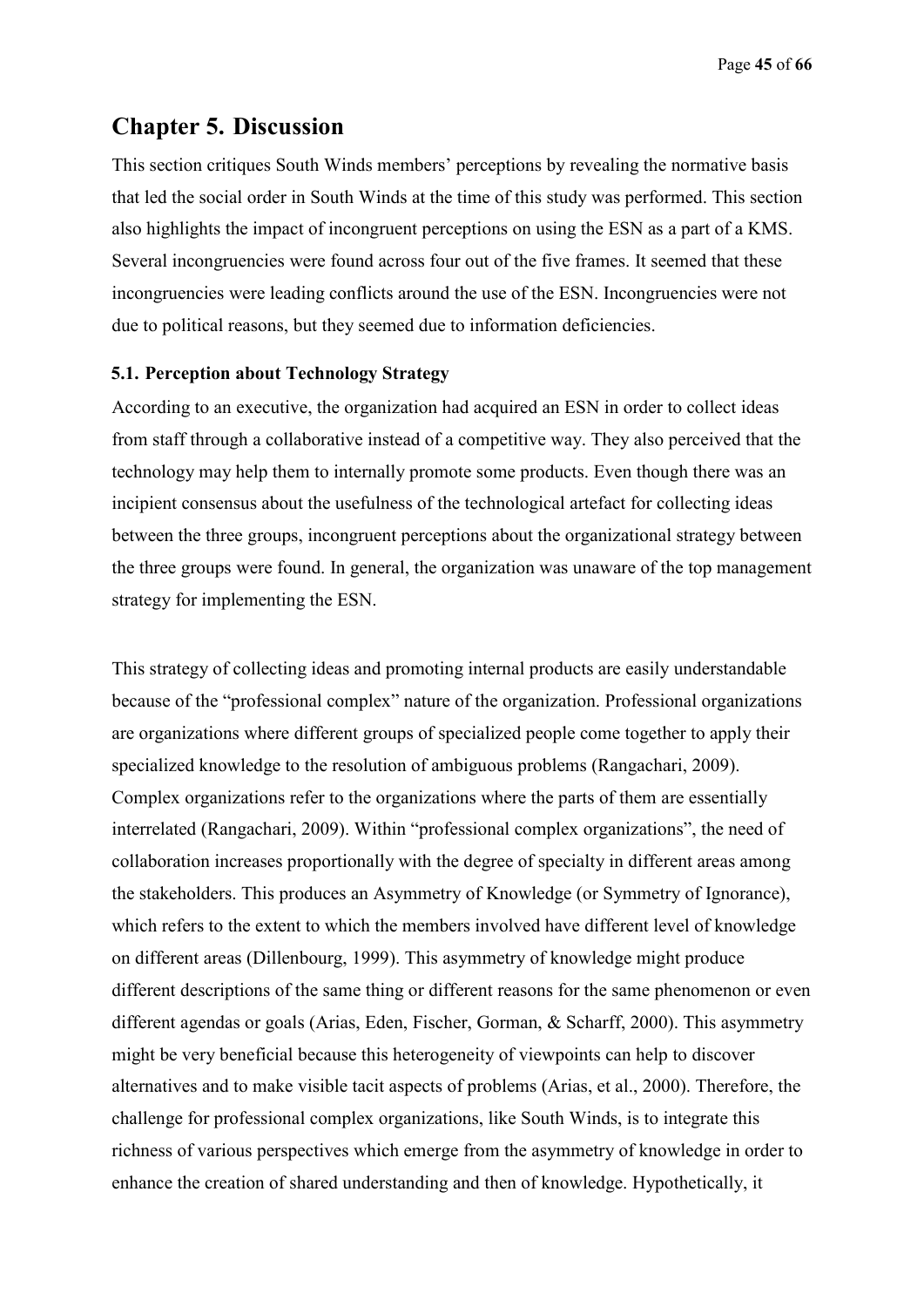Page **45** of **66**

# **Chapter 5. Discussion**

This section critiques South Winds members' perceptions by revealing the normative basis that led the social order in South Winds at the time of this study was performed. This section also highlights the impact of incongruent perceptions on using the ESN as a part of a KMS. Several incongruencies were found across four out of the five frames. It seemed that these incongruencies were leading conflicts around the use of the ESN. Incongruencies were not due to political reasons, but they seemed due to information deficiencies.

### **5.1. Perception about Technology Strategy**

According to an executive, the organization had acquired an ESN in order to collect ideas from staff through a collaborative instead of a competitive way. They also perceived that the technology may help them to internally promote some products. Even though there was an incipient consensus about the usefulness of the technological artefact for collecting ideas between the three groups, incongruent perceptions about the organizational strategy between the three groups were found. In general, the organization was unaware of the top management strategy for implementing the ESN.

This strategy of collecting ideas and promoting internal products are easily understandable because of the "professional complex" nature of the organization. Professional organizations are organizations where different groups of specialized people come together to apply their specialized knowledge to the resolution of ambiguous problems (Rangachari, 2009). Complex organizations refer to the organizations where the parts of them are essentially interrelated (Rangachari, 2009). Within "professional complex organizations", the need of collaboration increases proportionally with the degree of specialty in different areas among the stakeholders. This produces an Asymmetry of Knowledge (or Symmetry of Ignorance), which refers to the extent to which the members involved have different level of knowledge on different areas (Dillenbourg, 1999). This asymmetry of knowledge might produce different descriptions of the same thing or different reasons for the same phenomenon or even different agendas or goals (Arias, Eden, Fischer, Gorman, & Scharff, 2000). This asymmetry might be very beneficial because this heterogeneity of viewpoints can help to discover alternatives and to make visible tacit aspects of problems (Arias, et al., 2000). Therefore, the challenge for professional complex organizations, like South Winds, is to integrate this richness of various perspectives which emerge from the asymmetry of knowledge in order to enhance the creation of shared understanding and then of knowledge. Hypothetically, it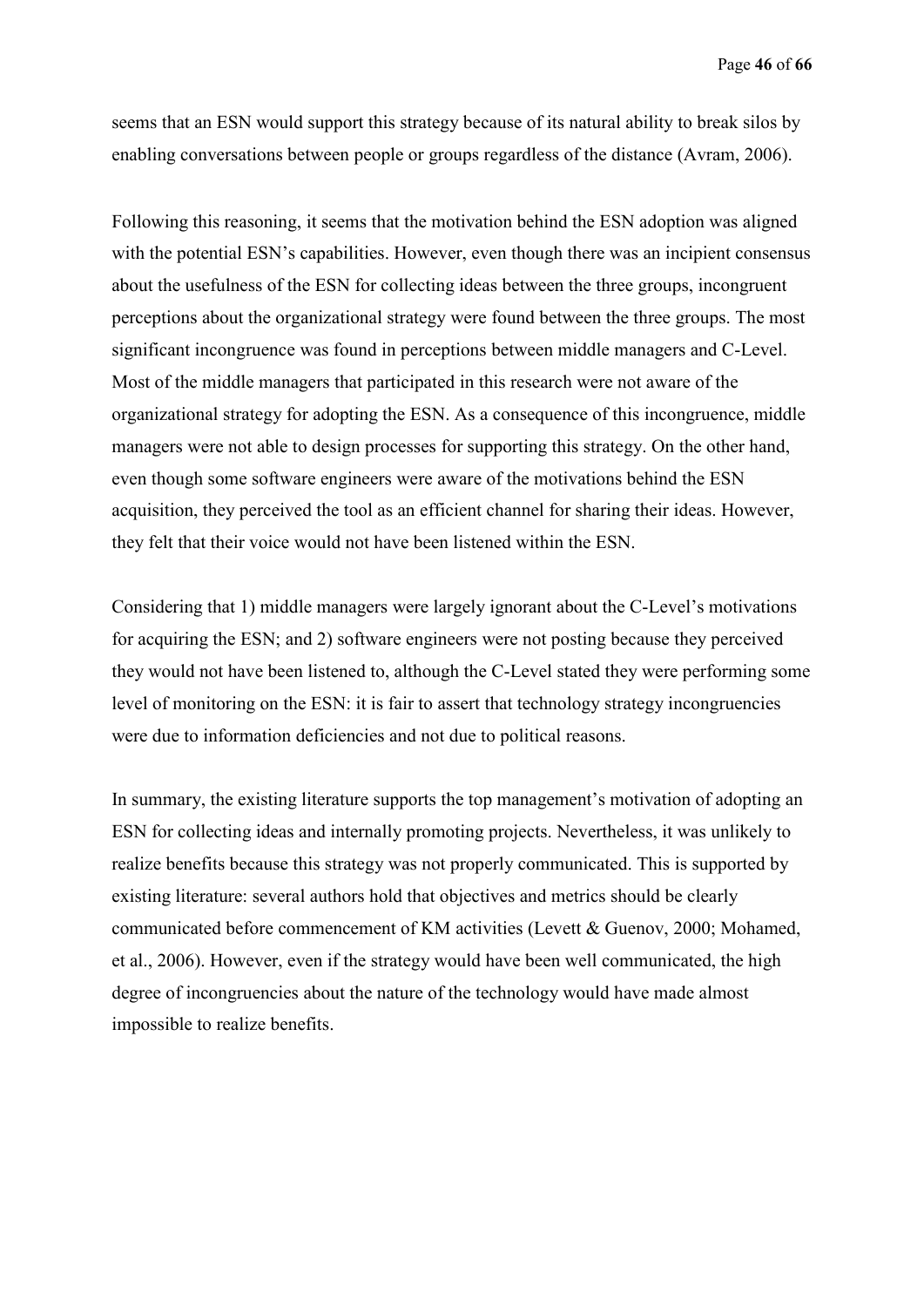seems that an ESN would support this strategy because of its natural ability to break silos by enabling conversations between people or groups regardless of the distance (Avram, 2006).

Following this reasoning, it seems that the motivation behind the ESN adoption was aligned with the potential ESN's capabilities. However, even though there was an incipient consensus about the usefulness of the ESN for collecting ideas between the three groups, incongruent perceptions about the organizational strategy were found between the three groups. The most significant incongruence was found in perceptions between middle managers and C-Level. Most of the middle managers that participated in this research were not aware of the organizational strategy for adopting the ESN. As a consequence of this incongruence, middle managers were not able to design processes for supporting this strategy. On the other hand, even though some software engineers were aware of the motivations behind the ESN acquisition, they perceived the tool as an efficient channel for sharing their ideas. However, they felt that their voice would not have been listened within the ESN.

Considering that 1) middle managers were largely ignorant about the C-Level's motivations for acquiring the ESN; and 2) software engineers were not posting because they perceived they would not have been listened to, although the C-Level stated they were performing some level of monitoring on the ESN: it is fair to assert that technology strategy incongruencies were due to information deficiencies and not due to political reasons.

In summary, the existing literature supports the top management's motivation of adopting an ESN for collecting ideas and internally promoting projects. Nevertheless, it was unlikely to realize benefits because this strategy was not properly communicated. This is supported by existing literature: several authors hold that objectives and metrics should be clearly communicated before commencement of KM activities (Levett & Guenov, 2000; Mohamed, et al., 2006). However, even if the strategy would have been well communicated, the high degree of incongruencies about the nature of the technology would have made almost impossible to realize benefits.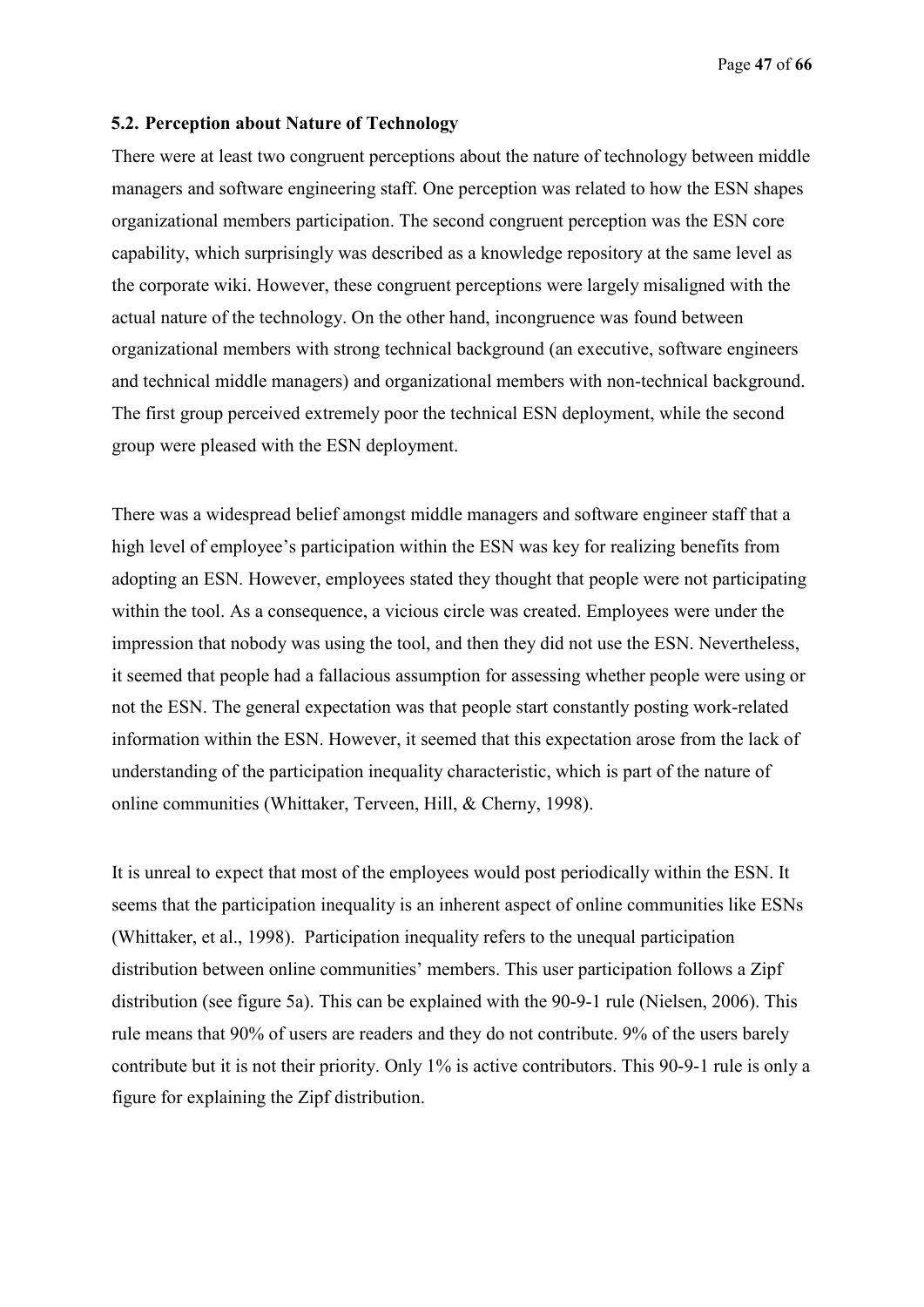#### **5.2. Perception about Nature of Technology**

There were at least two congruent perceptions about the nature of technology between middle managers and software engineering staff. One perception was related to how the ESN shapes organizational members participation. The second congruent perception was the ESN core capability, which surprisingly was described as a knowledge repository at the same level as the corporate wiki. However, these congruent perceptions were largely misaligned with the actual nature of the technology. On the other hand, incongruence was found between organizational members with strong technical background (an executive, software engineers and technical middle managers) and organizational members with non-technical background. The first group perceived extremely poor the technical ESN deployment, while the second group were pleased with the ESN deployment.

There was a widespread belief amongst middle managers and software engineer staff that a high level of employee's participation within the ESN was key for realizing benefits from adopting an ESN. However, employees stated they thought that people were not participating within the tool. As a consequence, a vicious circle was created. Employees were under the impression that nobody was using the tool, and then they did not use the ESN. Nevertheless, it seemed that people had a fallacious assumption for assessing whether people were using or not the ESN. The general expectation was that people start constantly posting work-related information within the ESN. However, it seemed that this expectation arose from the lack of understanding of the participation inequality characteristic, which is part of the nature of online communities (Whittaker, Terveen, Hill, & Cherny, 1998).

It is unreal to expect that most of the employees would post periodically within the ESN. It seems that the participation inequality is an inherent aspect of online communities like ESNs (Whittaker, et al., 1998). Participation inequality refers to the unequal participation distribution between online communities' members. This user participation follows a Zipf distribution (see figure 5a). This can be explained with the 90-9-1 rule (Nielsen, 2006). This rule means that 90% of users are readers and they do not contribute. 9% of the users barely contribute but it is not their priority. Only 1% is active contributors. This 90-9-1 rule is only a figure for explaining the Zipf distribution.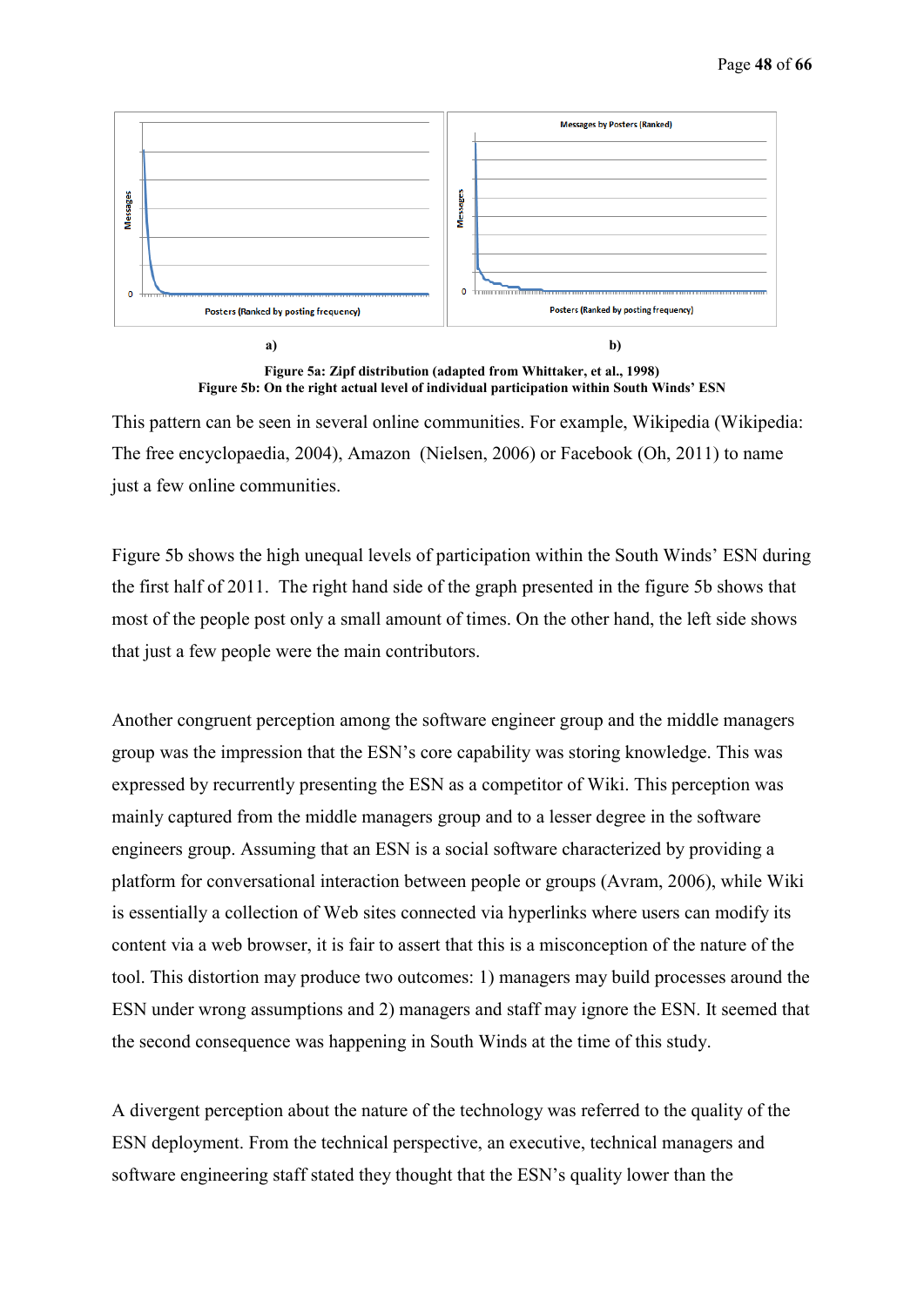

**Figure 5a: Zipf distribution (adapted from Whittaker, et al., 1998) Figure 5b: On the right actual level of individual participation within South Winds' ESN** 

This pattern can be seen in several online communities. For example, Wikipedia (Wikipedia: The free encyclopaedia, 2004), Amazon (Nielsen, 2006) or Facebook (Oh, 2011) to name just a few online communities.

Figure 5b shows the high unequal levels of participation within the South Winds' ESN during the first half of 2011. The right hand side of the graph presented in the figure 5b shows that most of the people post only a small amount of times. On the other hand, the left side shows that just a few people were the main contributors.

Another congruent perception among the software engineer group and the middle managers group was the impression that the ESN's core capability was storing knowledge. This was expressed by recurrently presenting the ESN as a competitor of Wiki. This perception was mainly captured from the middle managers group and to a lesser degree in the software engineers group. Assuming that an ESN is a social software characterized by providing a platform for conversational interaction between people or groups (Avram, 2006), while Wiki is essentially a collection of Web sites connected via hyperlinks where users can modify its content via a web browser, it is fair to assert that this is a misconception of the nature of the tool. This distortion may produce two outcomes: 1) managers may build processes around the ESN under wrong assumptions and 2) managers and staff may ignore the ESN. It seemed that the second consequence was happening in South Winds at the time of this study.

A divergent perception about the nature of the technology was referred to the quality of the ESN deployment. From the technical perspective, an executive, technical managers and software engineering staff stated they thought that the ESN's quality lower than the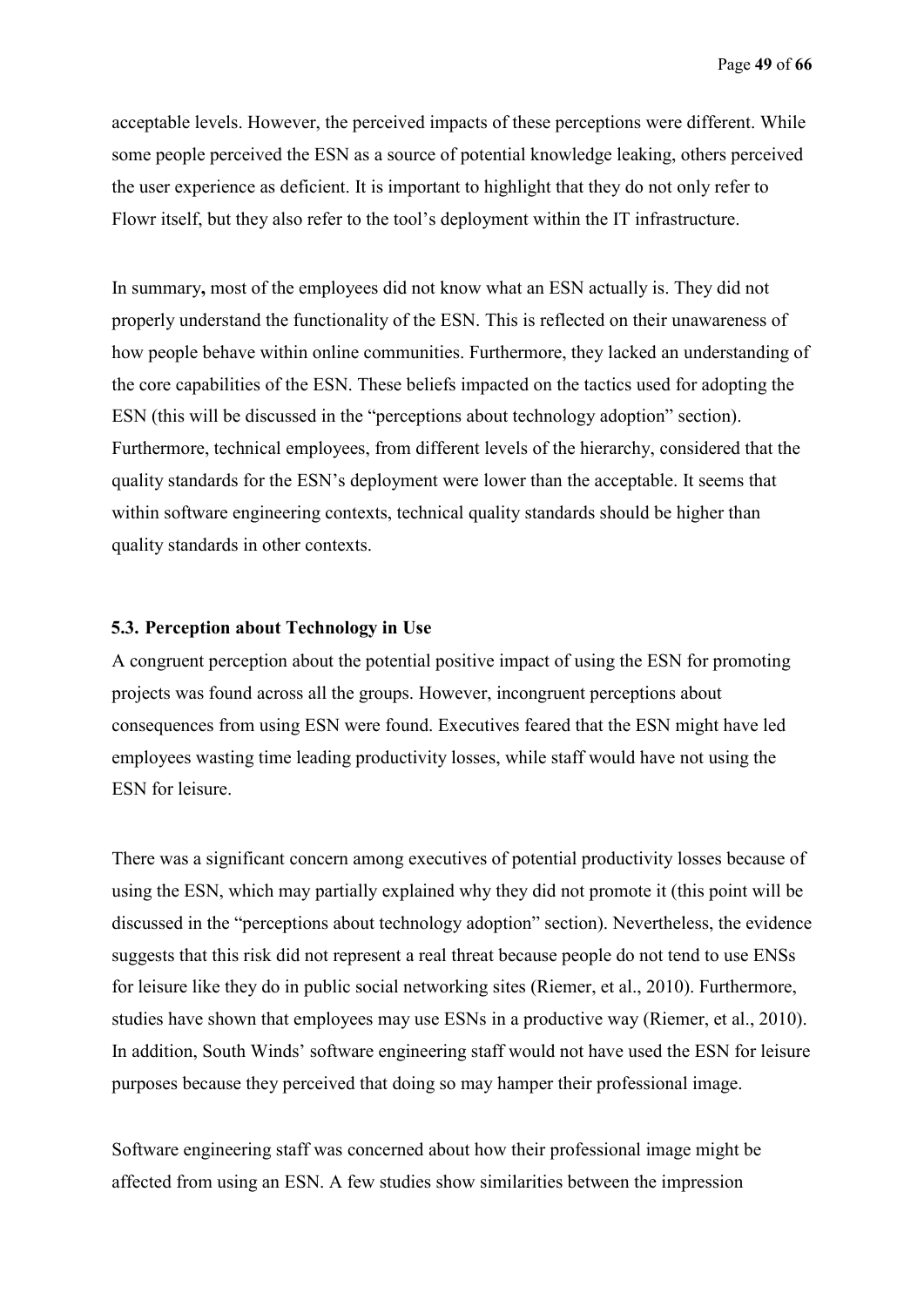acceptable levels. However, the perceived impacts of these perceptions were different. While some people perceived the ESN as a source of potential knowledge leaking, others perceived the user experience as deficient. It is important to highlight that they do not only refer to Flowr itself, but they also refer to the tool's deployment within the IT infrastructure.

In summary**,** most of the employees did not know what an ESN actually is. They did not properly understand the functionality of the ESN. This is reflected on their unawareness of how people behave within online communities. Furthermore, they lacked an understanding of the core capabilities of the ESN. These beliefs impacted on the tactics used for adopting the ESN (this will be discussed in the "perceptions about technology adoption" section). Furthermore, technical employees, from different levels of the hierarchy, considered that the quality standards for the ESN's deployment were lower than the acceptable. It seems that within software engineering contexts, technical quality standards should be higher than quality standards in other contexts.

#### **5.3. Perception about Technology in Use**

A congruent perception about the potential positive impact of using the ESN for promoting projects was found across all the groups. However, incongruent perceptions about consequences from using ESN were found. Executives feared that the ESN might have led employees wasting time leading productivity losses, while staff would have not using the ESN for leisure.

There was a significant concern among executives of potential productivity losses because of using the ESN, which may partially explained why they did not promote it (this point will be discussed in the "perceptions about technology adoption" section). Nevertheless, the evidence suggests that this risk did not represent a real threat because people do not tend to use ENSs for leisure like they do in public social networking sites (Riemer, et al., 2010). Furthermore, studies have shown that employees may use ESNs in a productive way (Riemer, et al., 2010). In addition, South Winds' software engineering staff would not have used the ESN for leisure purposes because they perceived that doing so may hamper their professional image.

Software engineering staff was concerned about how their professional image might be affected from using an ESN. A few studies show similarities between the impression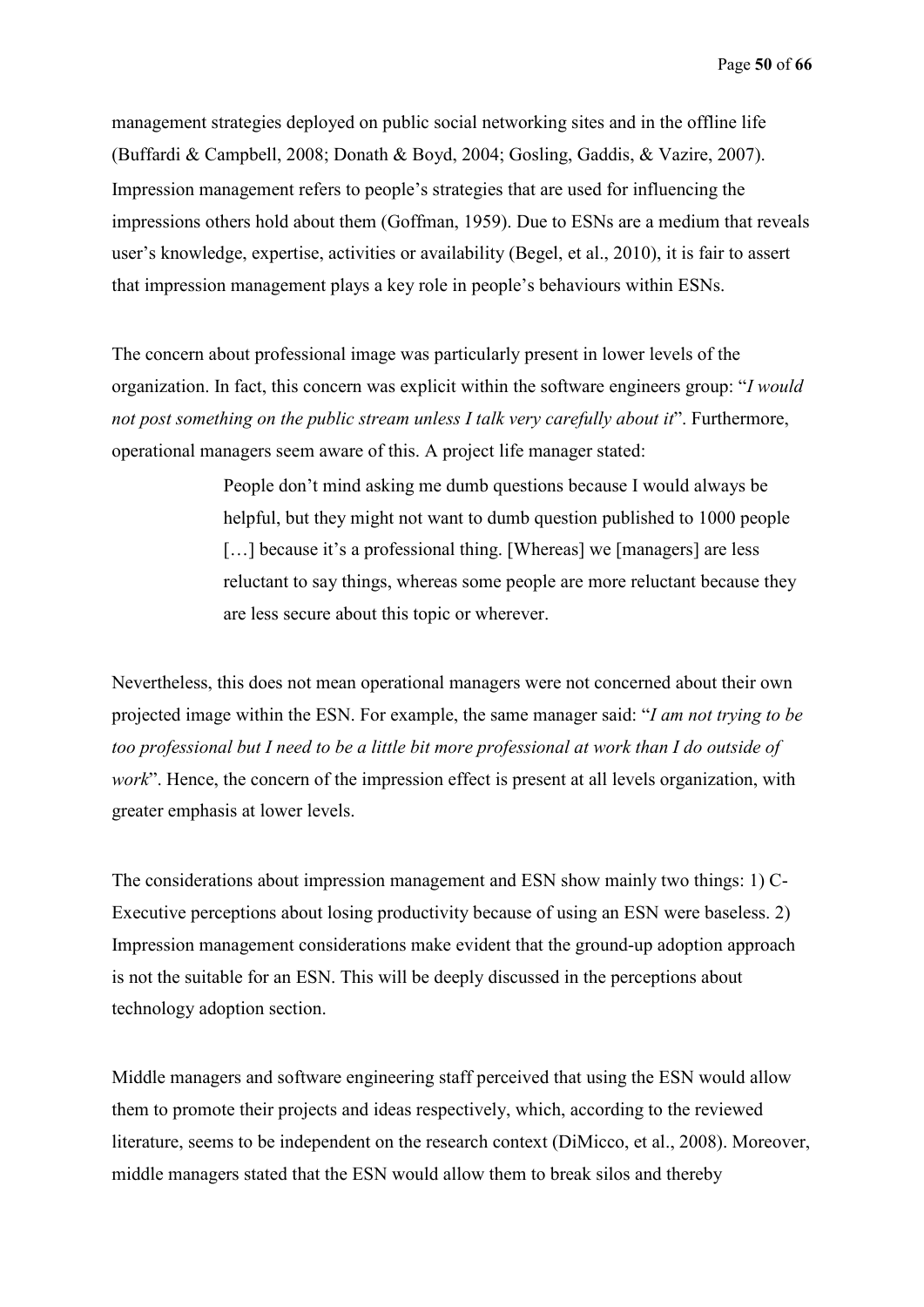management strategies deployed on public social networking sites and in the offline life (Buffardi & Campbell, 2008; Donath & Boyd, 2004; Gosling, Gaddis, & Vazire, 2007). Impression management refers to people's strategies that are used for influencing the impressions others hold about them (Goffman, 1959). Due to ESNs are a medium that reveals user's knowledge, expertise, activities or availability (Begel, et al., 2010), it is fair to assert that impression management plays a key role in people's behaviours within ESNs.

The concern about professional image was particularly present in lower levels of the organization. In fact, this concern was explicit within the software engineers group: "*I would not post something on the public stream unless I talk very carefully about it*". Furthermore, operational managers seem aware of this. A project life manager stated:

> People don't mind asking me dumb questions because I would always be helpful, but they might not want to dumb question published to 1000 people [...] because it's a professional thing. [Whereas] we [managers] are less reluctant to say things, whereas some people are more reluctant because they are less secure about this topic or wherever.

Nevertheless, this does not mean operational managers were not concerned about their own projected image within the ESN. For example, the same manager said: "*I am not trying to be too professional but I need to be a little bit more professional at work than I do outside of work*". Hence, the concern of the impression effect is present at all levels organization, with greater emphasis at lower levels.

The considerations about impression management and ESN show mainly two things: 1) C-Executive perceptions about losing productivity because of using an ESN were baseless. 2) Impression management considerations make evident that the ground-up adoption approach is not the suitable for an ESN. This will be deeply discussed in the perceptions about technology adoption section.

Middle managers and software engineering staff perceived that using the ESN would allow them to promote their projects and ideas respectively, which, according to the reviewed literature, seems to be independent on the research context (DiMicco, et al., 2008). Moreover, middle managers stated that the ESN would allow them to break silos and thereby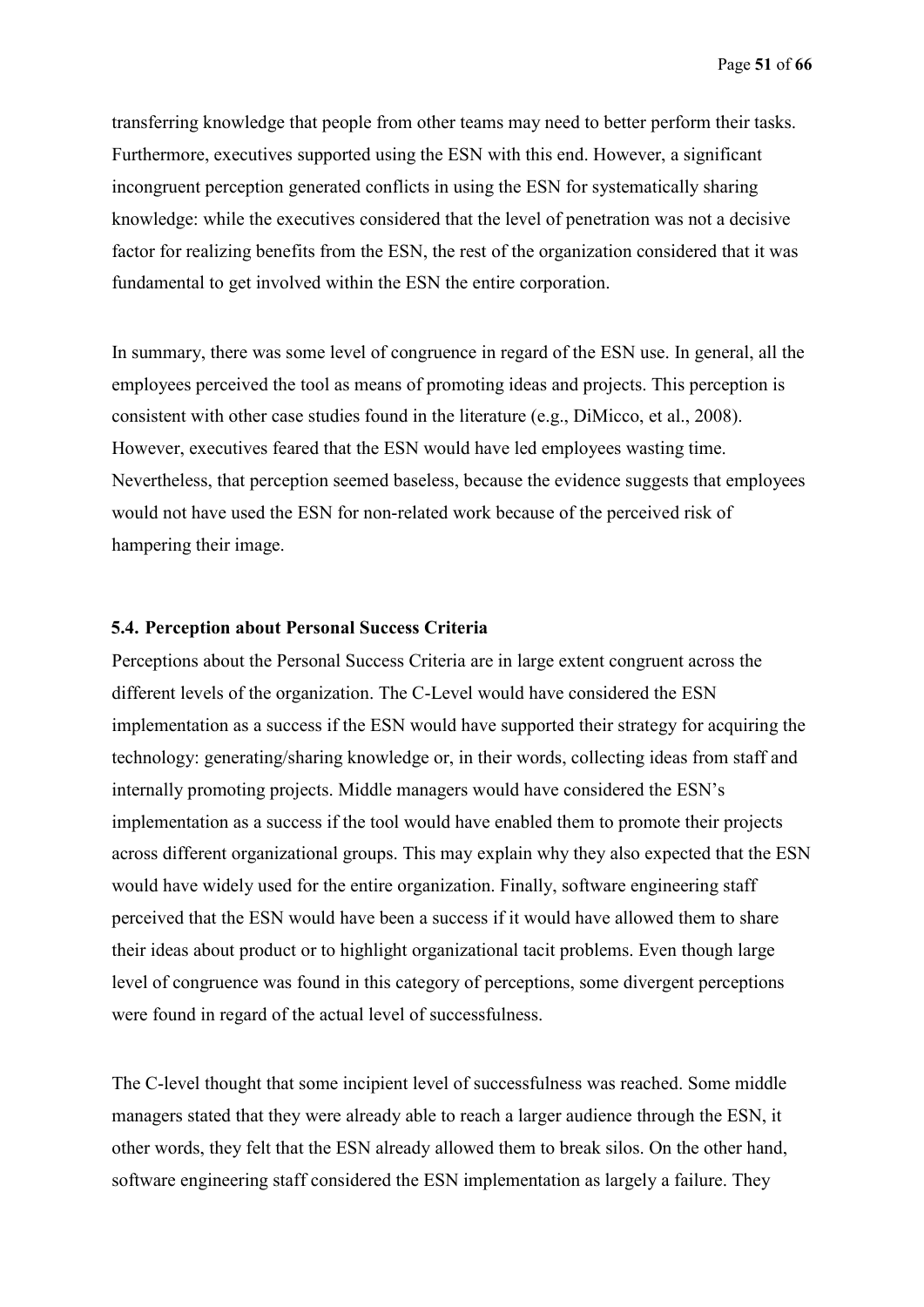transferring knowledge that people from other teams may need to better perform their tasks. Furthermore, executives supported using the ESN with this end. However, a significant incongruent perception generated conflicts in using the ESN for systematically sharing knowledge: while the executives considered that the level of penetration was not a decisive factor for realizing benefits from the ESN, the rest of the organization considered that it was fundamental to get involved within the ESN the entire corporation.

In summary, there was some level of congruence in regard of the ESN use. In general, all the employees perceived the tool as means of promoting ideas and projects. This perception is consistent with other case studies found in the literature (e.g., DiMicco, et al., 2008). However, executives feared that the ESN would have led employees wasting time. Nevertheless, that perception seemed baseless, because the evidence suggests that employees would not have used the ESN for non-related work because of the perceived risk of hampering their image.

#### **5.4. Perception about Personal Success Criteria**

Perceptions about the Personal Success Criteria are in large extent congruent across the different levels of the organization. The C-Level would have considered the ESN implementation as a success if the ESN would have supported their strategy for acquiring the technology: generating/sharing knowledge or, in their words, collecting ideas from staff and internally promoting projects. Middle managers would have considered the ESN's implementation as a success if the tool would have enabled them to promote their projects across different organizational groups. This may explain why they also expected that the ESN would have widely used for the entire organization. Finally, software engineering staff perceived that the ESN would have been a success if it would have allowed them to share their ideas about product or to highlight organizational tacit problems. Even though large level of congruence was found in this category of perceptions, some divergent perceptions were found in regard of the actual level of successfulness.

The C-level thought that some incipient level of successfulness was reached. Some middle managers stated that they were already able to reach a larger audience through the ESN, it other words, they felt that the ESN already allowed them to break silos. On the other hand, software engineering staff considered the ESN implementation as largely a failure. They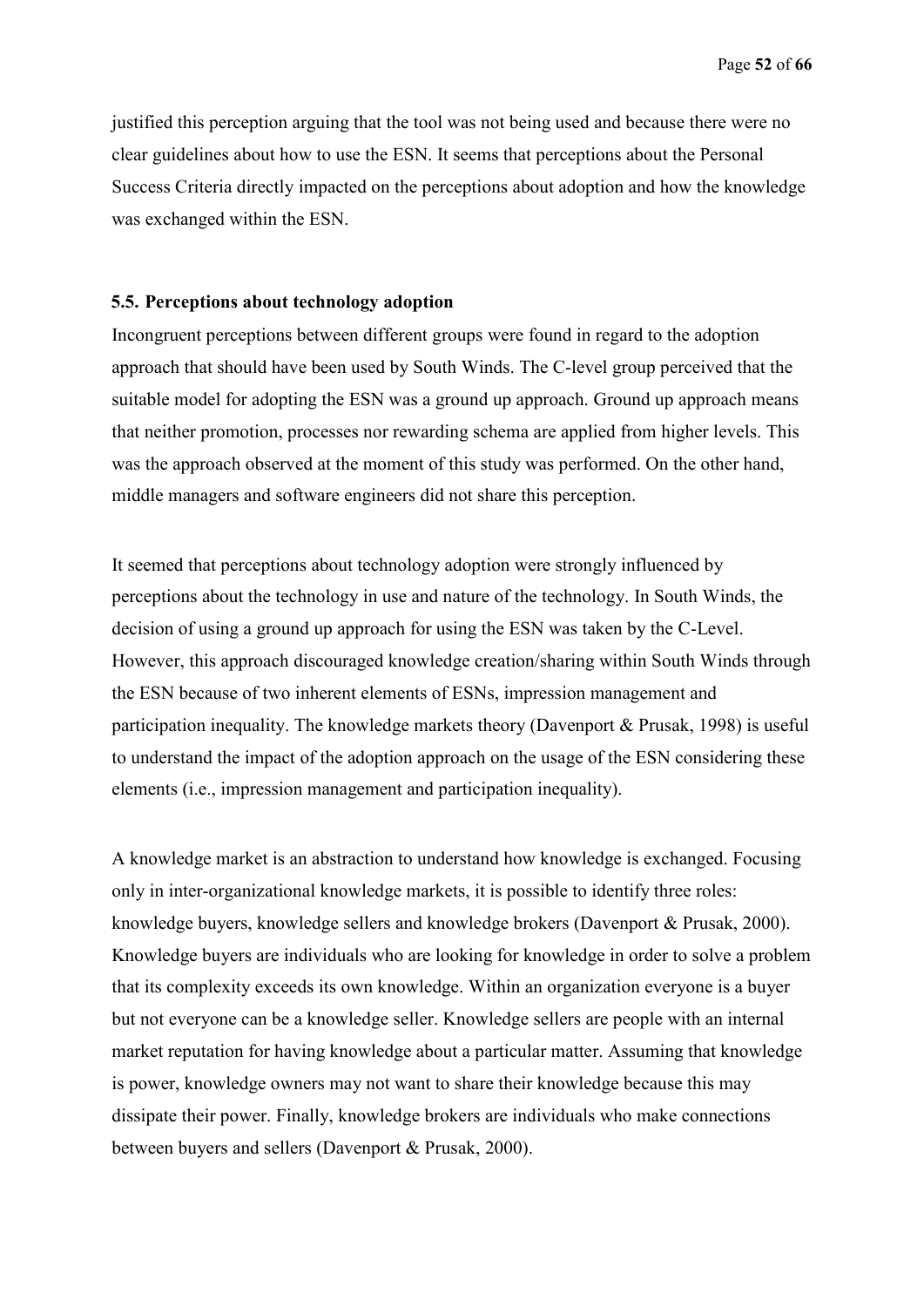justified this perception arguing that the tool was not being used and because there were no clear guidelines about how to use the ESN. It seems that perceptions about the Personal Success Criteria directly impacted on the perceptions about adoption and how the knowledge was exchanged within the ESN.

#### **5.5. Perceptions about technology adoption**

Incongruent perceptions between different groups were found in regard to the adoption approach that should have been used by South Winds. The C-level group perceived that the suitable model for adopting the ESN was a ground up approach. Ground up approach means that neither promotion, processes nor rewarding schema are applied from higher levels. This was the approach observed at the moment of this study was performed. On the other hand, middle managers and software engineers did not share this perception.

It seemed that perceptions about technology adoption were strongly influenced by perceptions about the technology in use and nature of the technology. In South Winds, the decision of using a ground up approach for using the ESN was taken by the C-Level. However, this approach discouraged knowledge creation/sharing within South Winds through the ESN because of two inherent elements of ESNs, impression management and participation inequality. The knowledge markets theory (Davenport & Prusak, 1998) is useful to understand the impact of the adoption approach on the usage of the ESN considering these elements (i.e., impression management and participation inequality).

A knowledge market is an abstraction to understand how knowledge is exchanged. Focusing only in inter-organizational knowledge markets, it is possible to identify three roles: knowledge buyers, knowledge sellers and knowledge brokers (Davenport & Prusak, 2000). Knowledge buyers are individuals who are looking for knowledge in order to solve a problem that its complexity exceeds its own knowledge. Within an organization everyone is a buyer but not everyone can be a knowledge seller. Knowledge sellers are people with an internal market reputation for having knowledge about a particular matter. Assuming that knowledge is power, knowledge owners may not want to share their knowledge because this may dissipate their power. Finally, knowledge brokers are individuals who make connections between buyers and sellers (Davenport & Prusak, 2000).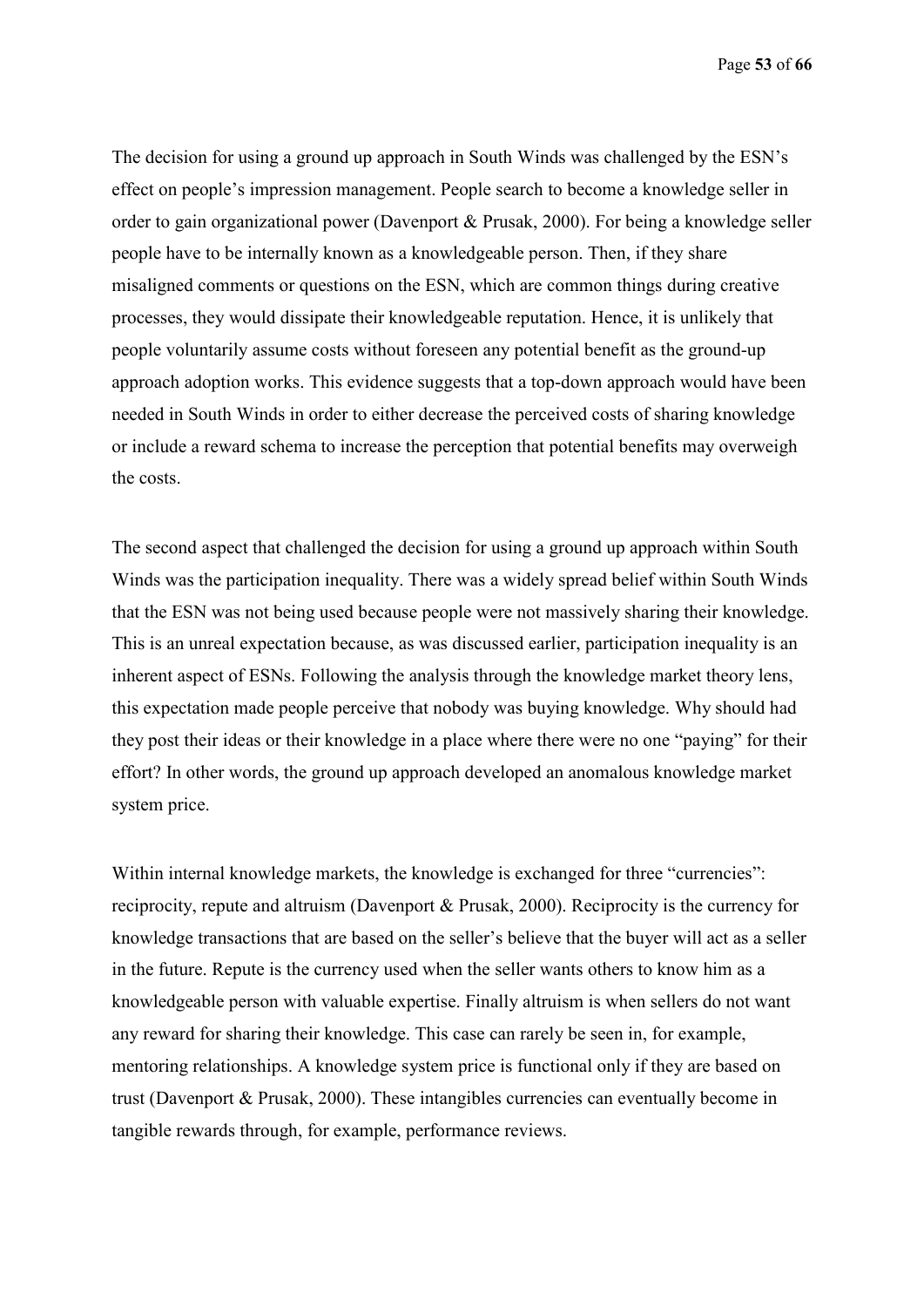Page **53** of **66**

The decision for using a ground up approach in South Winds was challenged by the ESN's effect on people's impression management. People search to become a knowledge seller in order to gain organizational power (Davenport & Prusak, 2000). For being a knowledge seller people have to be internally known as a knowledgeable person. Then, if they share misaligned comments or questions on the ESN, which are common things during creative processes, they would dissipate their knowledgeable reputation. Hence, it is unlikely that people voluntarily assume costs without foreseen any potential benefit as the ground-up approach adoption works. This evidence suggests that a top-down approach would have been needed in South Winds in order to either decrease the perceived costs of sharing knowledge or include a reward schema to increase the perception that potential benefits may overweigh the costs.

The second aspect that challenged the decision for using a ground up approach within South Winds was the participation inequality. There was a widely spread belief within South Winds that the ESN was not being used because people were not massively sharing their knowledge. This is an unreal expectation because, as was discussed earlier, participation inequality is an inherent aspect of ESNs. Following the analysis through the knowledge market theory lens, this expectation made people perceive that nobody was buying knowledge. Why should had they post their ideas or their knowledge in a place where there were no one "paying" for their effort? In other words, the ground up approach developed an anomalous knowledge market system price.

Within internal knowledge markets, the knowledge is exchanged for three "currencies": reciprocity, repute and altruism (Davenport & Prusak, 2000). Reciprocity is the currency for knowledge transactions that are based on the seller's believe that the buyer will act as a seller in the future. Repute is the currency used when the seller wants others to know him as a knowledgeable person with valuable expertise. Finally altruism is when sellers do not want any reward for sharing their knowledge. This case can rarely be seen in, for example, mentoring relationships. A knowledge system price is functional only if they are based on trust (Davenport & Prusak, 2000). These intangibles currencies can eventually become in tangible rewards through, for example, performance reviews.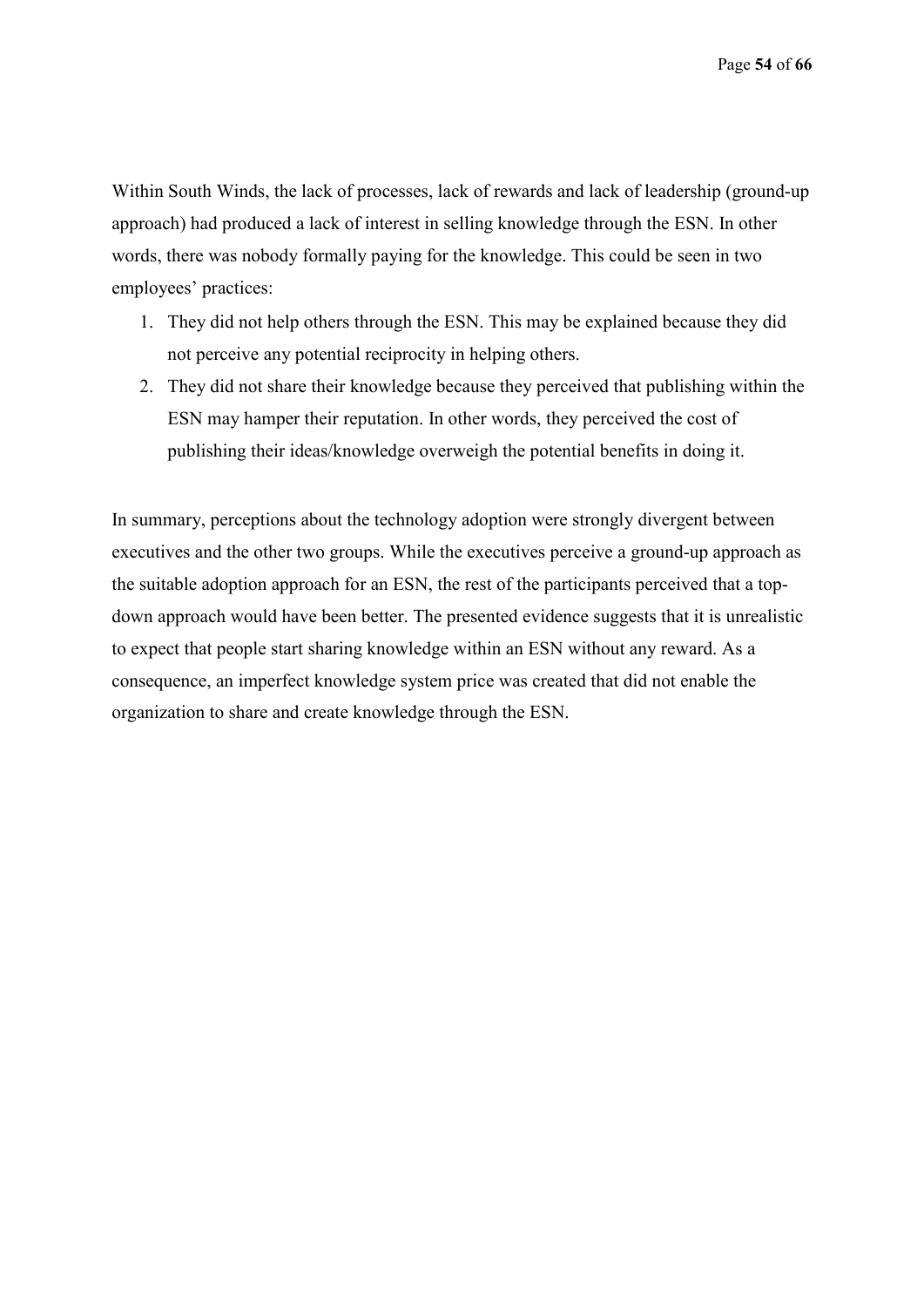Within South Winds, the lack of processes, lack of rewards and lack of leadership (ground-up approach) had produced a lack of interest in selling knowledge through the ESN. In other words, there was nobody formally paying for the knowledge. This could be seen in two employees' practices:

- 1. They did not help others through the ESN. This may be explained because they did not perceive any potential reciprocity in helping others.
- 2. They did not share their knowledge because they perceived that publishing within the ESN may hamper their reputation. In other words, they perceived the cost of publishing their ideas/knowledge overweigh the potential benefits in doing it.

In summary, perceptions about the technology adoption were strongly divergent between executives and the other two groups. While the executives perceive a ground-up approach as the suitable adoption approach for an ESN, the rest of the participants perceived that a topdown approach would have been better. The presented evidence suggests that it is unrealistic to expect that people start sharing knowledge within an ESN without any reward. As a consequence, an imperfect knowledge system price was created that did not enable the organization to share and create knowledge through the ESN.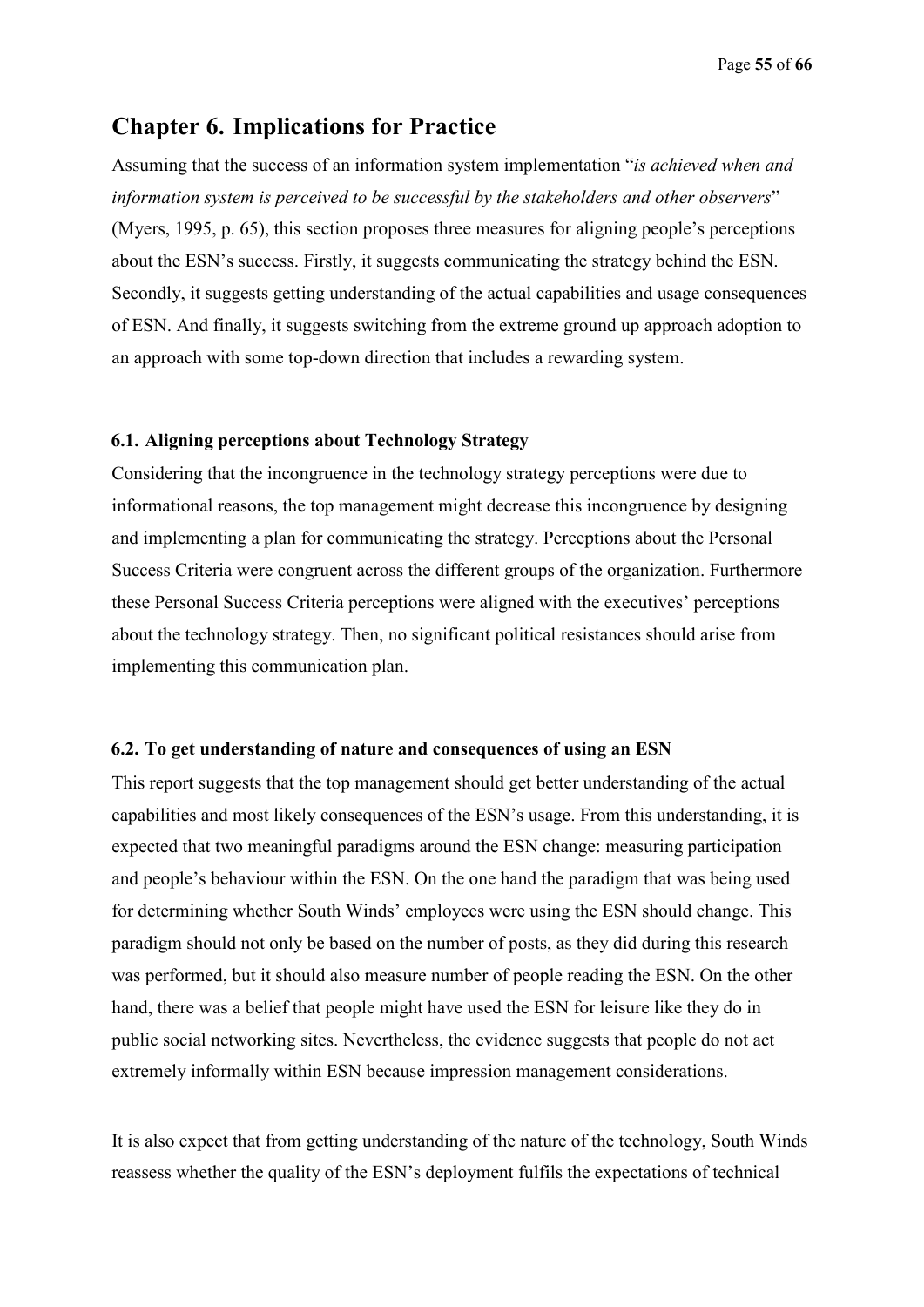# **Chapter 6. Implications for Practice**

Assuming that the success of an information system implementation "*is achieved when and information system is perceived to be successful by the stakeholders and other observers*" (Myers, 1995, p. 65), this section proposes three measures for aligning people's perceptions about the ESN's success. Firstly, it suggests communicating the strategy behind the ESN. Secondly, it suggests getting understanding of the actual capabilities and usage consequences of ESN. And finally, it suggests switching from the extreme ground up approach adoption to an approach with some top-down direction that includes a rewarding system.

### **6.1. Aligning perceptions about Technology Strategy**

Considering that the incongruence in the technology strategy perceptions were due to informational reasons, the top management might decrease this incongruence by designing and implementing a plan for communicating the strategy. Perceptions about the Personal Success Criteria were congruent across the different groups of the organization. Furthermore these Personal Success Criteria perceptions were aligned with the executives' perceptions about the technology strategy. Then, no significant political resistances should arise from implementing this communication plan.

### **6.2. To get understanding of nature and consequences of using an ESN**

This report suggests that the top management should get better understanding of the actual capabilities and most likely consequences of the ESN's usage. From this understanding, it is expected that two meaningful paradigms around the ESN change: measuring participation and people's behaviour within the ESN. On the one hand the paradigm that was being used for determining whether South Winds' employees were using the ESN should change. This paradigm should not only be based on the number of posts, as they did during this research was performed, but it should also measure number of people reading the ESN. On the other hand, there was a belief that people might have used the ESN for leisure like they do in public social networking sites. Nevertheless, the evidence suggests that people do not act extremely informally within ESN because impression management considerations.

It is also expect that from getting understanding of the nature of the technology, South Winds reassess whether the quality of the ESN's deployment fulfils the expectations of technical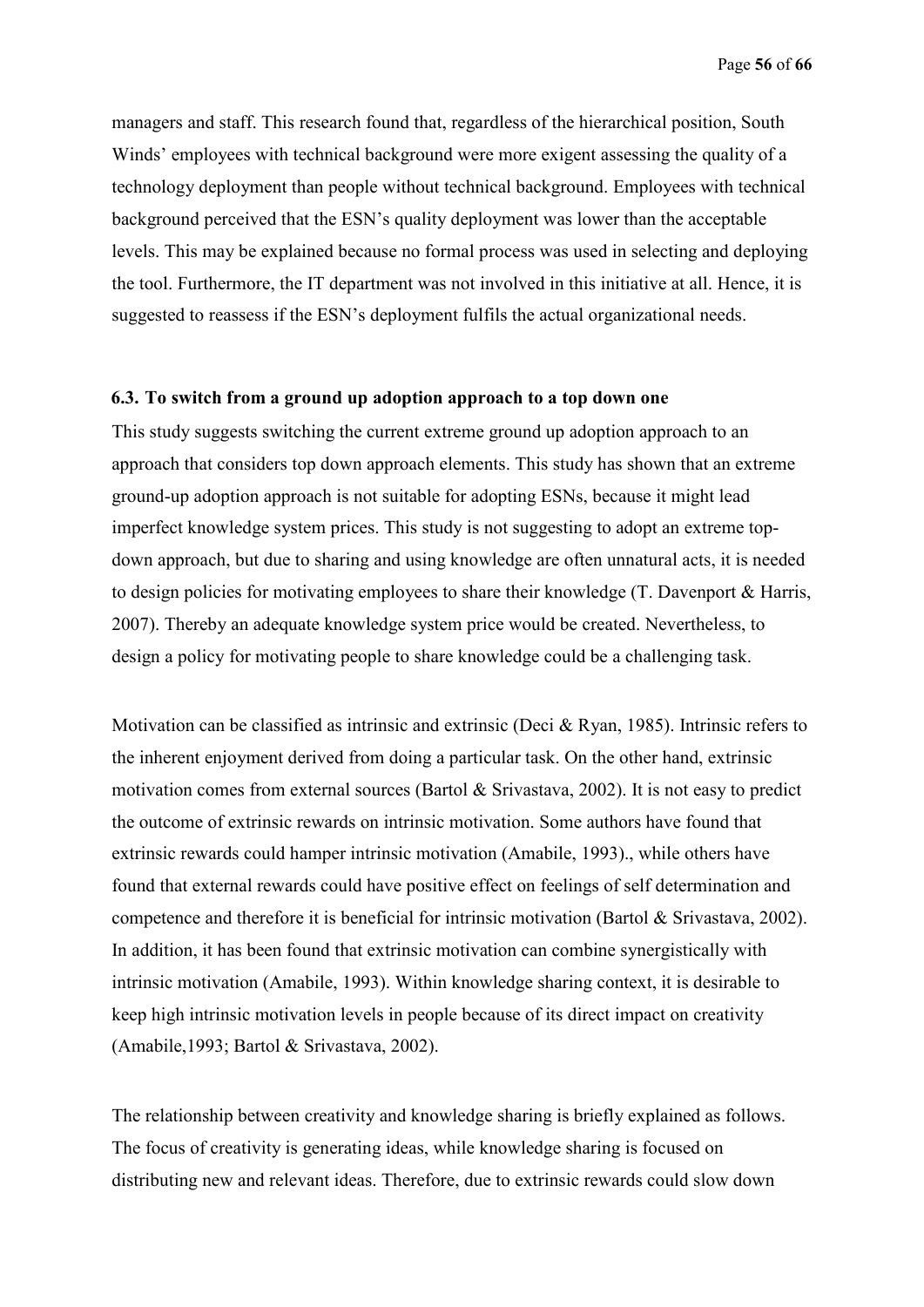managers and staff. This research found that, regardless of the hierarchical position, South Winds' employees with technical background were more exigent assessing the quality of a technology deployment than people without technical background. Employees with technical background perceived that the ESN's quality deployment was lower than the acceptable levels. This may be explained because no formal process was used in selecting and deploying the tool. Furthermore, the IT department was not involved in this initiative at all. Hence, it is suggested to reassess if the ESN's deployment fulfils the actual organizational needs.

#### **6.3. To switch from a ground up adoption approach to a top down one**

This study suggests switching the current extreme ground up adoption approach to an approach that considers top down approach elements. This study has shown that an extreme ground-up adoption approach is not suitable for adopting ESNs, because it might lead imperfect knowledge system prices. This study is not suggesting to adopt an extreme topdown approach, but due to sharing and using knowledge are often unnatural acts, it is needed to design policies for motivating employees to share their knowledge (T. Davenport & Harris, 2007). Thereby an adequate knowledge system price would be created. Nevertheless, to design a policy for motivating people to share knowledge could be a challenging task.

Motivation can be classified as intrinsic and extrinsic (Deci & Ryan, 1985). Intrinsic refers to the inherent enjoyment derived from doing a particular task. On the other hand, extrinsic motivation comes from external sources (Bartol & Srivastava, 2002). It is not easy to predict the outcome of extrinsic rewards on intrinsic motivation. Some authors have found that extrinsic rewards could hamper intrinsic motivation (Amabile, 1993)., while others have found that external rewards could have positive effect on feelings of self determination and competence and therefore it is beneficial for intrinsic motivation (Bartol & Srivastava, 2002). In addition, it has been found that extrinsic motivation can combine synergistically with intrinsic motivation (Amabile, 1993). Within knowledge sharing context, it is desirable to keep high intrinsic motivation levels in people because of its direct impact on creativity (Amabile,1993; Bartol & Srivastava, 2002).

The relationship between creativity and knowledge sharing is briefly explained as follows. The focus of creativity is generating ideas, while knowledge sharing is focused on distributing new and relevant ideas. Therefore, due to extrinsic rewards could slow down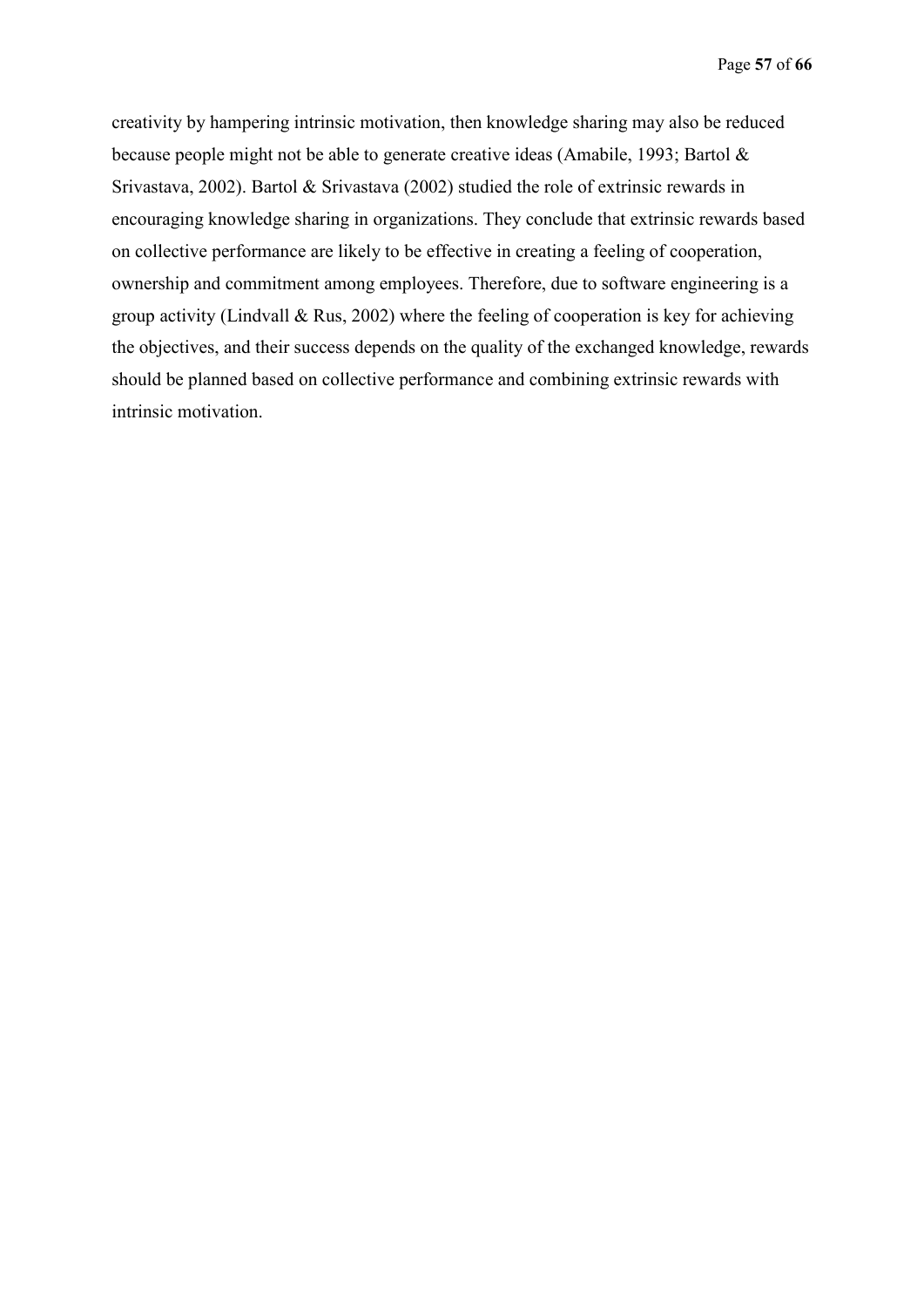creativity by hampering intrinsic motivation, then knowledge sharing may also be reduced because people might not be able to generate creative ideas (Amabile, 1993; Bartol & Srivastava, 2002). Bartol & Srivastava (2002) studied the role of extrinsic rewards in encouraging knowledge sharing in organizations. They conclude that extrinsic rewards based on collective performance are likely to be effective in creating a feeling of cooperation, ownership and commitment among employees. Therefore, due to software engineering is a group activity (Lindvall  $\&$  Rus, 2002) where the feeling of cooperation is key for achieving the objectives, and their success depends on the quality of the exchanged knowledge, rewards should be planned based on collective performance and combining extrinsic rewards with intrinsic motivation.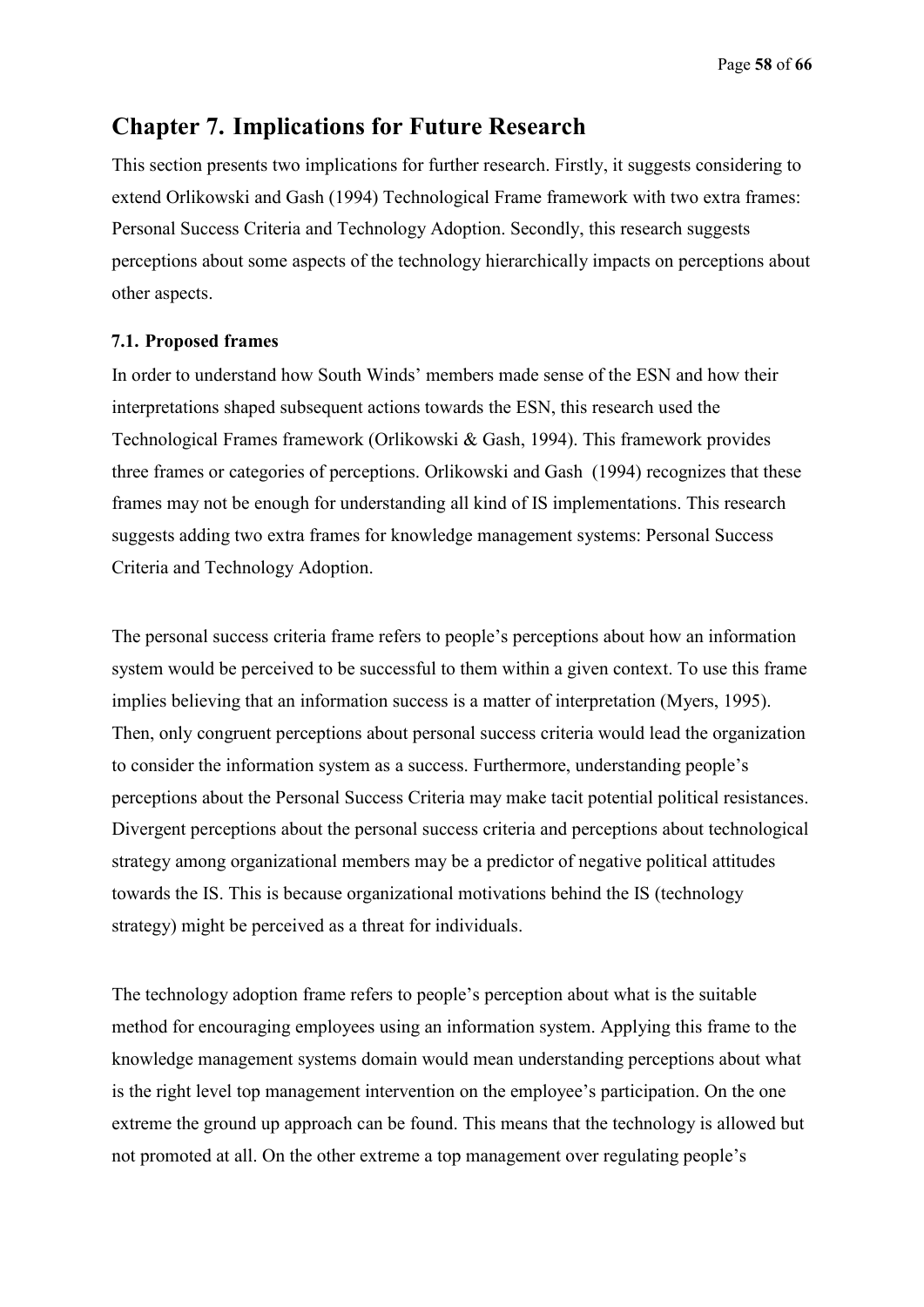# **Chapter 7. Implications for Future Research**

This section presents two implications for further research. Firstly, it suggests considering to extend Orlikowski and Gash (1994) Technological Frame framework with two extra frames: Personal Success Criteria and Technology Adoption. Secondly, this research suggests perceptions about some aspects of the technology hierarchically impacts on perceptions about other aspects.

### **7.1. Proposed frames**

In order to understand how South Winds' members made sense of the ESN and how their interpretations shaped subsequent actions towards the ESN, this research used the Technological Frames framework (Orlikowski & Gash, 1994). This framework provides three frames or categories of perceptions. Orlikowski and Gash (1994) recognizes that these frames may not be enough for understanding all kind of IS implementations. This research suggests adding two extra frames for knowledge management systems: Personal Success Criteria and Technology Adoption.

The personal success criteria frame refers to people's perceptions about how an information system would be perceived to be successful to them within a given context. To use this frame implies believing that an information success is a matter of interpretation (Myers, 1995). Then, only congruent perceptions about personal success criteria would lead the organization to consider the information system as a success. Furthermore, understanding people's perceptions about the Personal Success Criteria may make tacit potential political resistances. Divergent perceptions about the personal success criteria and perceptions about technological strategy among organizational members may be a predictor of negative political attitudes towards the IS. This is because organizational motivations behind the IS (technology strategy) might be perceived as a threat for individuals.

The technology adoption frame refers to people's perception about what is the suitable method for encouraging employees using an information system. Applying this frame to the knowledge management systems domain would mean understanding perceptions about what is the right level top management intervention on the employee's participation. On the one extreme the ground up approach can be found. This means that the technology is allowed but not promoted at all. On the other extreme a top management over regulating people's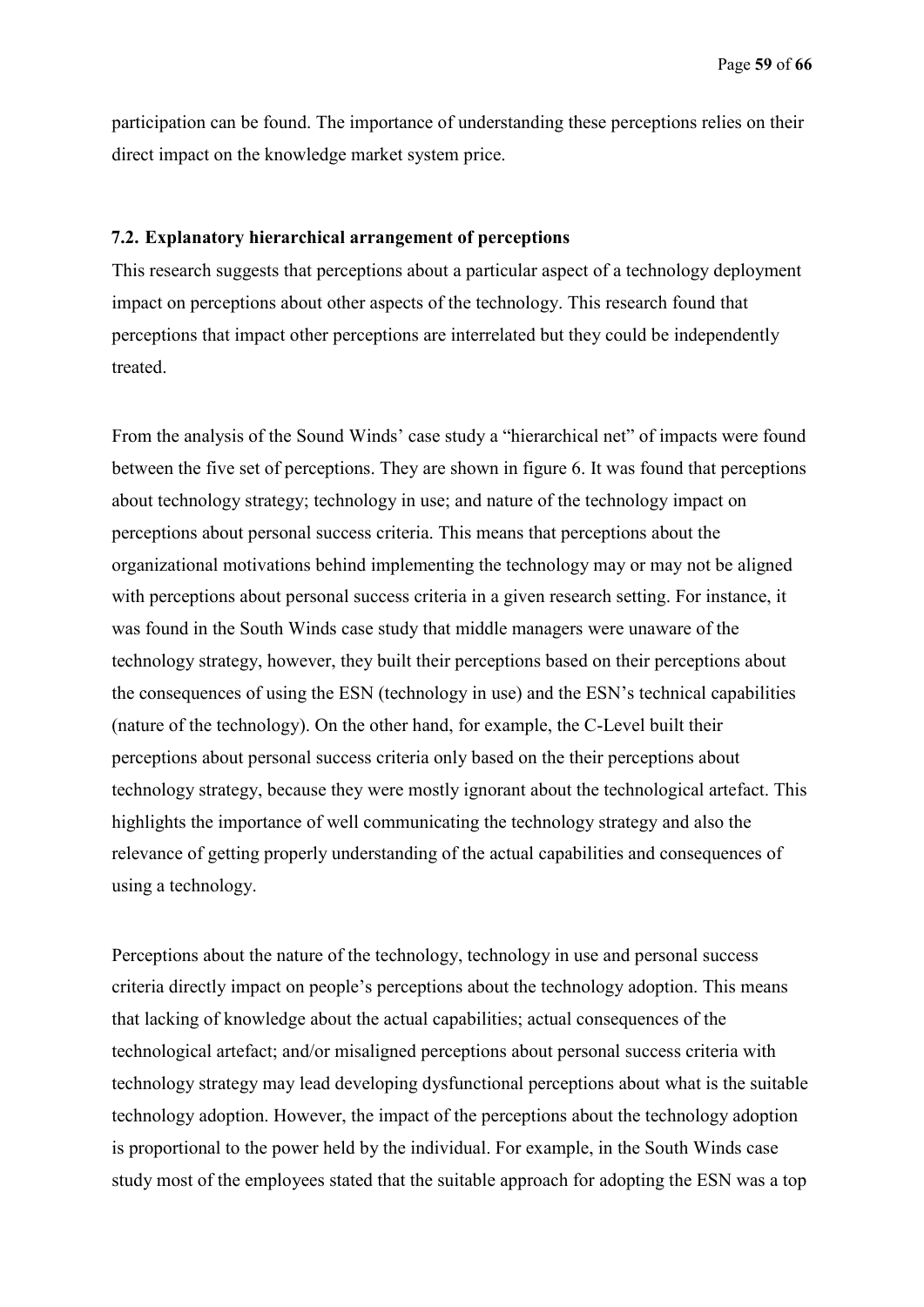participation can be found. The importance of understanding these perceptions relies on their direct impact on the knowledge market system price.

#### **7.2. Explanatory hierarchical arrangement of perceptions**

This research suggests that perceptions about a particular aspect of a technology deployment impact on perceptions about other aspects of the technology. This research found that perceptions that impact other perceptions are interrelated but they could be independently treated.

From the analysis of the Sound Winds' case study a "hierarchical net" of impacts were found between the five set of perceptions. They are shown in figure 6. It was found that perceptions about technology strategy; technology in use; and nature of the technology impact on perceptions about personal success criteria. This means that perceptions about the organizational motivations behind implementing the technology may or may not be aligned with perceptions about personal success criteria in a given research setting. For instance, it was found in the South Winds case study that middle managers were unaware of the technology strategy, however, they built their perceptions based on their perceptions about the consequences of using the ESN (technology in use) and the ESN's technical capabilities (nature of the technology). On the other hand, for example, the C-Level built their perceptions about personal success criteria only based on the their perceptions about technology strategy, because they were mostly ignorant about the technological artefact. This highlights the importance of well communicating the technology strategy and also the relevance of getting properly understanding of the actual capabilities and consequences of using a technology.

Perceptions about the nature of the technology, technology in use and personal success criteria directly impact on people's perceptions about the technology adoption. This means that lacking of knowledge about the actual capabilities; actual consequences of the technological artefact; and/or misaligned perceptions about personal success criteria with technology strategy may lead developing dysfunctional perceptions about what is the suitable technology adoption. However, the impact of the perceptions about the technology adoption is proportional to the power held by the individual. For example, in the South Winds case study most of the employees stated that the suitable approach for adopting the ESN was a top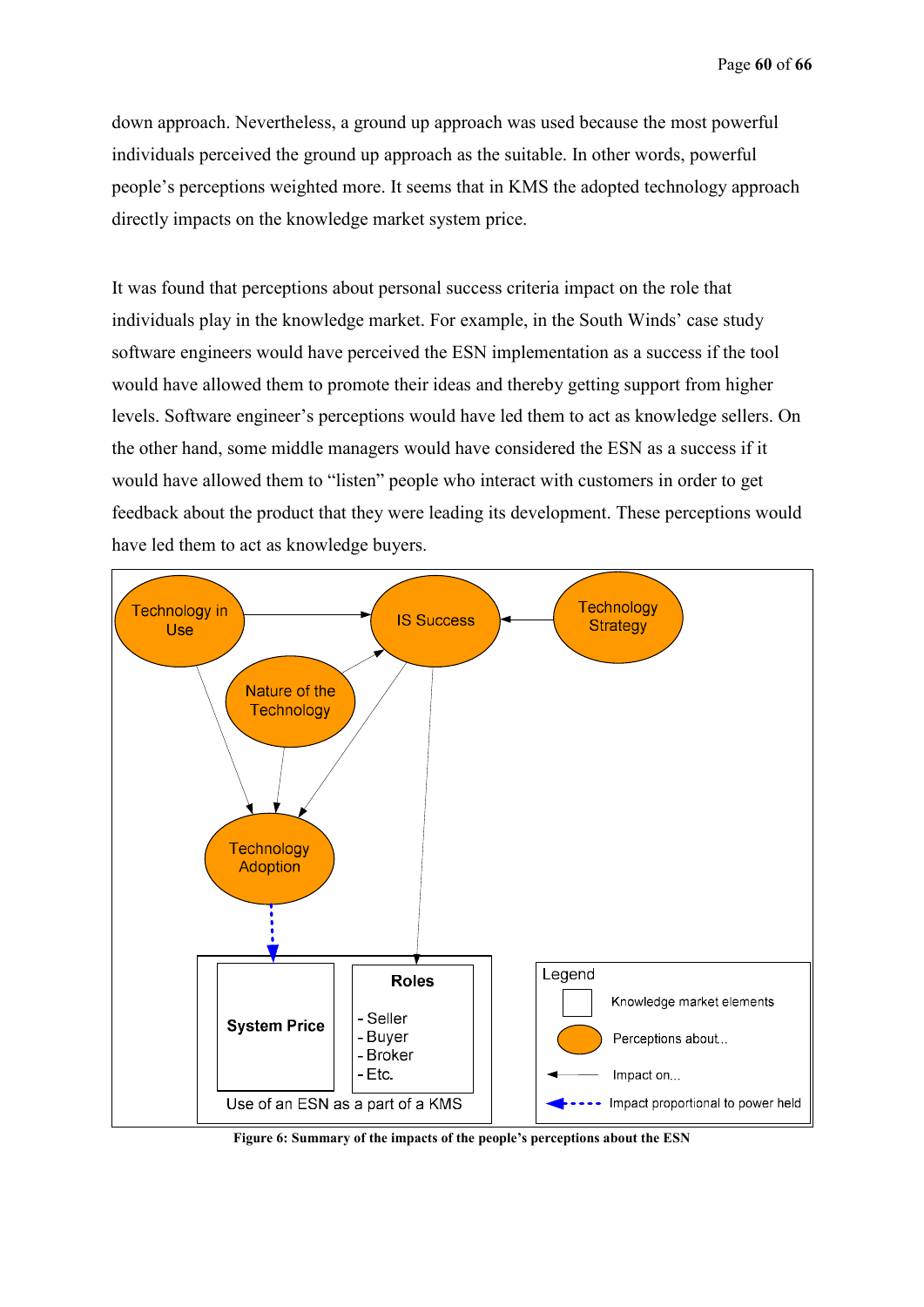down approach. Nevertheless, a ground up approach was used because the most powerful individuals perceived the ground up approach as the suitable. In other words, powerful people's perceptions weighted more. It seems that in KMS the adopted technology approach directly impacts on the knowledge market system price.

It was found that perceptions about personal success criteria impact on the role that individuals play in the knowledge market. For example, in the South Winds' case study software engineers would have perceived the ESN implementation as a success if the tool would have allowed them to promote their ideas and thereby getting support from higher levels. Software engineer's perceptions would have led them to act as knowledge sellers. On the other hand, some middle managers would have considered the ESN as a success if it would have allowed them to "listen" people who interact with customers in order to get feedback about the product that they were leading its development. These perceptions would have led them to act as knowledge buyers.



**Figure 6: Summary of the impacts of the people's perceptions about the ESN**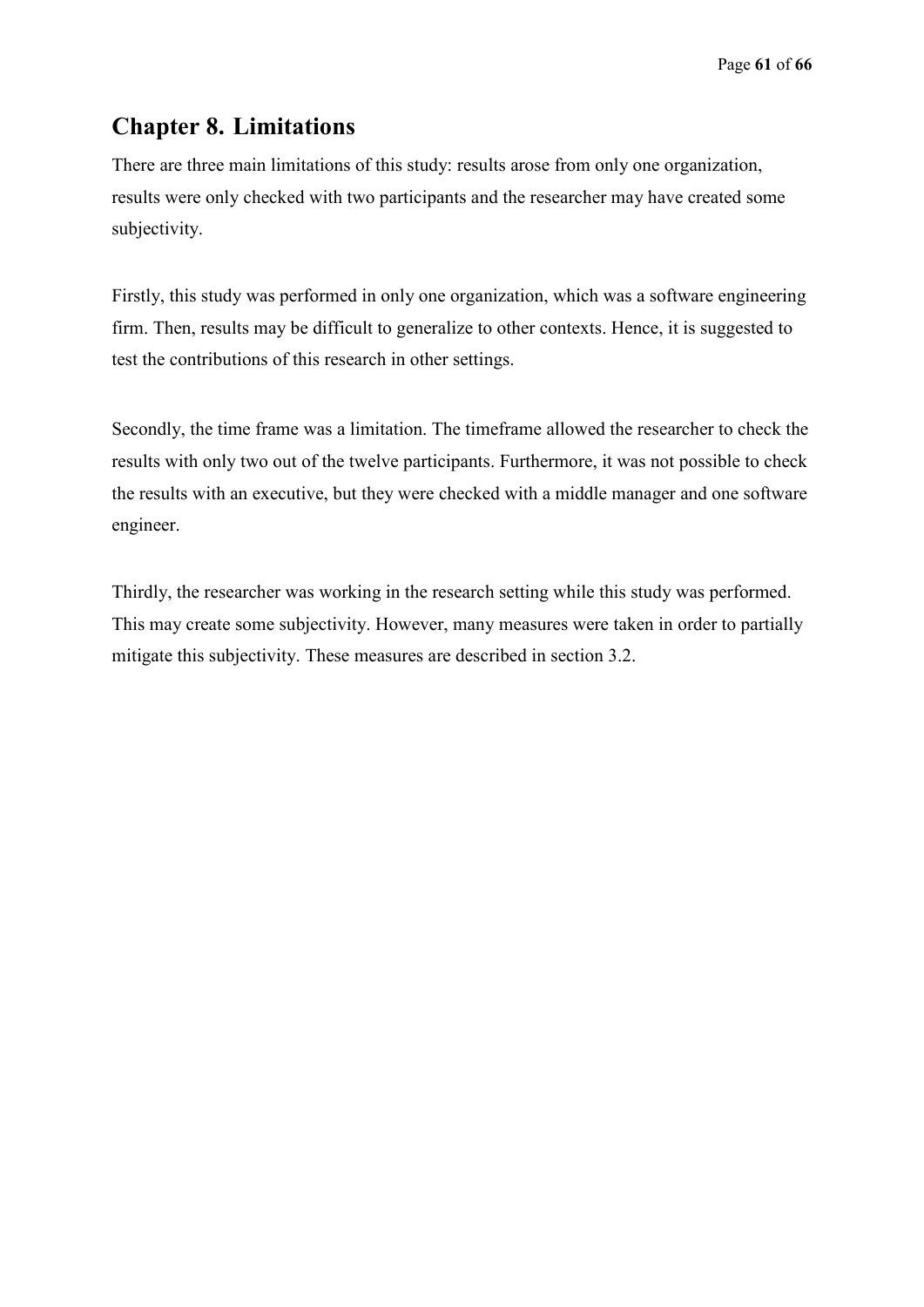# **Chapter 8. Limitations**

There are three main limitations of this study: results arose from only one organization, results were only checked with two participants and the researcher may have created some subjectivity.

Firstly, this study was performed in only one organization, which was a software engineering firm. Then, results may be difficult to generalize to other contexts. Hence, it is suggested to test the contributions of this research in other settings.

Secondly, the time frame was a limitation. The timeframe allowed the researcher to check the results with only two out of the twelve participants. Furthermore, it was not possible to check the results with an executive, but they were checked with a middle manager and one software engineer.

Thirdly, the researcher was working in the research setting while this study was performed. This may create some subjectivity. However, many measures were taken in order to partially mitigate this subjectivity. These measures are described in section 3.2.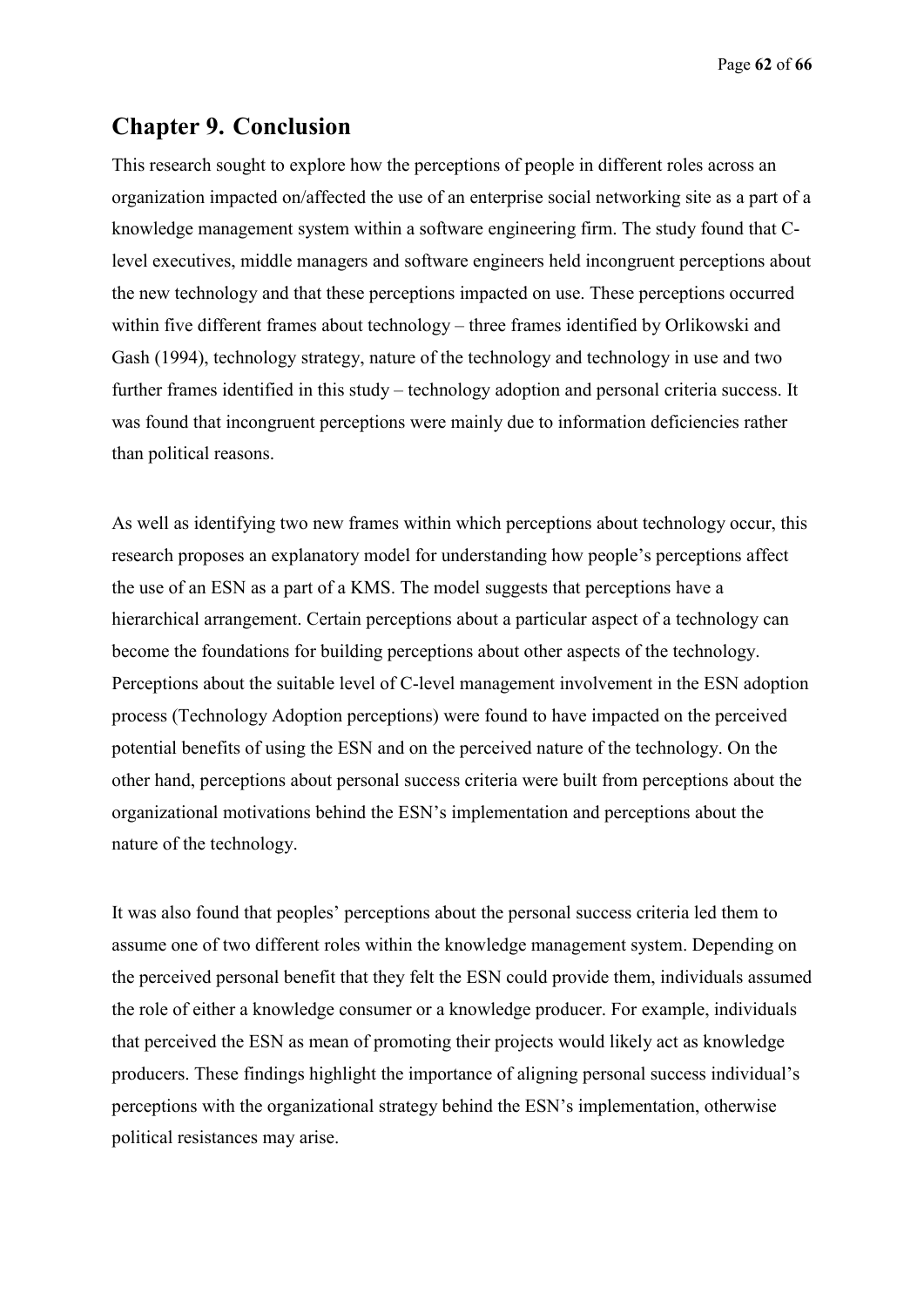Page **62** of **66**

# **Chapter 9. Conclusion**

This research sought to explore how the perceptions of people in different roles across an organization impacted on/affected the use of an enterprise social networking site as a part of a knowledge management system within a software engineering firm. The study found that Clevel executives, middle managers and software engineers held incongruent perceptions about the new technology and that these perceptions impacted on use. These perceptions occurred within five different frames about technology – three frames identified by Orlikowski and Gash (1994), technology strategy, nature of the technology and technology in use and two further frames identified in this study – technology adoption and personal criteria success. It was found that incongruent perceptions were mainly due to information deficiencies rather than political reasons.

As well as identifying two new frames within which perceptions about technology occur, this research proposes an explanatory model for understanding how people's perceptions affect the use of an ESN as a part of a KMS. The model suggests that perceptions have a hierarchical arrangement. Certain perceptions about a particular aspect of a technology can become the foundations for building perceptions about other aspects of the technology. Perceptions about the suitable level of C-level management involvement in the ESN adoption process (Technology Adoption perceptions) were found to have impacted on the perceived potential benefits of using the ESN and on the perceived nature of the technology. On the other hand, perceptions about personal success criteria were built from perceptions about the organizational motivations behind the ESN's implementation and perceptions about the nature of the technology.

It was also found that peoples' perceptions about the personal success criteria led them to assume one of two different roles within the knowledge management system. Depending on the perceived personal benefit that they felt the ESN could provide them, individuals assumed the role of either a knowledge consumer or a knowledge producer. For example, individuals that perceived the ESN as mean of promoting their projects would likely act as knowledge producers. These findings highlight the importance of aligning personal success individual's perceptions with the organizational strategy behind the ESN's implementation, otherwise political resistances may arise.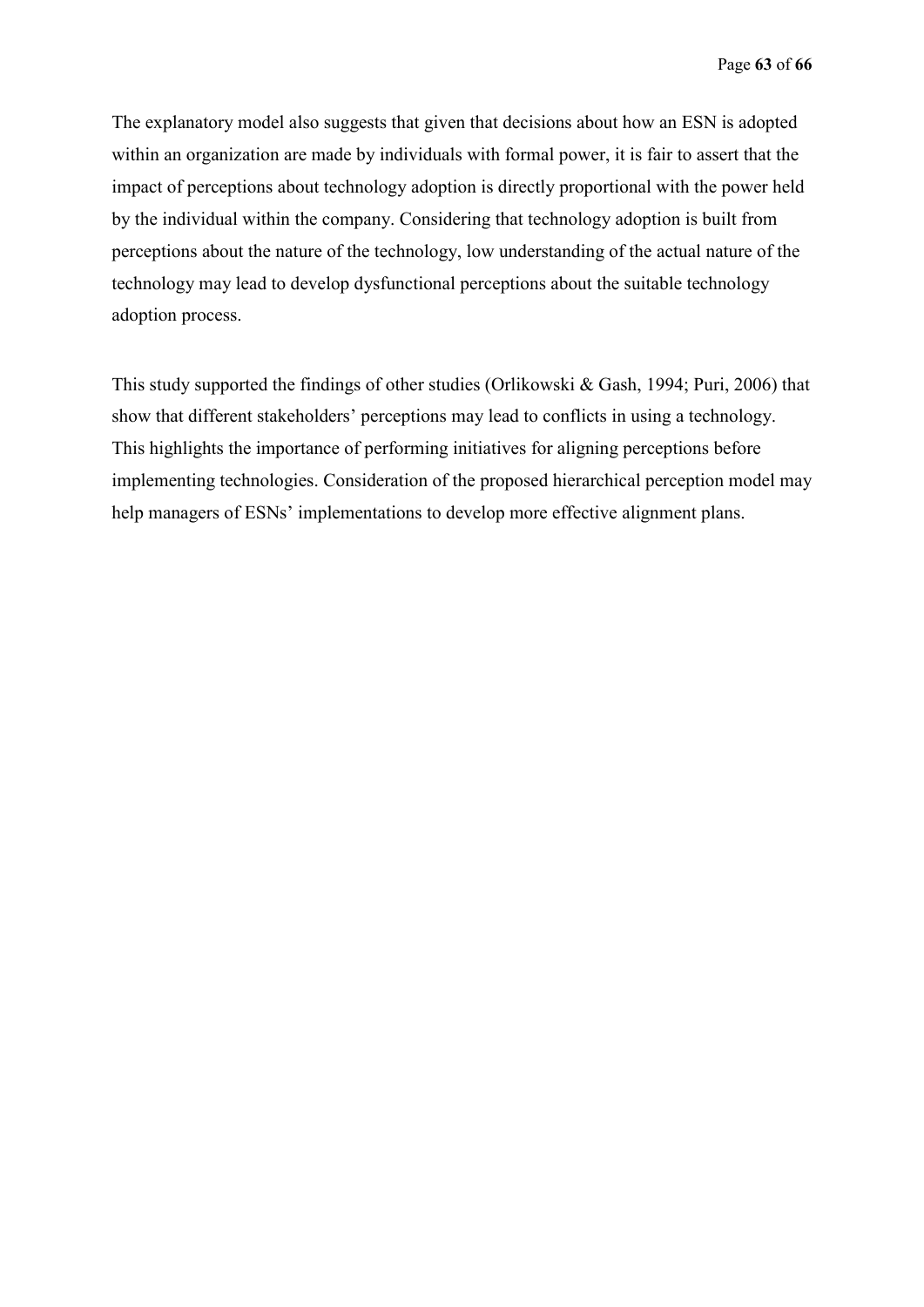The explanatory model also suggests that given that decisions about how an ESN is adopted within an organization are made by individuals with formal power, it is fair to assert that the impact of perceptions about technology adoption is directly proportional with the power held by the individual within the company. Considering that technology adoption is built from perceptions about the nature of the technology, low understanding of the actual nature of the technology may lead to develop dysfunctional perceptions about the suitable technology adoption process.

This study supported the findings of other studies (Orlikowski & Gash, 1994; Puri, 2006) that show that different stakeholders' perceptions may lead to conflicts in using a technology. This highlights the importance of performing initiatives for aligning perceptions before implementing technologies. Consideration of the proposed hierarchical perception model may help managers of ESNs' implementations to develop more effective alignment plans.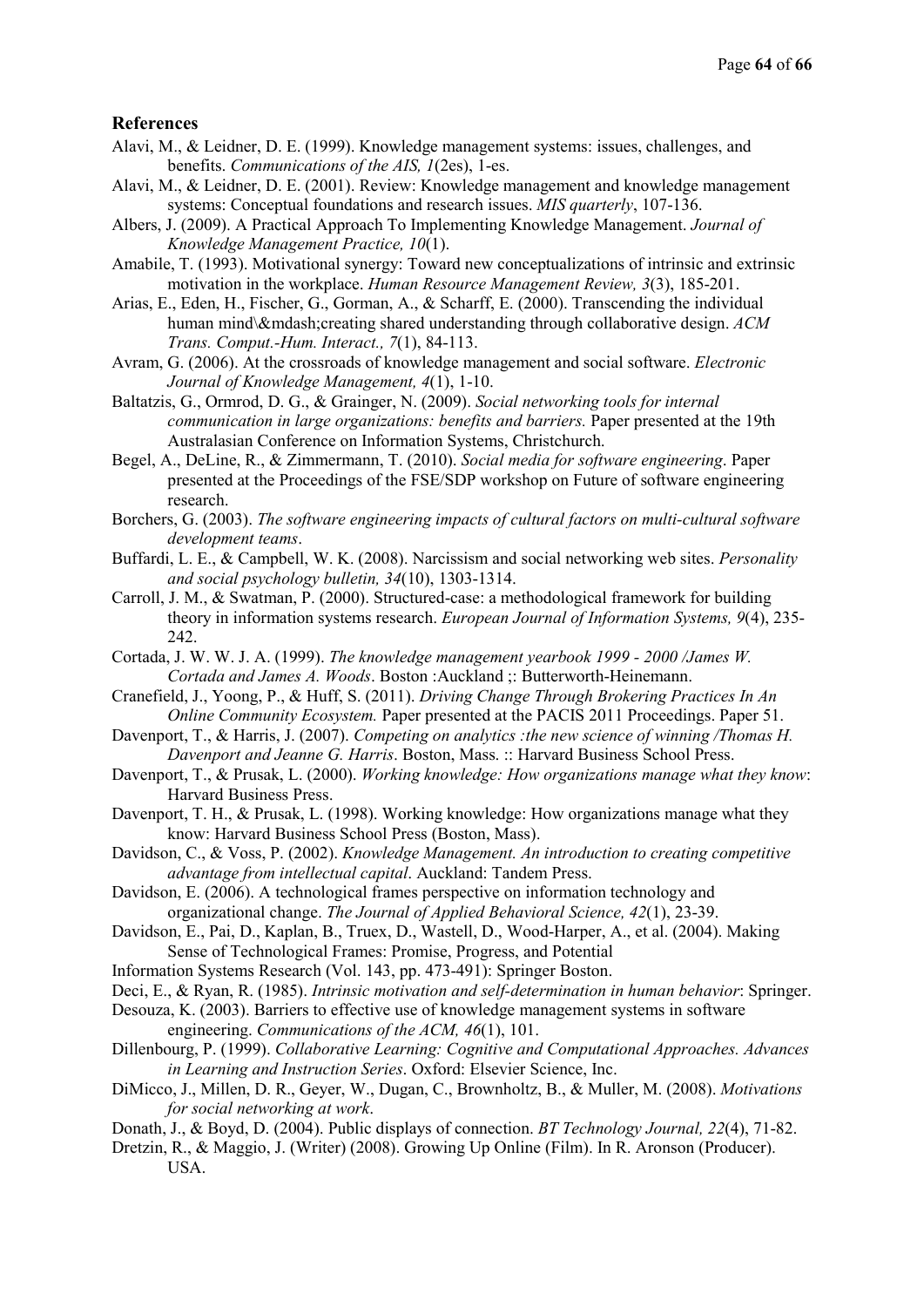#### **References**

- Alavi, M., & Leidner, D. E. (1999). Knowledge management systems: issues, challenges, and benefits. *Communications of the AIS, 1*(2es), 1-es.
- Alavi, M., & Leidner, D. E. (2001). Review: Knowledge management and knowledge management systems: Conceptual foundations and research issues. *MIS quarterly*, 107-136.
- Albers, J. (2009). A Practical Approach To Implementing Knowledge Management. *Journal of Knowledge Management Practice, 10*(1).

Amabile, T. (1993). Motivational synergy: Toward new conceptualizations of intrinsic and extrinsic motivation in the workplace. *Human Resource Management Review, 3*(3), 185-201.

- Arias, E., Eden, H., Fischer, G., Gorman, A., & Scharff, E. (2000). Transcending the individual human mind\—creating shared understanding through collaborative design. *ACM Trans. Comput.-Hum. Interact., 7*(1), 84-113.
- Avram, G. (2006). At the crossroads of knowledge management and social software. *Electronic Journal of Knowledge Management, 4*(1), 1-10.
- Baltatzis, G., Ormrod, D. G., & Grainger, N. (2009). *Social networking tools for internal communication in large organizations: benefits and barriers.* Paper presented at the 19th Australasian Conference on Information Systems, Christchurch.
- Begel, A., DeLine, R., & Zimmermann, T. (2010). *Social media for software engineering*. Paper presented at the Proceedings of the FSE/SDP workshop on Future of software engineering research.
- Borchers, G. (2003). *The software engineering impacts of cultural factors on multi-cultural software development teams*.
- Buffardi, L. E., & Campbell, W. K. (2008). Narcissism and social networking web sites. *Personality and social psychology bulletin, 34*(10), 1303-1314.
- Carroll, J. M., & Swatman, P. (2000). Structured-case: a methodological framework for building theory in information systems research. *European Journal of Information Systems, 9*(4), 235- 242.
- Cortada, J. W. W. J. A. (1999). *The knowledge management yearbook 1999 2000 /James W. Cortada and James A. Woods*. Boston :Auckland ;: Butterworth-Heinemann.
- Cranefield, J., Yoong, P., & Huff, S. (2011). *Driving Change Through Brokering Practices In An Online Community Ecosystem.* Paper presented at the PACIS 2011 Proceedings. Paper 51.
- Davenport, T., & Harris, J. (2007). *Competing on analytics :the new science of winning /Thomas H. Davenport and Jeanne G. Harris*. Boston, Mass. :: Harvard Business School Press.
- Davenport, T., & Prusak, L. (2000). *Working knowledge: How organizations manage what they know*: Harvard Business Press.
- Davenport, T. H., & Prusak, L. (1998). Working knowledge: How organizations manage what they know: Harvard Business School Press (Boston, Mass).
- Davidson, C., & Voss, P. (2002). *Knowledge Management. An introduction to creating competitive advantage from intellectual capital*. Auckland: Tandem Press.
- Davidson, E. (2006). A technological frames perspective on information technology and organizational change. *The Journal of Applied Behavioral Science, 42*(1), 23-39.
- Davidson, E., Pai, D., Kaplan, B., Truex, D., Wastell, D., Wood-Harper, A., et al. (2004). Making Sense of Technological Frames: Promise, Progress, and Potential
- Information Systems Research (Vol. 143, pp. 473-491): Springer Boston.
- Deci, E., & Ryan, R. (1985). *Intrinsic motivation and self-determination in human behavior*: Springer.
- Desouza, K. (2003). Barriers to effective use of knowledge management systems in software engineering. *Communications of the ACM, 46*(1), 101.
- Dillenbourg, P. (1999). *Collaborative Learning: Cognitive and Computational Approaches. Advances in Learning and Instruction Series*. Oxford: Elsevier Science, Inc.
- DiMicco, J., Millen, D. R., Geyer, W., Dugan, C., Brownholtz, B., & Muller, M. (2008). *Motivations for social networking at work*.
- Donath, J., & Boyd, D. (2004). Public displays of connection. *BT Technology Journal, 22*(4), 71-82.
- Dretzin, R., & Maggio, J. (Writer) (2008). Growing Up Online (Film). In R. Aronson (Producer). USA.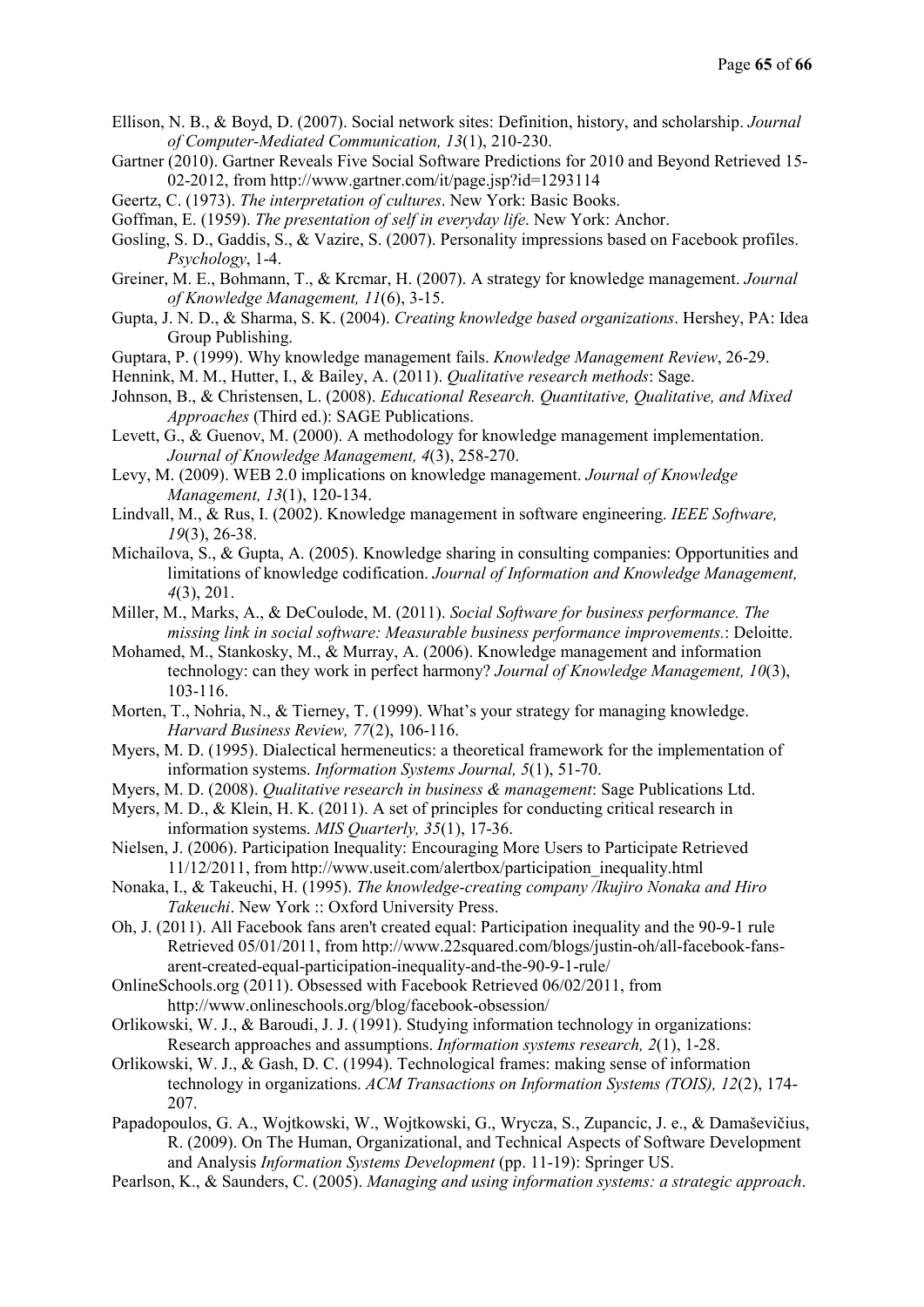- Ellison, N. B., & Boyd, D. (2007). Social network sites: Definition, history, and scholarship. *Journal of Computer-Mediated Communication, 13*(1), 210-230.
- Gartner (2010). Gartner Reveals Five Social Software Predictions for 2010 and Beyond Retrieved 15- 02-2012, from http://www.gartner.com/it/page.jsp?id=1293114
- Geertz, C. (1973). *The interpretation of cultures*. New York: Basic Books.
- Goffman, E. (1959). *The presentation of self in everyday life*. New York: Anchor.
- Gosling, S. D., Gaddis, S., & Vazire, S. (2007). Personality impressions based on Facebook profiles. *Psychology*, 1-4.
- Greiner, M. E., Bohmann, T., & Krcmar, H. (2007). A strategy for knowledge management. *Journal of Knowledge Management, 11*(6), 3-15.
- Gupta, J. N. D., & Sharma, S. K. (2004). *Creating knowledge based organizations*. Hershey, PA: Idea Group Publishing.
- Guptara, P. (1999). Why knowledge management fails. *Knowledge Management Review*, 26-29.
- Hennink, M. M., Hutter, I., & Bailey, A. (2011). *Qualitative research methods*: Sage.
- Johnson, B., & Christensen, L. (2008). *Educational Research. Quantitative, Qualitative, and Mixed Approaches* (Third ed.): SAGE Publications.
- Levett, G., & Guenov, M. (2000). A methodology for knowledge management implementation. *Journal of Knowledge Management, 4*(3), 258-270.
- Levy, M. (2009). WEB 2.0 implications on knowledge management. *Journal of Knowledge Management, 13*(1), 120-134.
- Lindvall, M., & Rus, I. (2002). Knowledge management in software engineering. *IEEE Software, 19*(3), 26-38.
- Michailova, S., & Gupta, A. (2005). Knowledge sharing in consulting companies: Opportunities and limitations of knowledge codification. *Journal of Information and Knowledge Management, 4*(3), 201.
- Miller, M., Marks, A., & DeCoulode, M. (2011). *Social Software for business performance. The missing link in social software: Measurable business performance improvements.*: Deloitte.
- Mohamed, M., Stankosky, M., & Murray, A. (2006). Knowledge management and information technology: can they work in perfect harmony? *Journal of Knowledge Management, 10*(3), 103-116.
- Morten, T., Nohria, N., & Tierney, T. (1999). What's your strategy for managing knowledge. *Harvard Business Review, 77*(2), 106-116.
- Myers, M. D. (1995). Dialectical hermeneutics: a theoretical framework for the implementation of information systems. *Information Systems Journal, 5*(1), 51-70.
- Myers, M. D. (2008). *Qualitative research in business & management*: Sage Publications Ltd.
- Myers, M. D., & Klein, H. K. (2011). A set of principles for conducting critical research in information systems. *MIS Quarterly, 35*(1), 17-36.
- Nielsen, J. (2006). Participation Inequality: Encouraging More Users to Participate Retrieved 11/12/2011, from http://www.useit.com/alertbox/participation\_inequality.html
- Nonaka, I., & Takeuchi, H. (1995). *The knowledge-creating company /Ikujiro Nonaka and Hiro Takeuchi*. New York :: Oxford University Press.
- Oh, J. (2011). All Facebook fans aren't created equal: Participation inequality and the 90-9-1 rule Retrieved 05/01/2011, from http://www.22squared.com/blogs/justin-oh/all-facebook-fansarent-created-equal-participation-inequality-and-the-90-9-1-rule/
- OnlineSchools.org (2011). Obsessed with Facebook Retrieved 06/02/2011, from http://www.onlineschools.org/blog/facebook-obsession/
- Orlikowski, W. J., & Baroudi, J. J. (1991). Studying information technology in organizations: Research approaches and assumptions. *Information systems research, 2*(1), 1-28.
- Orlikowski, W. J., & Gash, D. C. (1994). Technological frames: making sense of information technology in organizations. *ACM Transactions on Information Systems (TOIS), 12*(2), 174- 207.
- Papadopoulos, G. A., Wojtkowski, W., Wojtkowski, G., Wrycza, S., Zupancic, J. e., & Damaševičius, R. (2009). On The Human, Organizational, and Technical Aspects of Software Development and Analysis *Information Systems Development* (pp. 11-19): Springer US.
- Pearlson, K., & Saunders, C. (2005). *Managing and using information systems: a strategic approach*.